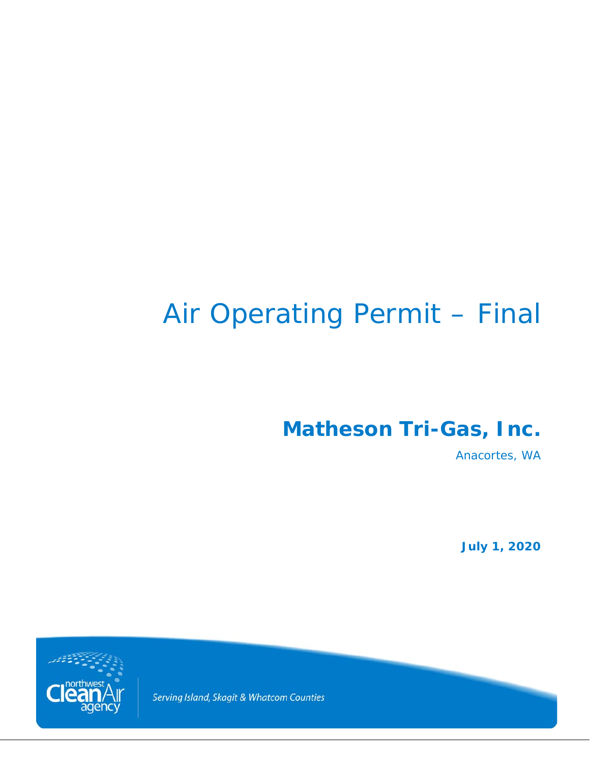# Air Operating Permit – Final

**Matheson Tri-Gas, Inc.**

Anacortes, WA

**July 1, 2020**



Serving Island, Skagit & Whatcom Counties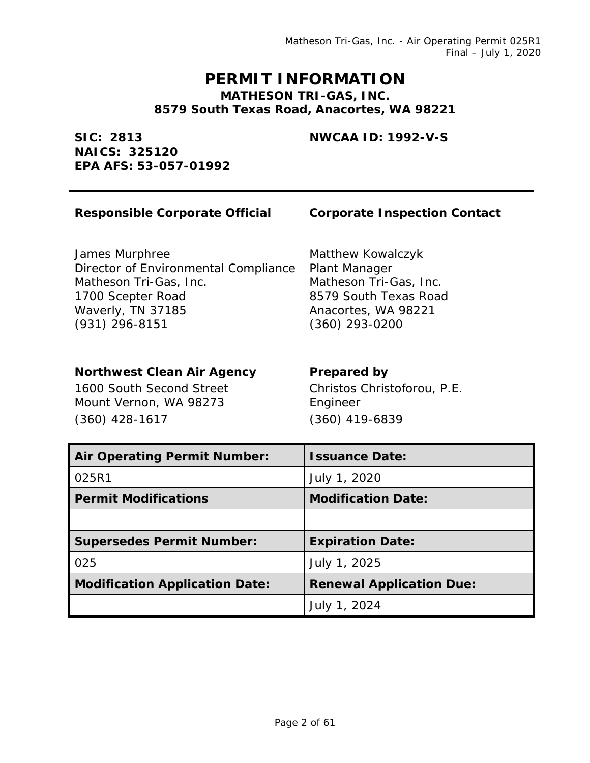Matheson Tri-Gas, Inc. - Air Operating Permit 025R1 Final – July 1, 2020

### **PERMIT INFORMATION MATHESON TRI-GAS, INC. 8579 South Texas Road, Anacortes, WA 98221**

### **NWCAA ID: 1992-V-S**

**SIC: 2813 NAICS: 325120 EPA AFS: 53-057-01992**

### **Responsible Corporate Official Corporate Inspection Contact**

James Murphree Director of Environmental Compliance Matheson Tri-Gas, Inc. 1700 Scepter Road Waverly, TN 37185 (931) 296-8151

### **Northwest Clean Air Agency Prepared by**

1600 South Second Street Mount Vernon, WA 98273 (360) 428-1617

### Matthew Kowalczyk Plant Manager Matheson Tri-Gas, Inc. 8579 South Texas Road Anacortes, WA 98221 (360) 293-0200

Christos Christoforou, P.E. Engineer (360) 419-6839

| <b>Air Operating Permit Number:</b>   | <b>Issuance Date:</b>           |
|---------------------------------------|---------------------------------|
| 025R1                                 | July 1, 2020                    |
| <b>Permit Modifications</b>           | <b>Modification Date:</b>       |
|                                       |                                 |
| <b>Supersedes Permit Number:</b>      | <b>Expiration Date:</b>         |
| 025                                   | July 1, 2025                    |
| <b>Modification Application Date:</b> | <b>Renewal Application Due:</b> |
|                                       | July 1, 2024                    |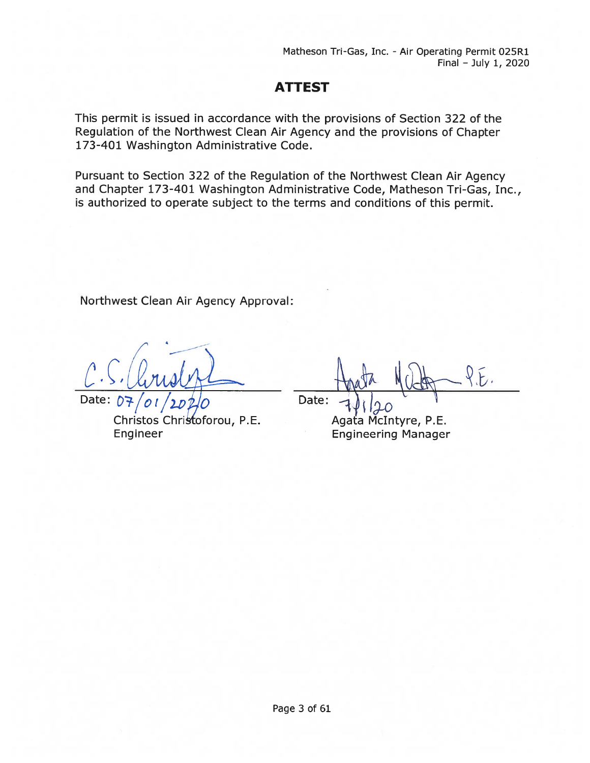Matheson Tri-Gas, Inc. - Air Operating Permit 025R1 Final — July 1, 2020

### ATTEST

This permit is issued in accordance with the provisions of Section 322 of the Regulation of the Northwest Clean Air Agency and the provisions of Chapter 173-401 Washington Administrative Code.

Pursuant to Section 322 of the Regulation of the Northwest Clean Air Agency and Chapter 173-401 Washington Administrative Code, Matheson Tri-Gas, Inc., is authorized to operate subject to the terms and conditions of this permit.

Northwest Clean Air Agency Approval:

Date:

Christos Christoforou, P.E Engineer

Date:

Agata McIntyre, P.E. Engineering Manager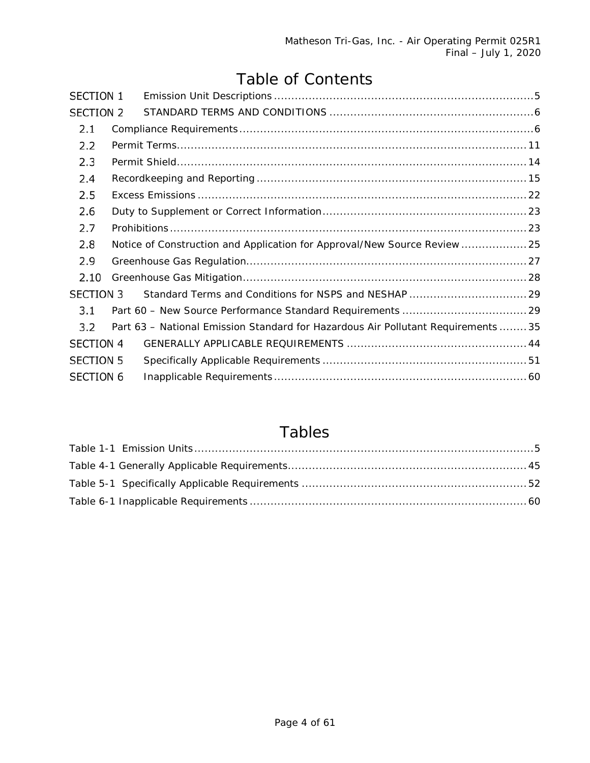# Table of Contents

| SECTION 1        |                                                                                                                                                                |
|------------------|----------------------------------------------------------------------------------------------------------------------------------------------------------------|
| SECTION 2        |                                                                                                                                                                |
|                  |                                                                                                                                                                |
|                  |                                                                                                                                                                |
|                  |                                                                                                                                                                |
|                  |                                                                                                                                                                |
|                  |                                                                                                                                                                |
|                  |                                                                                                                                                                |
|                  |                                                                                                                                                                |
|                  |                                                                                                                                                                |
|                  |                                                                                                                                                                |
|                  |                                                                                                                                                                |
| <b>SECTION 3</b> |                                                                                                                                                                |
|                  |                                                                                                                                                                |
|                  |                                                                                                                                                                |
| <b>SECTION 4</b> |                                                                                                                                                                |
| <b>SECTION 5</b> |                                                                                                                                                                |
| <b>SECTION 6</b> |                                                                                                                                                                |
|                  | Notice of Construction and Application for Approval/New Source Review  25<br>Part 63 - National Emission Standard for Hazardous Air Pollutant Requirements  35 |

# Tables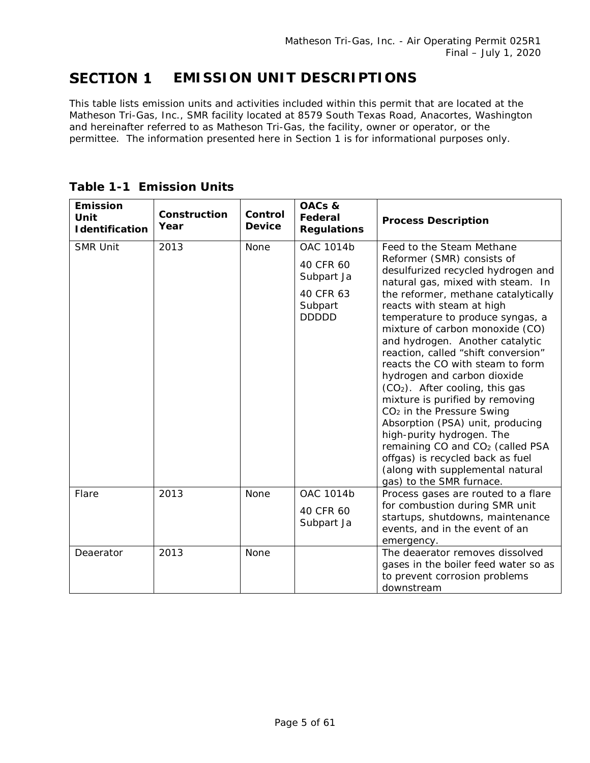#### <span id="page-4-0"></span>**SECTION 1 EMISSION UNIT DESCRIPTIONS**

This table lists emission units and activities included within this permit that are located at the Matheson Tri-Gas, Inc., SMR facility located at 8579 South Texas Road, Anacortes, Washington and hereinafter referred to as Matheson Tri-Gas, the facility, owner or operator, or the permittee. The information presented here in Section 1 is for informational purposes only.

| <b>Emission</b><br>Unit<br><b>Identification</b> | Construction<br>Year | Control<br><b>Device</b> | OACs &<br>Federal<br><b>Regulations</b>                                      | <b>Process Description</b>                                                                                                                                                                                                                                                                                                                                                                                                                                                                                                                                                                                                                                                                                                           |
|--------------------------------------------------|----------------------|--------------------------|------------------------------------------------------------------------------|--------------------------------------------------------------------------------------------------------------------------------------------------------------------------------------------------------------------------------------------------------------------------------------------------------------------------------------------------------------------------------------------------------------------------------------------------------------------------------------------------------------------------------------------------------------------------------------------------------------------------------------------------------------------------------------------------------------------------------------|
| <b>SMR Unit</b>                                  | 2013                 | None                     | OAC 1014b<br>40 CFR 60<br>Subpart Ja<br>40 CFR 63<br>Subpart<br><b>DDDDD</b> | Feed to the Steam Methane<br>Reformer (SMR) consists of<br>desulfurized recycled hydrogen and<br>natural gas, mixed with steam. In<br>the reformer, methane catalytically<br>reacts with steam at high<br>temperature to produce syngas, a<br>mixture of carbon monoxide (CO)<br>and hydrogen. Another catalytic<br>reaction, called "shift conversion"<br>reacts the CO with steam to form<br>hydrogen and carbon dioxide<br>$(CO2)$ . After cooling, this gas<br>mixture is purified by removing<br>CO <sub>2</sub> in the Pressure Swing<br>Absorption (PSA) unit, producing<br>high-purity hydrogen. The<br>remaining CO and CO <sub>2</sub> (called PSA<br>offgas) is recycled back as fuel<br>(along with supplemental natural |
| Flare                                            | 2013                 | None                     | <b>OAC 1014b</b><br>40 CFR 60<br>Subpart Ja                                  | gas) to the SMR furnace.<br>Process gases are routed to a flare<br>for combustion during SMR unit<br>startups, shutdowns, maintenance<br>events, and in the event of an<br>emergency.                                                                                                                                                                                                                                                                                                                                                                                                                                                                                                                                                |
| Deaerator                                        | 2013                 | None                     |                                                                              | The deaerator removes dissolved<br>gases in the boiler feed water so as<br>to prevent corrosion problems<br>downstream                                                                                                                                                                                                                                                                                                                                                                                                                                                                                                                                                                                                               |

### **Table 1-1 Emission Units**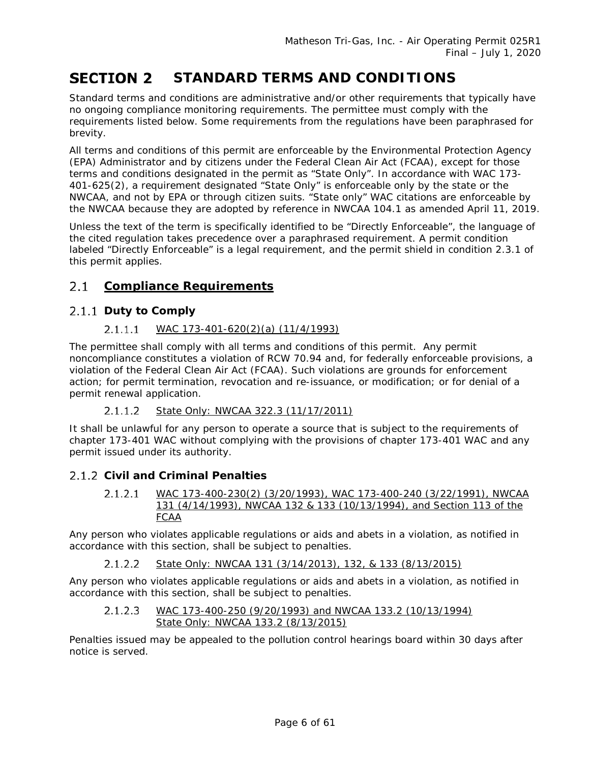#### <span id="page-5-0"></span>**STANDARD TERMS AND CONDITIONS SECTION 2**

Standard terms and conditions are administrative and/or other requirements that typically have no ongoing compliance monitoring requirements. The permittee must comply with the requirements listed below. Some requirements from the regulations have been paraphrased for brevity.

All terms and conditions of this permit are enforceable by the Environmental Protection Agency (EPA) Administrator and by citizens under the Federal Clean Air Act (FCAA), except for those terms and conditions designated in the permit as "State Only". In accordance with WAC 173- 401-625(2), a requirement designated "State Only" is enforceable only by the state or the NWCAA, and not by EPA or through citizen suits. "State only" WAC citations are enforceable by the NWCAA because they are adopted by reference in NWCAA 104.1 as amended April 11, 2019.

Unless the text of the term is specifically identified to be "Directly Enforceable", the language of the cited regulation takes precedence over a paraphrased requirement. A permit condition labeled "Directly Enforceable" is a legal requirement, and the permit shield in condition 2.3.1 of this permit applies.

#### <span id="page-5-1"></span> $2.1$ **Compliance Requirements**

### 2.1.1 Duty to Comply

#### $2.1.1.1$ *WAC 173-401-620(2)(a) (11/4/1993)*

The permittee shall comply with all terms and conditions of this permit. Any permit noncompliance constitutes a violation of RCW 70.94 and, for federally enforceable provisions, a violation of the Federal Clean Air Act (FCAA). Such violations are grounds for enforcement action; for permit termination, revocation and re-issuance, or modification; or for denial of a permit renewal application.

#### $2.1.1.2$ *State Only: NWCAA 322.3 (11/17/2011)*

It shall be unlawful for any person to operate a source that is subject to the requirements of chapter 173-401 WAC without complying with the provisions of chapter 173-401 WAC and any permit issued under its authority.

### **Civil and Criminal Penalties**

 $2.1.2.1$ *WAC 173-400-230(2) (3/20/1993), WAC 173-400-240 (3/22/1991), NWCAA 131 (4/14/1993), NWCAA 132 & 133 (10/13/1994), and Section 113 of the FCAA*

Any person who violates applicable regulations or aids and abets in a violation, as notified in accordance with this section, shall be subject to penalties.

 $2.1.2.2$ *State Only: NWCAA 131 (3/14/2013), 132, & 133 (8/13/2015)*

Any person who violates applicable regulations or aids and abets in a violation, as notified in accordance with this section, shall be subject to penalties.

 $2.1.2.3$ *WAC 173-400-250 (9/20/1993) and NWCAA 133.2 (10/13/1994) State Only: NWCAA 133.2 (8/13/2015)*

Penalties issued may be appealed to the pollution control hearings board within 30 days after notice is served.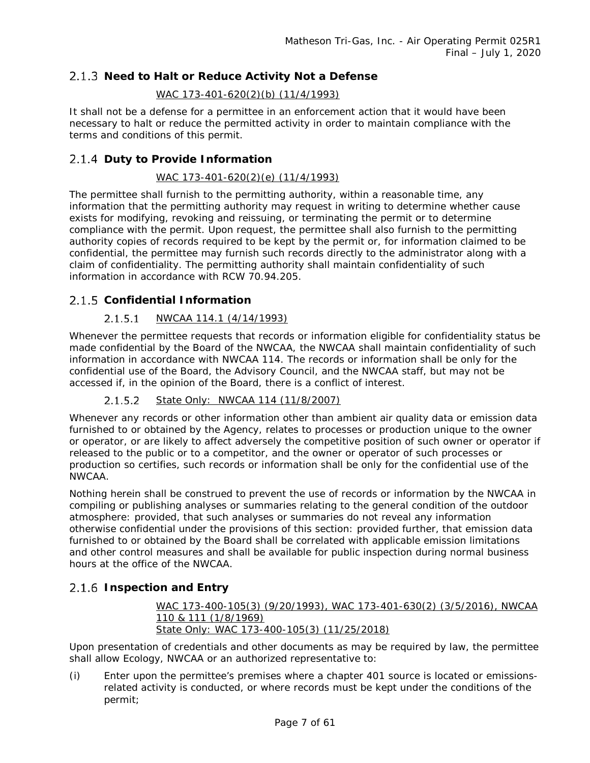### 2.1.3 Need to Halt or Reduce Activity Not a Defense

### *WAC 173-401-620(2)(b) (11/4/1993)*

It shall not be a defense for a permittee in an enforcement action that it would have been necessary to halt or reduce the permitted activity in order to maintain compliance with the terms and conditions of this permit.

### **Duty to Provide Information**

### *WAC 173-401-620(2)(e) (11/4/1993)*

The permittee shall furnish to the permitting authority, within a reasonable time, any information that the permitting authority may request in writing to determine whether cause exists for modifying, revoking and reissuing, or terminating the permit or to determine compliance with the permit. Upon request, the permittee shall also furnish to the permitting authority copies of records required to be kept by the permit or, for information claimed to be confidential, the permittee may furnish such records directly to the administrator along with a claim of confidentiality. The permitting authority shall maintain confidentiality of such information in accordance with RCW 70.94.205.

### **Confidential Information**

#### $2.1.5.1$ *NWCAA 114.1 (4/14/1993)*

Whenever the permittee requests that records or information eligible for confidentiality status be made confidential by the Board of the NWCAA, the NWCAA shall maintain confidentiality of such information in accordance with NWCAA 114. The records or information shall be only for the confidential use of the Board, the Advisory Council, and the NWCAA staff, but may not be accessed if, in the opinion of the Board, there is a conflict of interest.

#### $2.1.5.2$ *State Only: NWCAA 114 (11/8/2007)*

Whenever any records or other information other than ambient air quality data or emission data furnished to or obtained by the Agency, relates to processes or production unique to the owner or operator, or are likely to affect adversely the competitive position of such owner or operator if released to the public or to a competitor, and the owner or operator of such processes or production so certifies, such records or information shall be only for the confidential use of the NWCAA.

Nothing herein shall be construed to prevent the use of records or information by the NWCAA in compiling or publishing analyses or summaries relating to the general condition of the outdoor atmosphere: provided, that such analyses or summaries do not reveal any information otherwise confidential under the provisions of this section: provided further, that emission data furnished to or obtained by the Board shall be correlated with applicable emission limitations and other control measures and shall be available for public inspection during normal business hours at the office of the NWCAA.

### **Inspection and Entry**

*WAC 173-400-105(3) (9/20/1993), WAC 173-401-630(2) (3/5/2016), NWCAA 110 & 111 (1/8/1969) State Only: WAC 173-400-105(3) (11/25/2018)*

Upon presentation of credentials and other documents as may be required by law, the permittee shall allow Ecology, NWCAA or an authorized representative to:

(i) Enter upon the permittee's premises where a chapter 401 source is located or emissionsrelated activity is conducted, or where records must be kept under the conditions of the permit;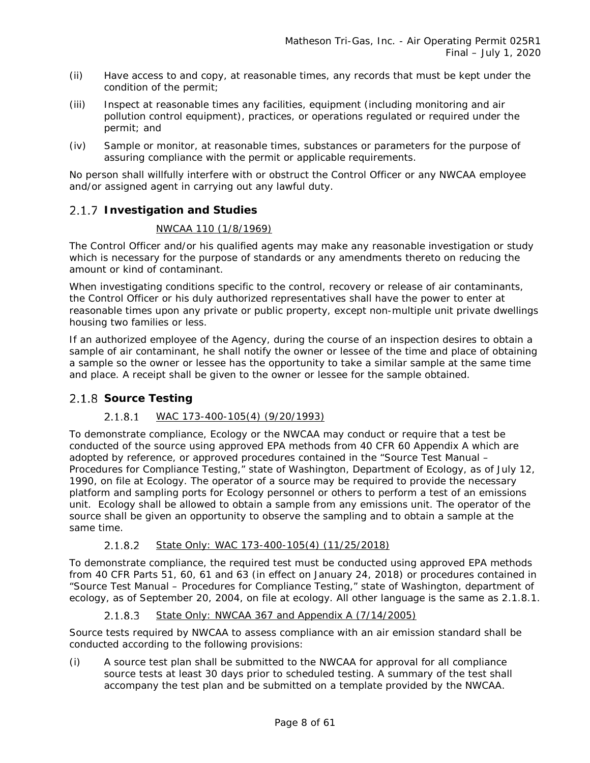- (ii) Have access to and copy, at reasonable times, any records that must be kept under the condition of the permit;
- (iii) Inspect at reasonable times any facilities, equipment (including monitoring and air pollution control equipment), practices, or operations regulated or required under the permit; and
- (iv) Sample or monitor, at reasonable times, substances or parameters for the purpose of assuring compliance with the permit or applicable requirements.

No person shall willfully interfere with or obstruct the Control Officer or any NWCAA employee and/or assigned agent in carrying out any lawful duty.

### **Investigation and Studies**

### *NWCAA 110 (1/8/1969)*

The Control Officer and/or his qualified agents may make any reasonable investigation or study which is necessary for the purpose of standards or any amendments thereto on reducing the amount or kind of contaminant.

When investigating conditions specific to the control, recovery or release of air contaminants, the Control Officer or his duly authorized representatives shall have the power to enter at reasonable times upon any private or public property, except non-multiple unit private dwellings housing two families or less.

If an authorized employee of the Agency, during the course of an inspection desires to obtain a sample of air contaminant, he shall notify the owner or lessee of the time and place of obtaining a sample so the owner or lessee has the opportunity to take a similar sample at the same time and place. A receipt shall be given to the owner or lessee for the sample obtained.

### <span id="page-7-0"></span>2.1.8 Source Testing

#### *WAC 173-400-105(4) (9/20/1993)*  $2.1.8.1$

<span id="page-7-1"></span>To demonstrate compliance, Ecology or the NWCAA may conduct or require that a test be conducted of the source using approved EPA methods from 40 CFR 60 Appendix A which are adopted by reference, or approved procedures contained in the "Source Test Manual – Procedures for Compliance Testing," state of Washington, Department of Ecology, as of July 12, 1990, on file at Ecology. The operator of a source may be required to provide the necessary platform and sampling ports for Ecology personnel or others to perform a test of an emissions unit. Ecology shall be allowed to obtain a sample from any emissions unit. The operator of the source shall be given an opportunity to observe the sampling and to obtain a sample at the same time.

#### $2.1.8.2$ *State Only: WAC 173-400-105(4) (11/25/2018)*

To demonstrate compliance, the required test must be conducted using approved EPA methods from 40 CFR Parts 51, 60, 61 and 63 (in effect on January 24, 2018) or procedures contained in "*Source Test Manual – Procedures for Compliance Testing*," state of Washington, department of ecology, as of September 20, 2004, on file at ecology. All other language is the same as [2.1.8.1.](#page-7-0)

#### $2.1.8.3$ *State Only: NWCAA 367 and Appendix A (7/14/2005)*

Source tests required by NWCAA to assess compliance with an air emission standard shall be conducted according to the following provisions:

(i) A source test plan shall be submitted to the NWCAA for approval for all compliance source tests at least 30 days prior to scheduled testing. A summary of the test shall accompany the test plan and be submitted on a template provided by the NWCAA.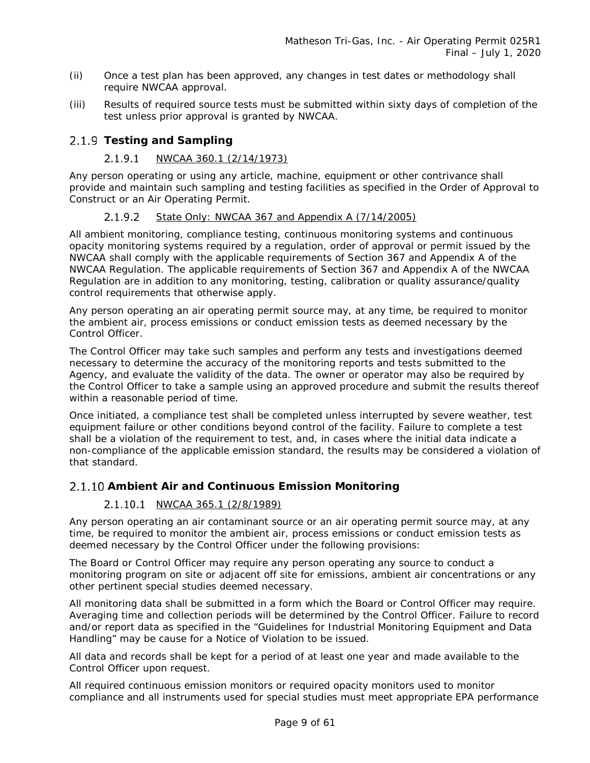- (ii) Once a test plan has been approved, any changes in test dates or methodology shall require NWCAA approval.
- (iii) Results of required source tests must be submitted within sixty days of completion of the test unless prior approval is granted by NWCAA.

### **Testing and Sampling**

#### $2.1.9.1$ *NWCAA 360.1 (2/14/1973)*

Any person operating or using any article, machine, equipment or other contrivance shall provide and maintain such sampling and testing facilities as specified in the Order of Approval to Construct or an Air Operating Permit.

#### *State Only: NWCAA 367 and Appendix A (7/14/2005)*  $2.1.9.2$

All ambient monitoring, compliance testing, continuous monitoring systems and continuous opacity monitoring systems required by a regulation, order of approval or permit issued by the NWCAA shall comply with the applicable requirements of Section 367 and Appendix A of the NWCAA Regulation. The applicable requirements of Section 367 and Appendix A of the NWCAA Regulation are in addition to any monitoring, testing, calibration or quality assurance/quality control requirements that otherwise apply.

Any person operating an air operating permit source may, at any time, be required to monitor the ambient air, process emissions or conduct emission tests as deemed necessary by the Control Officer.

The Control Officer may take such samples and perform any tests and investigations deemed necessary to determine the accuracy of the monitoring reports and tests submitted to the Agency, and evaluate the validity of the data. The owner or operator may also be required by the Control Officer to take a sample using an approved procedure and submit the results thereof within a reasonable period of time.

Once initiated, a compliance test shall be completed unless interrupted by severe weather, test equipment failure or other conditions beyond control of the facility. Failure to complete a test shall be a violation of the requirement to test, and, in cases where the initial data indicate a non-compliance of the applicable emission standard, the results may be considered a violation of that standard.

### **Ambient Air and Continuous Emission Monitoring**

### *NWCAA 365.1 (2/8/1989)*

Any person operating an air contaminant source or an air operating permit source may, at any time, be required to monitor the ambient air, process emissions or conduct emission tests as deemed necessary by the Control Officer under the following provisions:

The Board or Control Officer may require any person operating any source to conduct a monitoring program on site or adjacent off site for emissions, ambient air concentrations or any other pertinent special studies deemed necessary.

All monitoring data shall be submitted in a form which the Board or Control Officer may require. Averaging time and collection periods will be determined by the Control Officer. Failure to record and/or report data as specified in the "Guidelines for Industrial Monitoring Equipment and Data Handling" may be cause for a Notice of Violation to be issued.

All data and records shall be kept for a period of at least one year and made available to the Control Officer upon request.

All required continuous emission monitors or required opacity monitors used to monitor compliance and all instruments used for special studies must meet appropriate EPA performance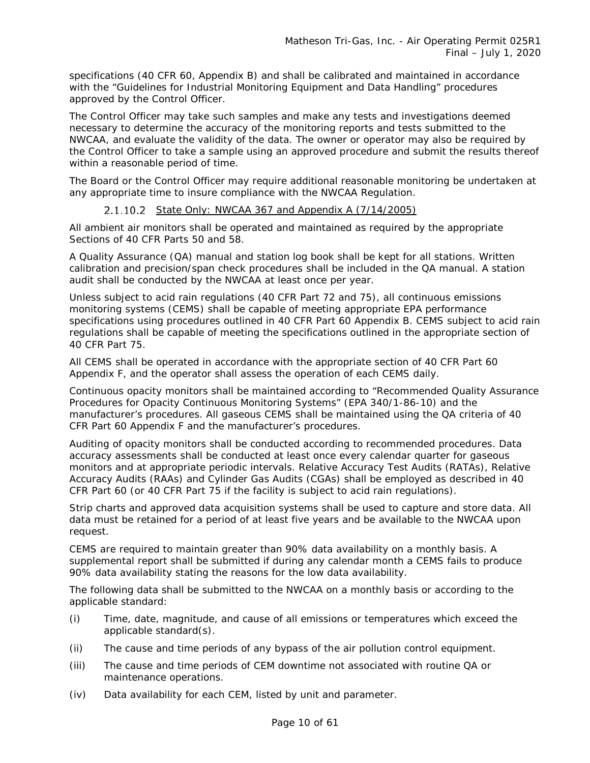specifications (40 CFR 60, Appendix B) and shall be calibrated and maintained in accordance with the "Guidelines for Industrial Monitoring Equipment and Data Handling" procedures approved by the Control Officer.

The Control Officer may take such samples and make any tests and investigations deemed necessary to determine the accuracy of the monitoring reports and tests submitted to the NWCAA, and evaluate the validity of the data. The owner or operator may also be required by the Control Officer to take a sample using an approved procedure and submit the results thereof within a reasonable period of time.

The Board or the Control Officer may require additional reasonable monitoring be undertaken at any appropriate time to insure compliance with the NWCAA Regulation.

### *State Only: NWCAA 367 and Appendix A (7/14/2005)*

All ambient air monitors shall be operated and maintained as required by the appropriate Sections of 40 CFR Parts 50 and 58.

A Quality Assurance (QA) manual and station log book shall be kept for all stations. Written calibration and precision/span check procedures shall be included in the QA manual. A station audit shall be conducted by the NWCAA at least once per year.

Unless subject to acid rain regulations (40 CFR Part 72 and 75), all continuous emissions monitoring systems (CEMS) shall be capable of meeting appropriate EPA performance specifications using procedures outlined in 40 CFR Part 60 Appendix B. CEMS subject to acid rain regulations shall be capable of meeting the specifications outlined in the appropriate section of 40 CFR Part 75.

All CEMS shall be operated in accordance with the appropriate section of 40 CFR Part 60 Appendix F, and the operator shall assess the operation of each CEMS daily.

Continuous opacity monitors shall be maintained according to "Recommended Quality Assurance Procedures for Opacity Continuous Monitoring Systems" (EPA 340/1-86-10) and the manufacturer's procedures. All gaseous CEMS shall be maintained using the QA criteria of 40 CFR Part 60 Appendix F and the manufacturer's procedures.

Auditing of opacity monitors shall be conducted according to recommended procedures. Data accuracy assessments shall be conducted at least once every calendar quarter for gaseous monitors and at appropriate periodic intervals. Relative Accuracy Test Audits (RATAs), Relative Accuracy Audits (RAAs) and Cylinder Gas Audits (CGAs) shall be employed as described in 40 CFR Part 60 (or 40 CFR Part 75 if the facility is subject to acid rain regulations).

Strip charts and approved data acquisition systems shall be used to capture and store data. All data must be retained for a period of at least five years and be available to the NWCAA upon request.

CEMS are required to maintain greater than 90% data availability on a monthly basis. A supplemental report shall be submitted if during any calendar month a CEMS fails to produce 90% data availability stating the reasons for the low data availability.

The following data shall be submitted to the NWCAA on a monthly basis or according to the applicable standard:

- (i) Time, date, magnitude, and cause of all emissions or temperatures which exceed the applicable standard(s).
- (ii) The cause and time periods of any bypass of the air pollution control equipment.
- (iii) The cause and time periods of CEM downtime not associated with routine QA or maintenance operations.
- (iv) Data availability for each CEM, listed by unit and parameter.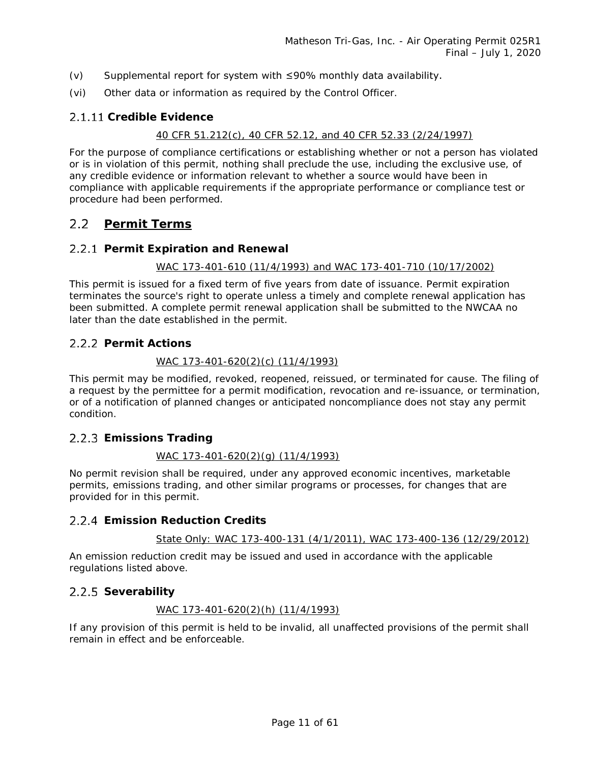- (v) Supplemental report for system with ≤90% monthly data availability.
- (vi) Other data or information as required by the Control Officer.

### **Credible Evidence**

### *40 CFR 51.212(c), 40 CFR 52.12, and 40 CFR 52.33 (2/24/1997)*

For the purpose of compliance certifications or establishing whether or not a person has violated or is in violation of this permit, nothing shall preclude the use, including the exclusive use, of any credible evidence or information relevant to whether a source would have been in compliance with applicable requirements if the appropriate performance or compliance test or procedure had been performed.

#### <span id="page-10-0"></span> $2.2$ **Permit Terms**

### **Permit Expiration and Renewal**

### *WAC 173-401-610 (11/4/1993) and WAC 173-401-710 (10/17/2002)*

This permit is issued for a fixed term of five years from date of issuance. Permit expiration terminates the source's right to operate unless a timely and complete renewal application has been submitted. A complete permit renewal application shall be submitted to the NWCAA no later than the date established in the permit.

### 2.2.2 Permit Actions

### *WAC 173-401-620(2)(c) (11/4/1993)*

This permit may be modified, revoked, reopened, reissued, or terminated for cause. The filing of a request by the permittee for a permit modification, revocation and re-issuance, or termination, or of a notification of planned changes or anticipated noncompliance does not stay any permit condition.

### **Emissions Trading**

### *WAC 173-401-620(2)(g) (11/4/1993)*

No permit revision shall be required, under any approved economic incentives, marketable permits, emissions trading, and other similar programs or processes, for changes that are provided for in this permit.

### **Emission Reduction Credits**

### *State Only: WAC 173-400-131 (4/1/2011), WAC 173-400-136 (12/29/2012)*

An emission reduction credit may be issued and used in accordance with the applicable regulations listed above.

### 2.2.5 Severability

### *WAC 173-401-620(2)(h) (11/4/1993)*

If any provision of this permit is held to be invalid, all unaffected provisions of the permit shall remain in effect and be enforceable.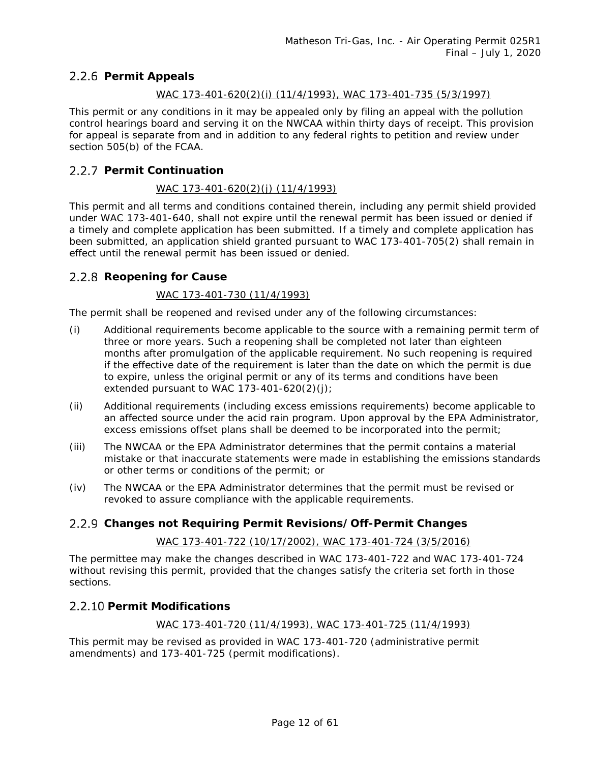### **Permit Appeals**

### *WAC 173-401-620(2)(i) (11/4/1993), WAC 173-401-735 (5/3/1997)*

This permit or any conditions in it may be appealed only by filing an appeal with the pollution control hearings board and serving it on the NWCAA within thirty days of receipt. This provision for appeal is separate from and in addition to any federal rights to petition and review under section 505(b) of the FCAA.

### **Permit Continuation**

### *WAC 173-401-620(2)(j) (11/4/1993)*

This permit and all terms and conditions contained therein, including any permit shield provided under WAC 173-401-640, shall not expire until the renewal permit has been issued or denied if a timely and complete application has been submitted. If a timely and complete application has been submitted, an application shield granted pursuant to WAC 173-401-705(2) shall remain in effect until the renewal permit has been issued or denied.

### 2.2.8 Reopening for Cause

### *WAC 173-401-730 (11/4/1993)*

The permit shall be reopened and revised under any of the following circumstances:

- (i) Additional requirements become applicable to the source with a remaining permit term of three or more years. Such a reopening shall be completed not later than eighteen months after promulgation of the applicable requirement. No such reopening is required if the effective date of the requirement is later than the date on which the permit is due to expire, unless the original permit or any of its terms and conditions have been extended pursuant to WAC 173-401-620(2)(j);
- (ii) Additional requirements (including excess emissions requirements) become applicable to an affected source under the acid rain program. Upon approval by the EPA Administrator, excess emissions offset plans shall be deemed to be incorporated into the permit;
- (iii) The NWCAA or the EPA Administrator determines that the permit contains a material mistake or that inaccurate statements were made in establishing the emissions standards or other terms or conditions of the permit; or
- (iv) The NWCAA or the EPA Administrator determines that the permit must be revised or revoked to assure compliance with the applicable requirements.

### **Changes not Requiring Permit Revisions/Off-Permit Changes**

### *WAC 173-401-722 (10/17/2002), WAC 173-401-724 (3/5/2016)*

The permittee may make the changes described in WAC 173-401-722 and WAC 173-401-724 without revising this permit, provided that the changes satisfy the criteria set forth in those sections.

### **2.2.10 Permit Modifications**

*WAC 173-401-720 (11/4/1993), WAC 173-401-725 (11/4/1993)*

This permit may be revised as provided in WAC 173-401-720 (administrative permit amendments) and 173-401-725 (permit modifications).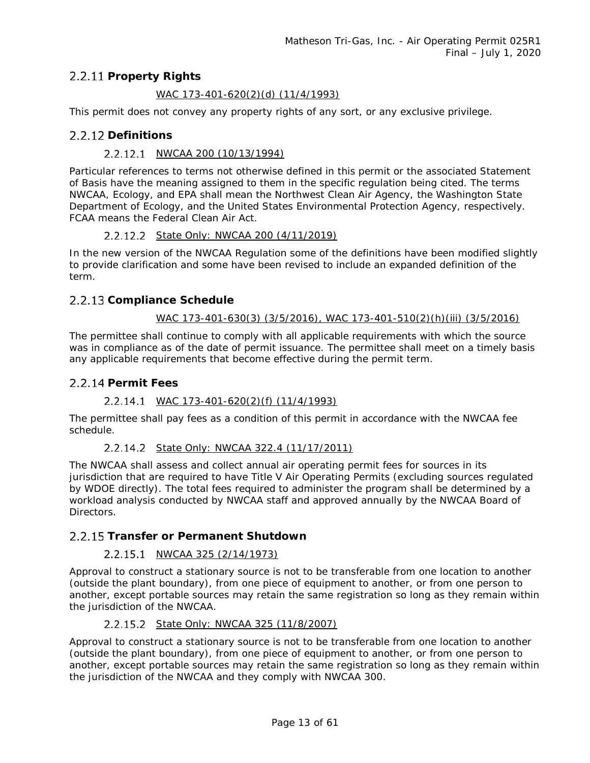### **Property Rights**

### *WAC 173-401-620(2)(d) (11/4/1993)*

This permit does not convey any property rights of any sort, or any exclusive privilege.

### 2.2.12 Definitions

### *NWCAA 200 (10/13/1994)*

Particular references to terms not otherwise defined in this permit or the associated Statement of Basis have the meaning assigned to them in the specific regulation being cited. The terms NWCAA, Ecology, and EPA shall mean the Northwest Clean Air Agency, the Washington State Department of Ecology, and the United States Environmental Protection Agency, respectively. FCAA means the Federal Clean Air Act.

### *State Only: NWCAA 200 (4/11/2019)*

In the new version of the NWCAA Regulation some of the definitions have been modified slightly to provide clarification and some have been revised to include an expanded definition of the term.

### 2.2.13 Compliance Schedule

### *WAC 173-401-630(3) (3/5/2016), WAC 173-401-510(2)(h)(iii) (3/5/2016)*

The permittee shall continue to comply with all applicable requirements with which the source was in compliance as of the date of permit issuance. The permittee shall meet on a timely basis any applicable requirements that become effective during the permit term.

### **Permit Fees**

### *WAC 173-401-620(2)(f) (11/4/1993)*

The permittee shall pay fees as a condition of this permit in accordance with the NWCAA fee schedule.

### *State Only: NWCAA 322.4 (11/17/2011)*

The NWCAA shall assess and collect annual air operating permit fees for sources in its jurisdiction that are required to have Title V Air Operating Permits (excluding sources regulated by WDOE directly). The total fees required to administer the program shall be determined by a workload analysis conducted by NWCAA staff and approved annually by the NWCAA Board of Directors.

### **Transfer or Permanent Shutdown**

### *NWCAA 325 (2/14/1973)*

Approval to construct a stationary source is not to be transferable from one location to another (outside the plant boundary), from one piece of equipment to another, or from one person to another, except portable sources may retain the same registration so long as they remain within the jurisdiction of the NWCAA.

### *State Only: NWCAA 325 (11/8/2007)*

Approval to construct a stationary source is not to be transferable from one location to another (outside the plant boundary), from one piece of equipment to another, or from one person to another, except portable sources may retain the same registration so long as they remain within the jurisdiction of the NWCAA and they comply with NWCAA 300.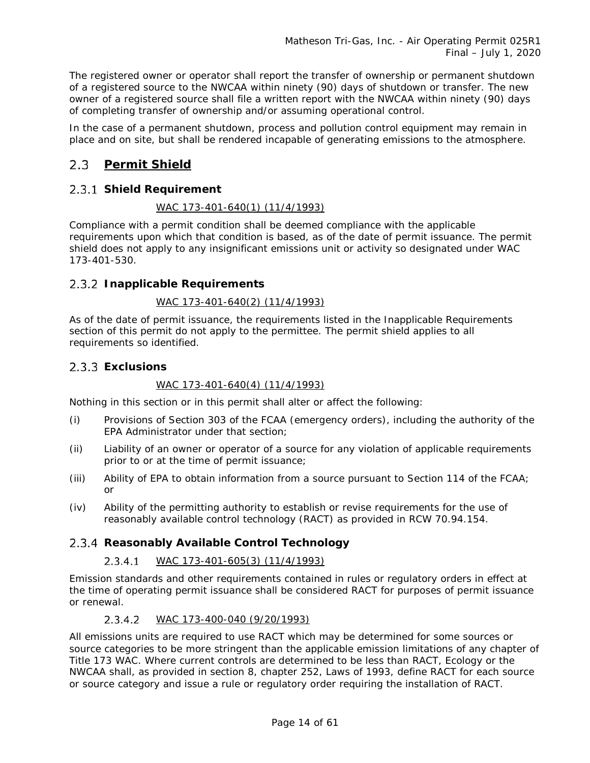The registered owner or operator shall report the transfer of ownership or permanent shutdown of a registered source to the NWCAA within ninety (90) days of shutdown or transfer. The new owner of a registered source shall file a written report with the NWCAA within ninety (90) days of completing transfer of ownership and/or assuming operational control.

In the case of a permanent shutdown, process and pollution control equipment may remain in place and on site, but shall be rendered incapable of generating emissions to the atmosphere.

#### <span id="page-13-0"></span> $2.3$ **Permit Shield**

### **Shield Requirement**

### *WAC 173-401-640(1) (11/4/1993)*

Compliance with a permit condition shall be deemed compliance with the applicable requirements upon which that condition is based, as of the date of permit issuance. The permit shield does not apply to any insignificant emissions unit or activity so designated under WAC 173-401-530.

### **Inapplicable Requirements**

### *WAC 173-401-640(2) (11/4/1993)*

As of the date of permit issuance, the requirements listed in the Inapplicable Requirements section of this permit do not apply to the permittee. The permit shield applies to all requirements so identified.

### **Exclusions**

### *WAC 173-401-640(4) (11/4/1993)*

Nothing in this section or in this permit shall alter or affect the following:

- (i) Provisions of Section 303 of the FCAA (emergency orders), including the authority of the EPA Administrator under that section;
- (ii) Liability of an owner or operator of a source for any violation of applicable requirements prior to or at the time of permit issuance;
- (iii) Ability of EPA to obtain information from a source pursuant to Section 114 of the FCAA; or
- (iv) Ability of the permitting authority to establish or revise requirements for the use of reasonably available control technology (RACT) as provided in RCW 70.94.154.

### **Reasonably Available Control Technology**

#### $2.3.4.1$ *WAC 173-401-605(3) (11/4/1993)*

Emission standards and other requirements contained in rules or regulatory orders in effect at the time of operating permit issuance shall be considered RACT for purposes of permit issuance or renewal.

#### $2.3.4.2$ *WAC 173-400-040 (9/20/1993)*

All emissions units are required to use RACT which may be determined for some sources or source categories to be more stringent than the applicable emission limitations of any chapter of Title 173 WAC. Where current controls are determined to be less than RACT, Ecology or the NWCAA shall, as provided in section 8, chapter 252, Laws of 1993, define RACT for each source or source category and issue a rule or regulatory order requiring the installation of RACT.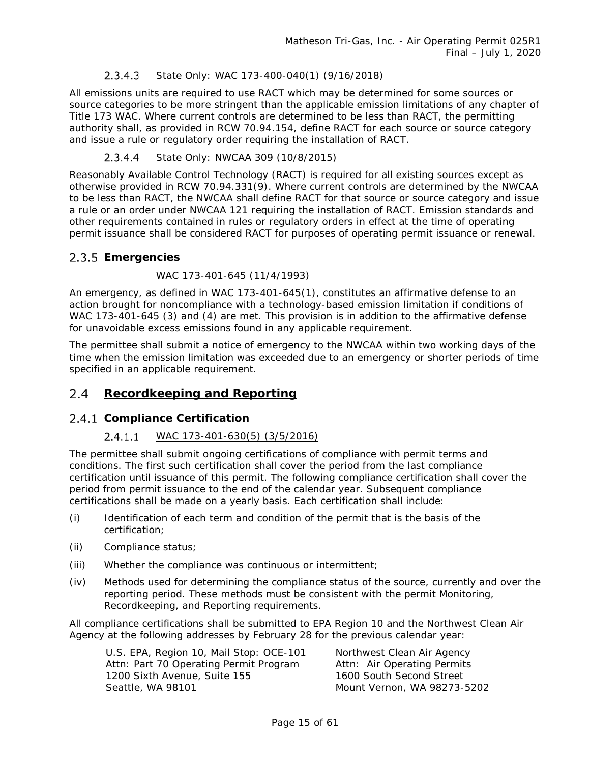#### $2.3.4.3$ *State Only: WAC 173-400-040(1) (9/16/2018)*

All emissions units are required to use RACT which may be determined for some sources or source categories to be more stringent than the applicable emission limitations of any chapter of Title 173 WAC. Where current controls are determined to be less than RACT, the permitting authority shall, as provided in RCW 70.94.154, define RACT for each source or source category and issue a rule or regulatory order requiring the installation of RACT.

#### $2.3.4.4$ *State Only: NWCAA 309 (10/8/2015)*

Reasonably Available Control Technology (RACT) is required for all existing sources except as otherwise provided in RCW 70.94.331(9). Where current controls are determined by the NWCAA to be less than RACT, the NWCAA shall define RACT for that source or source category and issue a rule or an order under NWCAA 121 requiring the installation of RACT. Emission standards and other requirements contained in rules or regulatory orders in effect at the time of operating permit issuance shall be considered RACT for purposes of operating permit issuance or renewal.

### <span id="page-14-1"></span>**Emergencies**

### *WAC 173-401-645 (11/4/1993)*

An emergency, as defined in WAC 173-401-645(1), constitutes an affirmative defense to an action brought for noncompliance with a technology-based emission limitation if conditions of WAC 173-401-645 (3) and (4) are met. This provision is in addition to the affirmative defense for unavoidable excess emissions found in any applicable requirement.

The permittee shall submit a notice of emergency to the NWCAA within two working days of the time when the emission limitation was exceeded due to an emergency or shorter periods of time specified in an applicable requirement.

#### <span id="page-14-0"></span> $2.4$ **Recordkeeping and Reporting**

### **Compliance Certification**

#### $2.4.1.1$ *WAC 173-401-630(5) (3/5/2016)*

The permittee shall submit ongoing certifications of compliance with permit terms and conditions. The first such certification shall cover the period from the last compliance certification until issuance of this permit. The following compliance certification shall cover the period from permit issuance to the end of the calendar year. Subsequent compliance certifications shall be made on a yearly basis. Each certification shall include:

- (i) Identification of each term and condition of the permit that is the basis of the certification;
- (ii) Compliance status;
- (iii) Whether the compliance was continuous or intermittent;
- (iv) Methods used for determining the compliance status of the source, currently and over the reporting period. These methods must be consistent with the permit Monitoring, Recordkeeping, and Reporting requirements.

All compliance certifications shall be submitted to EPA Region 10 and the Northwest Clean Air Agency at the following addresses by February 28 for the previous calendar year:

U.S. EPA, Region 10, Mail Stop: OCE-101 Northwest Clean Air Agency Attn: Part 70 Operating Permit Program Attn: Air Operating Permits<br>1200 Sixth Avenue. Suite 155 1600 South Second Street 1200 Sixth Avenue, Suite 155 Seattle, WA 98101 Mount Vernon, WA 98273-5202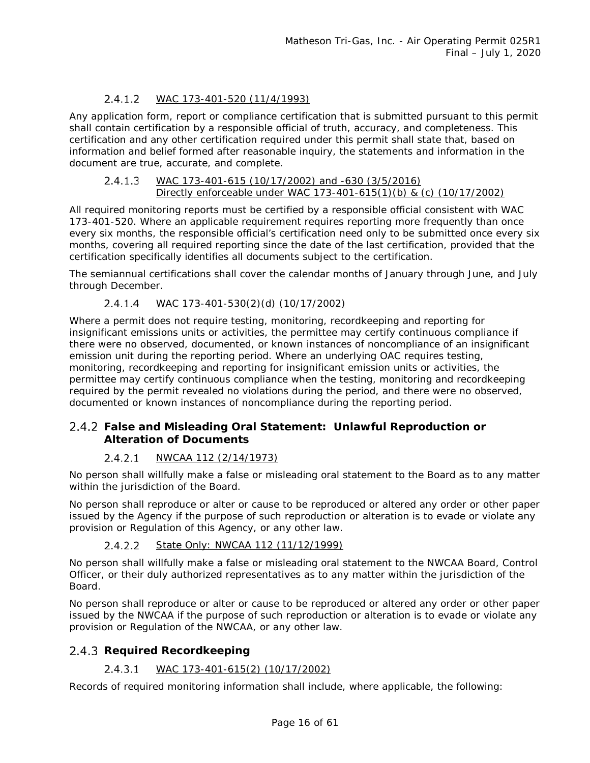#### $2.4.1.2$ *WAC 173-401-520 (11/4/1993)*

Any application form, report or compliance certification that is submitted pursuant to this permit shall contain certification by a responsible official of truth, accuracy, and completeness. This certification and any other certification required under this permit shall state that, based on information and belief formed after reasonable inquiry, the statements and information in the document are true, accurate, and complete.

#### $2.4.1.3$ *WAC 173-401-615 (10/17/2002) and -630 (3/5/2016) Directly enforceable under WAC 173-401-615(1)(b) & (c) (10/17/2002)*

All required monitoring reports must be certified by a responsible official consistent with WAC 173-401-520. Where an applicable requirement requires reporting more frequently than once every six months, the responsible official's certification need only to be submitted once every six months, covering all required reporting since the date of the last certification, provided that the certification specifically identifies all documents subject to the certification.

The semiannual certifications shall cover the calendar months of January through June, and July through December.

#### $2.4.1.4$ *WAC 173-401-530(2)(d) (10/17/2002)*

Where a permit does not require testing, monitoring, recordkeeping and reporting for insignificant emissions units or activities, the permittee may certify continuous compliance if there were no observed, documented, or known instances of noncompliance of an insignificant emission unit during the reporting period. Where an underlying OAC requires testing, monitoring, recordkeeping and reporting for insignificant emission units or activities, the permittee may certify continuous compliance when the testing, monitoring and recordkeeping required by the permit revealed no violations during the period, and there were no observed, documented or known instances of noncompliance during the reporting period.

### **False and Misleading Oral Statement: Unlawful Reproduction or Alteration of Documents**

#### *NWCAA 112 (2/14/1973)*   $2.4.2.1$

No person shall willfully make a false or misleading oral statement to the Board as to any matter within the jurisdiction of the Board.

No person shall reproduce or alter or cause to be reproduced or altered any order or other paper issued by the Agency if the purpose of such reproduction or alteration is to evade or violate any provision or Regulation of this Agency, or any other law.

#### $2.4.2.2$ *State Only: NWCAA 112 (11/12/1999)*

No person shall willfully make a false or misleading oral statement to the NWCAA Board, Control Officer, or their duly authorized representatives as to any matter within the jurisdiction of the Board.

No person shall reproduce or alter or cause to be reproduced or altered any order or other paper issued by the NWCAA if the purpose of such reproduction or alteration is to evade or violate any provision or Regulation of the NWCAA, or any other law.

### 2.4.3 Required Recordkeeping

#### $2.4.3.1$ *WAC 173-401-615(2) (10/17/2002)*

Records of required monitoring information shall include, where applicable, the following: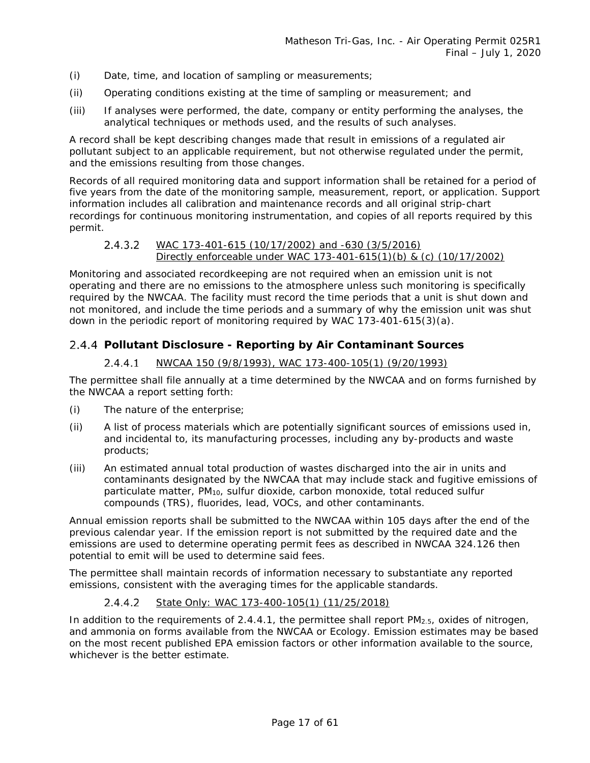- (i) Date, time, and location of sampling or measurements;
- (ii) Operating conditions existing at the time of sampling or measurement; and
- (iii) If analyses were performed, the date, company or entity performing the analyses, the analytical techniques or methods used, and the results of such analyses.

A record shall be kept describing changes made that result in emissions of a regulated air pollutant subject to an applicable requirement, but not otherwise regulated under the permit, and the emissions resulting from those changes.

Records of all required monitoring data and support information shall be retained for a period of five years from the date of the monitoring sample, measurement, report, or application. Support information includes all calibration and maintenance records and all original strip-chart recordings for continuous monitoring instrumentation, and copies of all reports required by this permit.

#### $2.4.3.2$ *WAC 173-401-615 (10/17/2002) and -630 (3/5/2016) Directly enforceable under WAC 173-401-615(1)(b) & (c) (10/17/2002)*

Monitoring and associated recordkeeping are not required when an emission unit is not operating and there are no emissions to the atmosphere unless such monitoring is specifically required by the NWCAA. The facility must record the time periods that a unit is shut down and not monitored, and include the time periods and a summary of why the emission unit was shut down in the periodic report of monitoring required by WAC 173-401-615(3)(a).

### <span id="page-16-0"></span>**Pollutant Disclosure - Reporting by Air Contaminant Sources**

#### *NWCAA 150 (9/8/1993), WAC 173-400-105(1) (9/20/1993)*  $2.4.4.1$

The permittee shall file annually at a time determined by the NWCAA and on forms furnished by the NWCAA a report setting forth:

- (i) The nature of the enterprise;
- (ii) A list of process materials which are potentially significant sources of emissions used in, and incidental to, its manufacturing processes, including any by-products and waste products;
- (iii) An estimated annual total production of wastes discharged into the air in units and contaminants designated by the NWCAA that may include stack and fugitive emissions of particulate matter, PM10, sulfur dioxide, carbon monoxide, total reduced sulfur compounds (TRS), fluorides, lead, VOCs, and other contaminants.

Annual emission reports shall be submitted to the NWCAA within 105 days after the end of the previous calendar year. If the emission report is not submitted by the required date and the emissions are used to determine operating permit fees as described in NWCAA 324.126 then potential to emit will be used to determine said fees.

The permittee shall maintain records of information necessary to substantiate any reported emissions, consistent with the averaging times for the applicable standards.

#### $2.4.4.2$ *State Only: WAC 173-400-105(1) (11/25/2018)*

In addition to the requirements of [2.4.4.1,](#page-16-0) the permittee shall report PM<sub>2.5</sub>, oxides of nitrogen, and ammonia on forms available from the NWCAA or Ecology. Emission estimates may be based on the most recent published EPA emission factors or other information available to the source, whichever is the better estimate.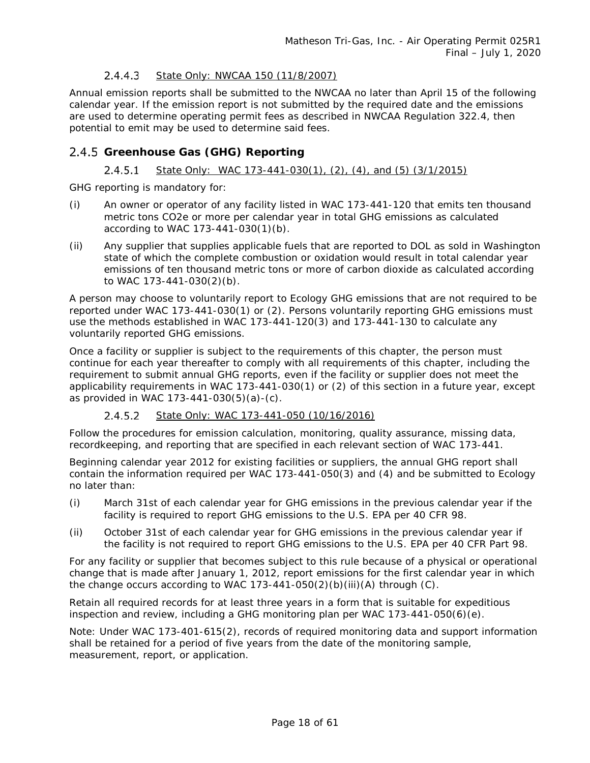#### <span id="page-17-0"></span> $2.4.4.3$ *State Only: NWCAA 150 (11/8/2007)*

Annual emission reports shall be submitted to the NWCAA no later than April 15 of the following calendar year. If the emission report is not submitted by the required date and the emissions are used to determine operating permit fees as described in NWCAA Regulation 322.4, then potential to emit may be used to determine said fees.

### **Greenhouse Gas (GHG) Reporting**

#### *State Only: WAC 173-441-030(1), (2), (4), and (5) (3/1/2015)*  $2.4.5.1$

GHG reporting is mandatory for:

- (i) An owner or operator of any facility listed in WAC 173-441-120 that emits ten thousand metric tons CO2e or more per calendar year in total GHG emissions as calculated according to WAC 173-441-030(1)(b).
- <span id="page-17-1"></span>(ii) Any supplier that supplies applicable fuels that are reported to DOL as sold in Washington state of which the complete combustion or oxidation would result in total calendar year emissions of ten thousand metric tons or more of carbon dioxide as calculated according to WAC 173-441-030(2)(b).

A person may choose to voluntarily report to Ecology GHG emissions that are not required to be reported under WAC 173-441-030(1) or (2). Persons voluntarily reporting GHG emissions must use the methods established in WAC 173-441-120(3) and 173-441-130 to calculate any voluntarily reported GHG emissions.

Once a facility or supplier is subject to the requirements of this chapter, the person must continue for each year thereafter to comply with all requirements of this chapter, including the requirement to submit annual GHG reports, even if the facility or supplier does not meet the applicability requirements in WAC 173-441-030(1) or (2) of this section in a future year, except as provided in WAC 173-441-030(5)(a)-(c).

 $2.4.5.2$ *State Only: WAC 173-441-050 (10/16/2016)*

Follow the procedures for emission calculation, monitoring, quality assurance, missing data, recordkeeping, and reporting that are specified in each relevant section of WAC 173-441.

Beginning calendar year 2012 for existing facilities or suppliers, the annual GHG report shall contain the information required per WAC 173-441-050(3) and (4) and be submitted to Ecology no later than:

- (i) March 31st of each calendar year for GHG emissions in the previous calendar year if the facility is required to report GHG emissions to the U.S. EPA per 40 CFR 98.
- (ii) October 31st of each calendar year for GHG emissions in the previous calendar year if the facility is not required to report GHG emissions to the U.S. EPA per 40 CFR Part 98.

For any facility or supplier that becomes subject to this rule because of a physical or operational change that is made after January 1, 2012, report emissions for the first calendar year in which the change occurs according to WAC  $173-441-050(2)(b)(iii)(A)$  through  $(C)$ .

Retain all required records for at least three years in a form that is suitable for expeditious inspection and review, including a GHG monitoring plan per WAC 173-441-050(6)(e).

Note: Under WAC 173-401-615(2), records of required monitoring data and support information shall be retained for a period of five years from the date of the monitoring sample, measurement, report, or application.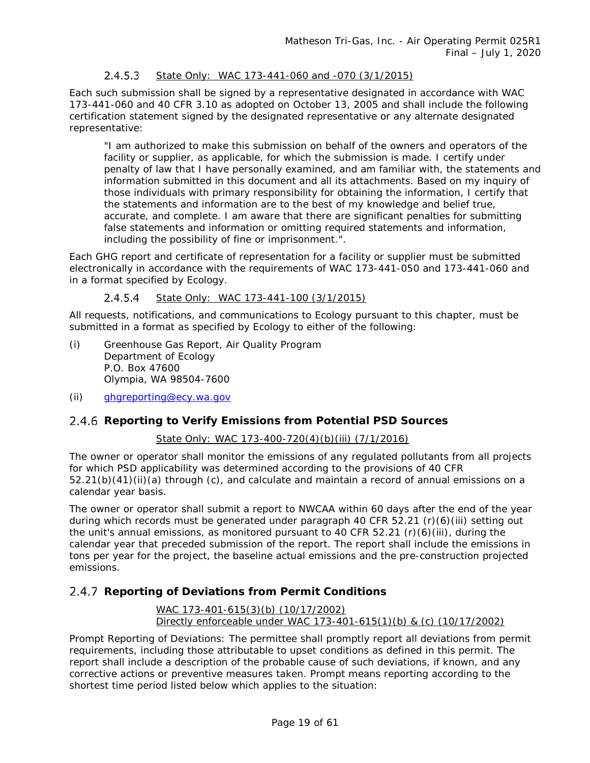#### $2.4.5.3$ *State Only: WAC 173-441-060 and -070 (3/1/2015)*

Each such submission shall be signed by a representative designated in accordance with WAC 173-441-060 and 40 CFR 3.10 as adopted on October 13, 2005 and shall include the following certification statement signed by the designated representative or any alternate designated representative:

"I am authorized to make this submission on behalf of the owners and operators of the facility or supplier, as applicable, for which the submission is made. I certify under penalty of law that I have personally examined, and am familiar with, the statements and information submitted in this document and all its attachments. Based on my inquiry of those individuals with primary responsibility for obtaining the information, I certify that the statements and information are to the best of my knowledge and belief true, accurate, and complete. I am aware that there are significant penalties for submitting false statements and information or omitting required statements and information, including the possibility of fine or imprisonment.".

Each GHG report and certificate of representation for a facility or supplier must be submitted electronically in accordance with the requirements of WAC 173-441-050 and 173-441-060 and in a format specified by Ecology.

*State Only: WAC 173-441-100 (3/1/2015)*  $2.4.5.4$ 

All requests, notifications, and communications to Ecology pursuant to this chapter, must be submitted in a format as specified by Ecology to either of the following:

- (i) Greenhouse Gas Report, Air Quality Program Department of Ecology P.O. Box 47600 Olympia, WA 98504-7600
- (ii) [ghgreporting@ecy.wa.gov](mailto:ghgreporting@ecy.wa.gov)

### **Reporting to Verify Emissions from Potential PSD Sources**

### *State Only: WAC 173-400-720(4)(b)(iii) (7/1/2016)*

The owner or operator shall monitor the emissions of any regulated pollutants from all projects for which PSD applicability was determined according to the provisions of 40 CFR 52.21(b)(41)(ii)(a) through (c), and calculate and maintain a record of annual emissions on a calendar year basis.

The owner or operator shall submit a report to NWCAA within 60 days after the end of the year during which records must be generated under paragraph 40 CFR 52.21 (r)(6)(iii) setting out the unit's annual emissions, as monitored pursuant to 40 CFR 52.21 (r)(6)(iii), during the calendar year that preceded submission of the report. The report shall include the emissions in tons per year for the project, the baseline actual emissions and the pre-construction projected emissions.

### **Reporting of Deviations from Permit Conditions**

*WAC 173-401-615(3)(b) (10/17/2002) Directly enforceable under WAC 173-401-615(1)(b) & (c) (10/17/2002)*

Prompt Reporting of Deviations: The permittee shall promptly report all deviations from permit requirements, including those attributable to upset conditions as defined in this permit. The report shall include a description of the probable cause of such deviations, if known, and any corrective actions or preventive measures taken. Prompt means reporting according to the shortest time period listed below which applies to the situation: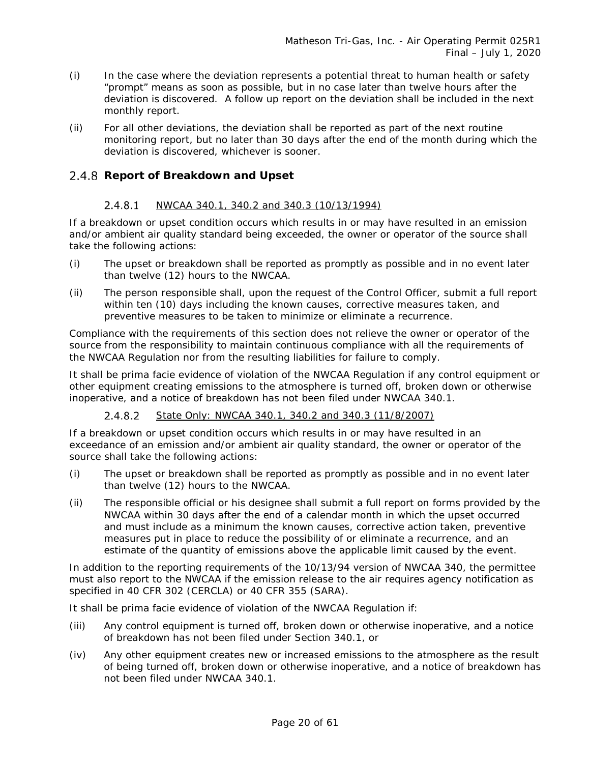- (i) In the case where the deviation represents a potential threat to human health or safety "prompt" means as soon as possible, but in no case later than twelve hours after the deviation is discovered. A follow up report on the deviation shall be included in the next monthly report.
- (ii) For all other deviations, the deviation shall be reported as part of the next routine monitoring report, but no later than 30 days after the end of the month during which the deviation is discovered, whichever is sooner.

### 2.4.8 Report of Breakdown and Upset

#### $2.4.8.1$ *NWCAA 340.1, 340.2 and 340.3 (10/13/1994)*

If a breakdown or upset condition occurs which results in or may have resulted in an emission and/or ambient air quality standard being exceeded, the owner or operator of the source shall take the following actions:

- (i) The upset or breakdown shall be reported as promptly as possible and in no event later than twelve (12) hours to the NWCAA.
- (ii) The person responsible shall, upon the request of the Control Officer, submit a full report within ten (10) days including the known causes, corrective measures taken, and preventive measures to be taken to minimize or eliminate a recurrence.

Compliance with the requirements of this section does not relieve the owner or operator of the source from the responsibility to maintain continuous compliance with all the requirements of the NWCAA Regulation nor from the resulting liabilities for failure to comply.

It shall be prima facie evidence of violation of the NWCAA Regulation if any control equipment or other equipment creating emissions to the atmosphere is turned off, broken down or otherwise inoperative, and a notice of breakdown has not been filed under NWCAA 340.1.

#### $2.4.8.2$ *State Only: NWCAA 340.1, 340.2 and 340.3 (11/8/2007)*

If a breakdown or upset condition occurs which results in or may have resulted in an exceedance of an emission and/or ambient air quality standard, the owner or operator of the source shall take the following actions:

- (i) The upset or breakdown shall be reported as promptly as possible and in no event later than twelve (12) hours to the NWCAA.
- (ii) The responsible official or his designee shall submit a full report on forms provided by the NWCAA within 30 days after the end of a calendar month in which the upset occurred and must include as a minimum the known causes, corrective action taken, preventive measures put in place to reduce the possibility of or eliminate a recurrence, and an estimate of the quantity of emissions above the applicable limit caused by the event.

In addition to the reporting requirements of the 10/13/94 version of NWCAA 340, the permittee must also report to the NWCAA if the emission release to the air requires agency notification as specified in 40 CFR 302 (CERCLA) or 40 CFR 355 (SARA).

It shall be prima facie evidence of violation of the NWCAA Regulation if:

- (iii) Any control equipment is turned off, broken down or otherwise inoperative, and a notice of breakdown has not been filed under Section 340.1, or
- (iv) Any other equipment creates new or increased emissions to the atmosphere as the result of being turned off, broken down or otherwise inoperative, and a notice of breakdown has not been filed under NWCAA 340.1.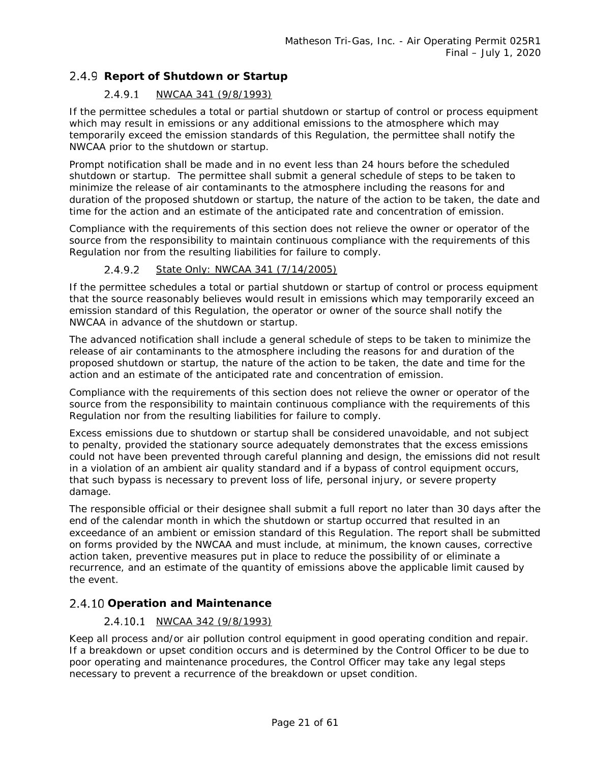### 2.4.9 Report of Shutdown or Startup

#### $2.4.9.1$ *NWCAA 341 (9/8/1993)*

If the permittee schedules a total or partial shutdown or startup of control or process equipment which may result in emissions or any additional emissions to the atmosphere which may temporarily exceed the emission standards of this Regulation, the permittee shall notify the NWCAA prior to the shutdown or startup.

Prompt notification shall be made and in no event less than 24 hours before the scheduled shutdown or startup. The permittee shall submit a general schedule of steps to be taken to minimize the release of air contaminants to the atmosphere including the reasons for and duration of the proposed shutdown or startup, the nature of the action to be taken, the date and time for the action and an estimate of the anticipated rate and concentration of emission.

Compliance with the requirements of this section does not relieve the owner or operator of the source from the responsibility to maintain continuous compliance with the requirements of this Regulation nor from the resulting liabilities for failure to comply.

#### $2.4.9.2$ *State Only: NWCAA 341 (7/14/2005)*

If the permittee schedules a total or partial shutdown or startup of control or process equipment that the source reasonably believes would result in emissions which may temporarily exceed an emission standard of this Regulation, the operator or owner of the source shall notify the NWCAA in advance of the shutdown or startup.

The advanced notification shall include a general schedule of steps to be taken to minimize the release of air contaminants to the atmosphere including the reasons for and duration of the proposed shutdown or startup, the nature of the action to be taken, the date and time for the action and an estimate of the anticipated rate and concentration of emission.

Compliance with the requirements of this section does not relieve the owner or operator of the source from the responsibility to maintain continuous compliance with the requirements of this Regulation nor from the resulting liabilities for failure to comply.

Excess emissions due to shutdown or startup shall be considered unavoidable, and not subject to penalty, provided the stationary source adequately demonstrates that the excess emissions could not have been prevented through careful planning and design, the emissions did not result in a violation of an ambient air quality standard and if a bypass of control equipment occurs, that such bypass is necessary to prevent loss of life, personal injury, or severe property damage.

The responsible official or their designee shall submit a full report no later than 30 days after the end of the calendar month in which the shutdown or startup occurred that resulted in an exceedance of an ambient or emission standard of this Regulation. The report shall be submitted on forms provided by the NWCAA and must include, at minimum, the known causes, corrective action taken, preventive measures put in place to reduce the possibility of or eliminate a recurrence, and an estimate of the quantity of emissions above the applicable limit caused by the event.

### **Operation and Maintenance**

### *NWCAA 342 (9/8/1993)*

Keep all process and/or air pollution control equipment in good operating condition and repair. If a breakdown or upset condition occurs and is determined by the Control Officer to be due to poor operating and maintenance procedures, the Control Officer may take any legal steps necessary to prevent a recurrence of the breakdown or upset condition.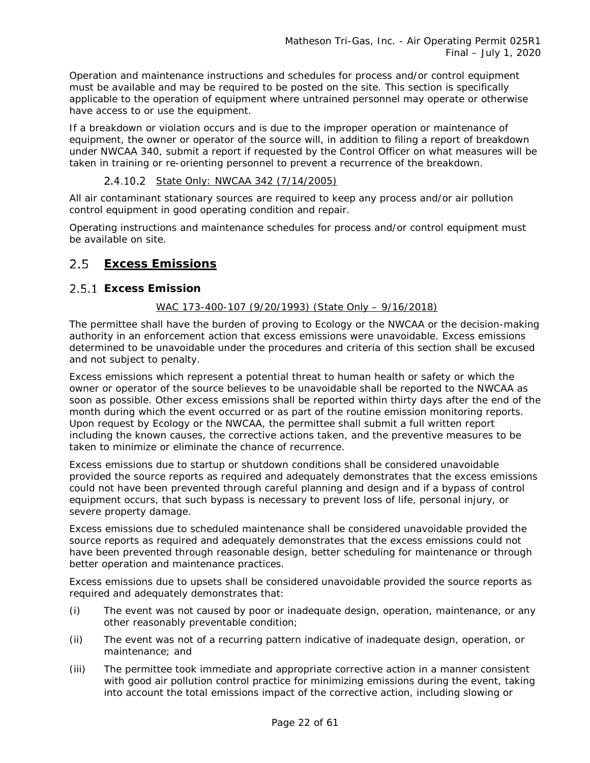Operation and maintenance instructions and schedules for process and/or control equipment must be available and may be required to be posted on the site. This section is specifically applicable to the operation of equipment where untrained personnel may operate or otherwise have access to or use the equipment.

If a breakdown or violation occurs and is due to the improper operation or maintenance of equipment, the owner or operator of the source will, in addition to filing a report of breakdown under NWCAA 340, submit a report if requested by the Control Officer on what measures will be taken in training or re-orienting personnel to prevent a recurrence of the breakdown.

### *State Only: NWCAA 342 (7/14/2005)*

All air contaminant stationary sources are required to keep any process and/or air pollution control equipment in good operating condition and repair.

Operating instructions and maintenance schedules for process and/or control equipment must be available on site.

### <span id="page-21-0"></span>**Excess Emissions**

### **Excess Emission**

### *WAC 173-400-107 (9/20/1993) (State Only – 9/16/2018)*

The permittee shall have the burden of proving to Ecology or the NWCAA or the decision-making authority in an enforcement action that excess emissions were unavoidable. Excess emissions determined to be unavoidable under the procedures and criteria of this section shall be excused and not subject to penalty.

Excess emissions which represent a potential threat to human health or safety or which the owner or operator of the source believes to be unavoidable shall be reported to the NWCAA as soon as possible. Other excess emissions shall be reported within thirty days after the end of the month during which the event occurred or as part of the routine emission monitoring reports. Upon request by Ecology or the NWCAA, the permittee shall submit a full written report including the known causes, the corrective actions taken, and the preventive measures to be taken to minimize or eliminate the chance of recurrence.

Excess emissions due to startup or shutdown conditions shall be considered unavoidable provided the source reports as required and adequately demonstrates that the excess emissions could not have been prevented through careful planning and design and if a bypass of control equipment occurs, that such bypass is necessary to prevent loss of life, personal injury, or severe property damage.

Excess emissions due to scheduled maintenance shall be considered unavoidable provided the source reports as required and adequately demonstrates that the excess emissions could not have been prevented through reasonable design, better scheduling for maintenance or through better operation and maintenance practices.

Excess emissions due to upsets shall be considered unavoidable provided the source reports as required and adequately demonstrates that:

- (i) The event was not caused by poor or inadequate design, operation, maintenance, or any other reasonably preventable condition;
- (ii) The event was not of a recurring pattern indicative of inadequate design, operation, or maintenance; and
- (iii) The permittee took immediate and appropriate corrective action in a manner consistent with good air pollution control practice for minimizing emissions during the event, taking into account the total emissions impact of the corrective action, including slowing or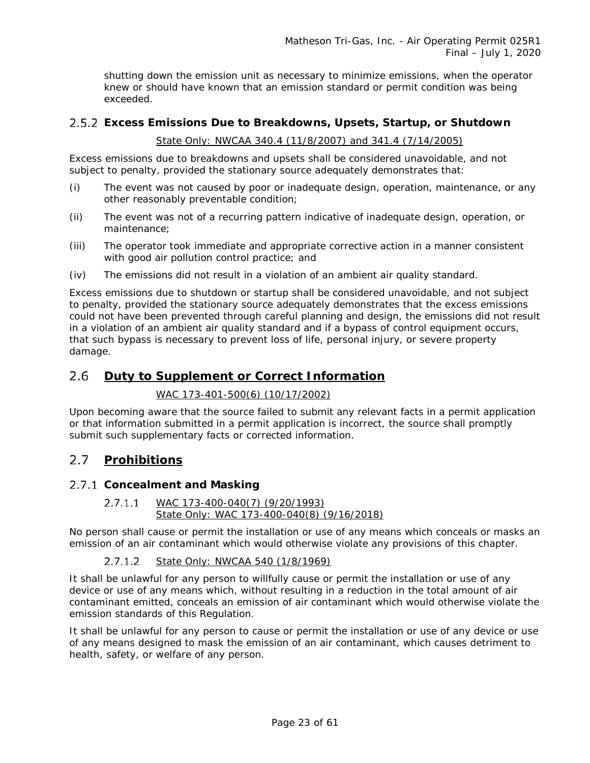shutting down the emission unit as necessary to minimize emissions, when the operator knew or should have known that an emission standard or permit condition was being exceeded.

### **Excess Emissions Due to Breakdowns, Upsets, Startup, or Shutdown**

### *State Only: NWCAA 340.4 (11/8/2007) and 341.4 (7/14/2005)*

Excess emissions due to breakdowns and upsets shall be considered unavoidable, and not subject to penalty, provided the stationary source adequately demonstrates that:

- (i) The event was not caused by poor or inadequate design, operation, maintenance, or any other reasonably preventable condition;
- (ii) The event was not of a recurring pattern indicative of inadequate design, operation, or maintenance;
- (iii) The operator took immediate and appropriate corrective action in a manner consistent with good air pollution control practice; and
- (iv) The emissions did not result in a violation of an ambient air quality standard.

Excess emissions due to shutdown or startup shall be considered unavoidable, and not subject to penalty, provided the stationary source adequately demonstrates that the excess emissions could not have been prevented through careful planning and design, the emissions did not result in a violation of an ambient air quality standard and if a bypass of control equipment occurs, that such bypass is necessary to prevent loss of life, personal injury, or severe property damage.

#### <span id="page-22-0"></span>2.6 **Duty to Supplement or Correct Information**

### *WAC 173-401-500(6) (10/17/2002)*

Upon becoming aware that the source failed to submit any relevant facts in a permit application or that information submitted in a permit application is incorrect, the source shall promptly submit such supplementary facts or corrected information.

#### <span id="page-22-1"></span> $2.7$ **Prohibitions**

### **Concealment and Masking**

#### $2.7.1.1$ *WAC 173-400-040(7) (9/20/1993) State Only: WAC 173-400-040(8) (9/16/2018)*

No person shall cause or permit the installation or use of any means which conceals or masks an emission of an air contaminant which would otherwise violate any provisions of this chapter.

#### $2.7.1.2$ *State Only: NWCAA 540 (1/8/1969)*

It shall be unlawful for any person to willfully cause or permit the installation or use of any device or use of any means which, without resulting in a reduction in the total amount of air contaminant emitted, conceals an emission of air contaminant which would otherwise violate the emission standards of this Regulation.

It shall be unlawful for any person to cause or permit the installation or use of any device or use of any means designed to mask the emission of an air contaminant, which causes detriment to health, safety, or welfare of any person.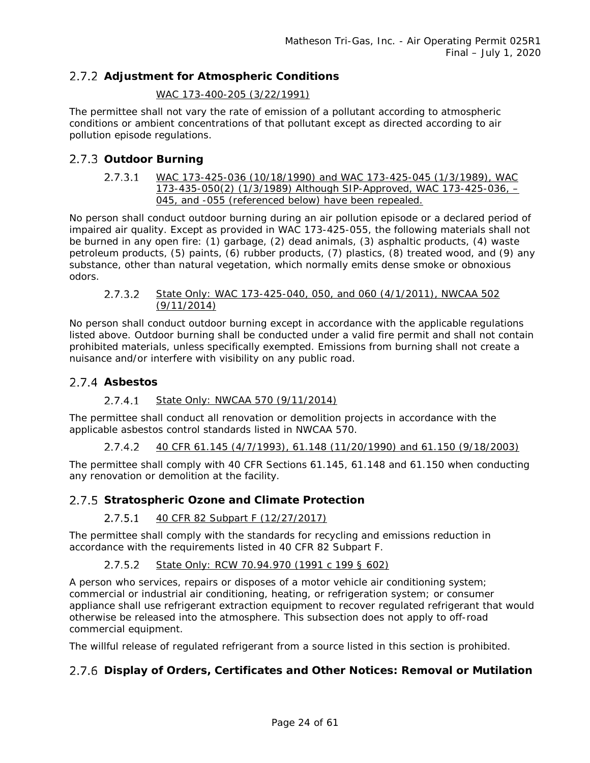### **Adjustment for Atmospheric Conditions**

### *WAC 173-400-205 (3/22/1991)*

The permittee shall not vary the rate of emission of a pollutant according to atmospheric conditions or ambient concentrations of that pollutant except as directed according to air pollution episode regulations.

### 2.7.3 Outdoor Burning

*WAC 173-425-036 (10/18/1990) and WAC 173-425-045 (1/3/1989), WAC*   $2.7.3.1$ *173-435-050(2) (1/3/1989) Although SIP-Approved, WAC 173-425-036, – 045, and -055 (referenced below) have been repealed.*

No person shall conduct outdoor burning during an air pollution episode or a declared period of impaired air quality. Except as provided in WAC 173-425-055, the following materials shall not be burned in any open fire: (1) garbage, (2) dead animals, (3) asphaltic products, (4) waste petroleum products, (5) paints, (6) rubber products, (7) plastics, (8) treated wood, and (9) any substance, other than natural vegetation, which normally emits dense smoke or obnoxious odors.

#### $2.7.3.2$ *State Only: WAC 173-425-040, 050, and 060 (4/1/2011), NWCAA 502 (9/11/2014)*

No person shall conduct outdoor burning except in accordance with the applicable regulations listed above. Outdoor burning shall be conducted under a valid fire permit and shall not contain prohibited materials, unless specifically exempted. Emissions from burning shall not create a nuisance and/or interfere with visibility on any public road.

### 2.7.4 Asbestos

#### $2.7.4.1$ *State Only: NWCAA 570 (9/11/2014)*

The permittee shall conduct all renovation or demolition projects in accordance with the applicable asbestos control standards listed in NWCAA 570.

 $2.7.4.2$ *40 CFR 61.145 (4/7/1993), 61.148 (11/20/1990) and 61.150 (9/18/2003)*

The permittee shall comply with 40 CFR Sections 61.145, 61.148 and 61.150 when conducting any renovation or demolition at the facility.

### **Stratospheric Ozone and Climate Protection**

#### $2.7.5.1$ *40 CFR 82 Subpart F (12/27/2017)*

The permittee shall comply with the standards for recycling and emissions reduction in accordance with the requirements listed in 40 CFR 82 Subpart F.

#### *State Only: RCW 70.94.970 (1991 c 199 § 602)*  $2.7.5.2$

A person who services, repairs or disposes of a motor vehicle air conditioning system; commercial or industrial air conditioning, heating, or refrigeration system; or consumer appliance shall use refrigerant extraction equipment to recover regulated refrigerant that would otherwise be released into the atmosphere. This subsection does not apply to off-road commercial equipment.

The willful release of regulated refrigerant from a source listed in this section is prohibited.

### **Display of Orders, Certificates and Other Notices: Removal or Mutilation**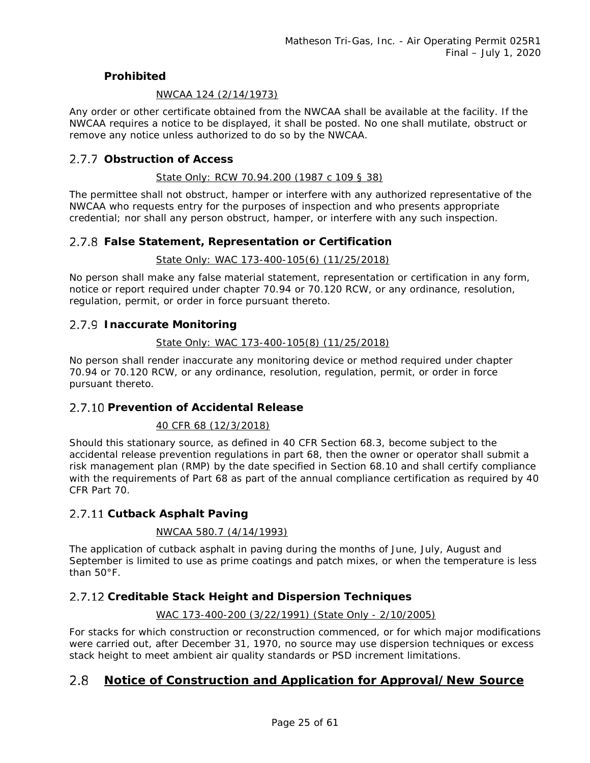### **Prohibited**

### *NWCAA 124 (2/14/1973)*

Any order or other certificate obtained from the NWCAA shall be available at the facility. If the NWCAA requires a notice to be displayed, it shall be posted. No one shall mutilate, obstruct or remove any notice unless authorized to do so by the NWCAA.

### **Obstruction of Access**

### *State Only: RCW 70.94.200 (1987 c 109 § 38)*

The permittee shall not obstruct, hamper or interfere with any authorized representative of the NWCAA who requests entry for the purposes of inspection and who presents appropriate credential; nor shall any person obstruct, hamper, or interfere with any such inspection.

### **False Statement, Representation or Certification**

### *State Only: WAC 173-400-105(6) (11/25/2018)*

No person shall make any false material statement, representation or certification in any form, notice or report required under chapter 70.94 or 70.120 RCW, or any ordinance, resolution, regulation, permit, or order in force pursuant thereto.

### **Inaccurate Monitoring**

### *State Only: WAC 173-400-105(8) (11/25/2018)*

No person shall render inaccurate any monitoring device or method required under chapter 70.94 or 70.120 RCW, or any ordinance, resolution, regulation, permit, or order in force pursuant thereto.

### **Prevention of Accidental Release**

### *40 CFR 68 (12/3/2018)*

Should this stationary source, as defined in 40 CFR Section 68.3, become subject to the accidental release prevention regulations in part 68, then the owner or operator shall submit a risk management plan (RMP) by the date specified in Section 68.10 and shall certify compliance with the requirements of Part 68 as part of the annual compliance certification as required by 40 CFR Part 70.

### 2.7.11 Cutback Asphalt Paving

### *NWCAA 580.7 (4/14/1993)*

The application of cutback asphalt in paving during the months of June, July, August and September is limited to use as prime coatings and patch mixes, or when the temperature is less than 50°F.

### **Creditable Stack Height and Dispersion Techniques**

### *WAC 173-400-200 (3/22/1991) (State Only - 2/10/2005)*

For stacks for which construction or reconstruction commenced, or for which major modifications were carried out, after December 31, 1970, no source may use dispersion techniques or excess stack height to meet ambient air quality standards or PSD increment limitations.

#### <span id="page-24-0"></span>2.8 **Notice of Construction and Application for Approval/New Source**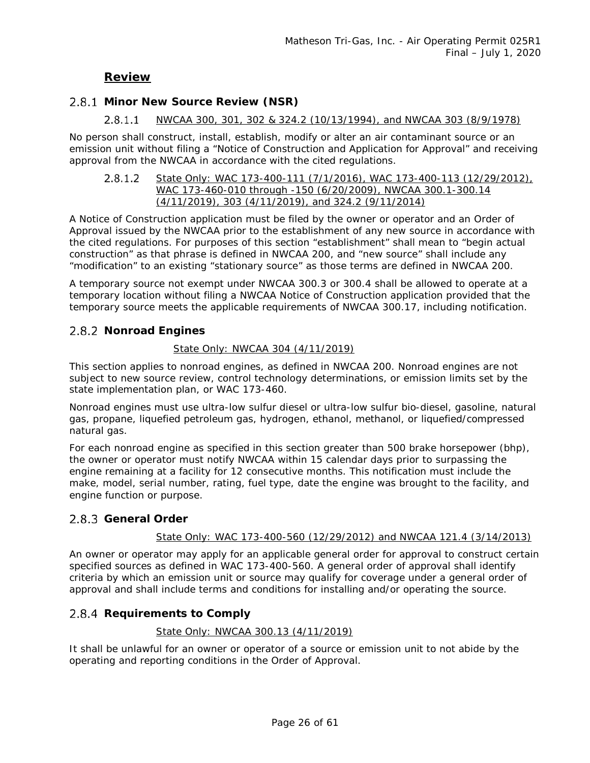### **Review**

### 2.8.1 Minor New Source Review (NSR)

#### $2.8.1.1$ *NWCAA 300, 301, 302 & 324.2 (10/13/1994), and NWCAA 303 (8/9/1978)*

No person shall construct, install, establish, modify or alter an air contaminant source or an emission unit without filing a "Notice of Construction and Application for Approval" and receiving approval from the NWCAA in accordance with the cited regulations.

#### $2.8.1.2$ *State Only: WAC 173-400-111 (7/1/2016), WAC 173-400-113 (12/29/2012), WAC 173-460-010 through -150 (6/20/2009), NWCAA 300.1-300.14 (4/11/2019), 303 (4/11/2019), and 324.2 (9/11/2014)*

A Notice of Construction application must be filed by the owner or operator and an Order of Approval issued by the NWCAA prior to the establishment of any new source in accordance with the cited regulations. For purposes of this section "establishment" shall mean to "begin actual construction" as that phrase is defined in NWCAA 200, and "new source" shall include any "modification" to an existing "stationary source" as those terms are defined in NWCAA 200.

A temporary source not exempt under NWCAA 300.3 or 300.4 shall be allowed to operate at a temporary location without filing a NWCAA Notice of Construction application provided that the temporary source meets the applicable requirements of NWCAA 300.17, including notification.

### 2.8.2 Nonroad Engines

### *State Only: NWCAA 304 (4/11/2019)*

This section applies to nonroad engines, as defined in NWCAA 200. Nonroad engines are not subject to new source review, control technology determinations, or emission limits set by the state implementation plan, or WAC 173-460.

Nonroad engines must use ultra-low sulfur diesel or ultra-low sulfur bio-diesel, gasoline, natural gas, propane, liquefied petroleum gas, hydrogen, ethanol, methanol, or liquefied/compressed natural gas.

For each nonroad engine as specified in this section greater than 500 brake horsepower (bhp), the owner or operator must notify NWCAA within 15 calendar days prior to surpassing the engine remaining at a facility for 12 consecutive months. This notification must include the make, model, serial number, rating, fuel type, date the engine was brought to the facility, and engine function or purpose.

### 2.8.3 General Order

### *State Only: WAC 173-400-560 (12/29/2012) and NWCAA 121.4 (3/14/2013)*

An owner or operator may apply for an applicable general order for approval to construct certain specified sources as defined in WAC 173-400-560. A general order of approval shall identify criteria by which an emission unit or source may qualify for coverage under a general order of approval and shall include terms and conditions for installing and/or operating the source.

### 2.8.4 Requirements to Comply

### *State Only: NWCAA 300.13 (4/11/2019)*

It shall be unlawful for an owner or operator of a source or emission unit to not abide by the operating and reporting conditions in the Order of Approval.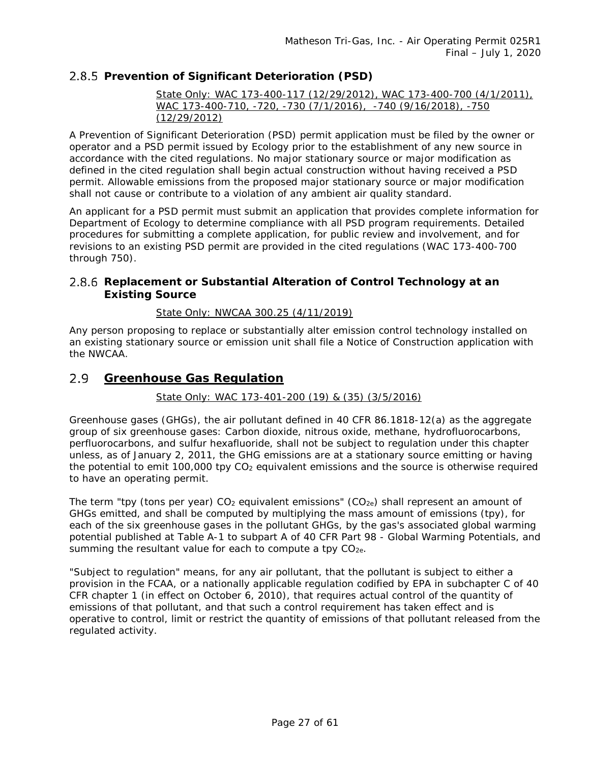### **Prevention of Significant Deterioration (PSD)**

*State Only: WAC 173-400-117 (12/29/2012), WAC 173-400-700 (4/1/2011), WAC 173-400-710, -720, -730 (7/1/2016), -740 (9/16/2018), -750 (12/29/2012)* 

A Prevention of Significant Deterioration (PSD) permit application must be filed by the owner or operator and a PSD permit issued by Ecology prior to the establishment of any new source in accordance with the cited regulations. No major stationary source or major modification as defined in the cited regulation shall begin actual construction without having received a PSD permit. Allowable emissions from the proposed major stationary source or major modification shall not cause or contribute to a violation of any ambient air quality standard.

An applicant for a PSD permit must submit an application that provides complete information for Department of Ecology to determine compliance with all PSD program requirements. Detailed procedures for submitting a complete application, for public review and involvement, and for revisions to an existing PSD permit are provided in the cited regulations (WAC 173-400-700 through 750).

### **Replacement or Substantial Alteration of Control Technology at an Existing Source**

### *State Only: NWCAA 300.25 (4/11/2019)*

Any person proposing to replace or substantially alter emission control technology installed on an existing stationary source or emission unit shall file a Notice of Construction application with the NWCAA.

#### <span id="page-26-0"></span> $2.9$ **Greenhouse Gas Regulation**

### *State Only: WAC 173-401-200 (19) & (35) (3/5/2016)*

Greenhouse gases (GHGs), the air pollutant defined in 40 CFR 86.1818-12(a) as the aggregate group of six greenhouse gases: Carbon dioxide, nitrous oxide, methane, hydrofluorocarbons, perfluorocarbons, and sulfur hexafluoride, shall not be subject to regulation under this chapter unless, as of January 2, 2011, the GHG emissions are at a stationary source emitting or having the potential to emit 100,000 tpy  $CO<sub>2</sub>$  equivalent emissions and the source is otherwise required to have an operating permit.

The term "tpy (tons per year)  $CO<sub>2</sub>$  equivalent emissions" ( $CO<sub>2</sub>e$ ) shall represent an amount of GHGs emitted, and shall be computed by multiplying the mass amount of emissions (tpy), for each of the six greenhouse gases in the pollutant GHGs, by the gas's associated global warming potential published at Table A-1 to subpart A of 40 CFR Part 98 - Global Warming Potentials, and summing the resultant value for each to compute a tpy  $CO<sub>2e</sub>$ .

"Subject to regulation" means, for any air pollutant, that the pollutant is subject to either a provision in the FCAA, or a nationally applicable regulation codified by EPA in subchapter C of 40 CFR chapter 1 (in effect on October 6, 2010), that requires actual control of the quantity of emissions of that pollutant, and that such a control requirement has taken effect and is operative to control, limit or restrict the quantity of emissions of that pollutant released from the regulated activity.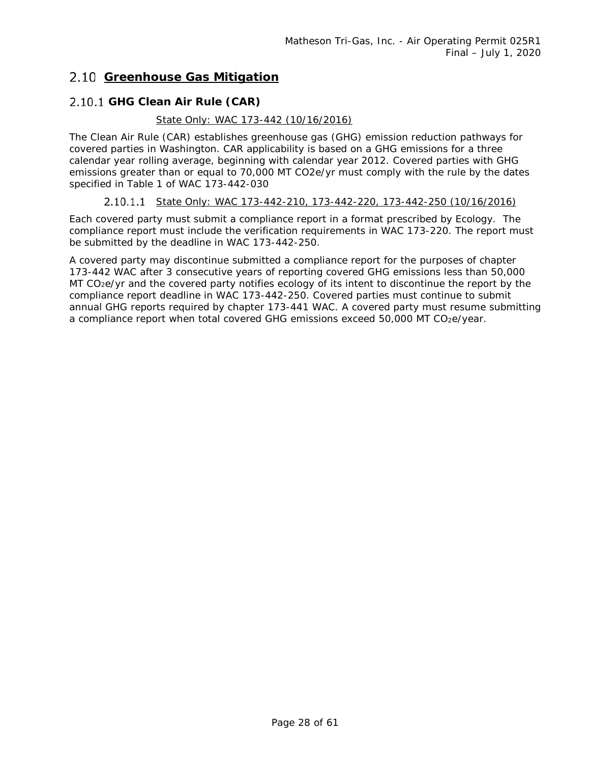### <span id="page-27-1"></span><span id="page-27-0"></span>**Greenhouse Gas Mitigation**

### **GHG Clean Air Rule (CAR)**

### *State Only: WAC 173-442 (10/16/2016)*

The Clean Air Rule (CAR) establishes greenhouse gas (GHG) emission reduction pathways for covered parties in Washington. CAR applicability is based on a GHG emissions for a three calendar year rolling average, beginning with calendar year 2012. Covered parties with GHG emissions greater than or equal to 70,000 MT CO2e/yr must comply with the rule by the dates specified in Table 1 of WAC 173-442-030

### *State Only: WAC 173-442-210, 173-442-220, 173-442-250 (10/16/2016)*

Each covered party must submit a compliance report in a format prescribed by Ecology. The compliance report must include the verification requirements in WAC 173-220. The report must be submitted by the deadline in WAC 173-442-250.

A covered party may discontinue submitted a compliance report for the purposes of chapter 173-442 WAC after 3 consecutive years of reporting covered GHG emissions less than 50,000 MT CO<sub>2</sub>e/yr and the covered party notifies ecology of its intent to discontinue the report by the compliance report deadline in WAC 173-442-250. Covered parties must continue to submit annual GHG reports required by chapter 173-441 WAC. A covered party must resume submitting a compliance report when total covered GHG emissions exceed 50,000 MT CO2e/year.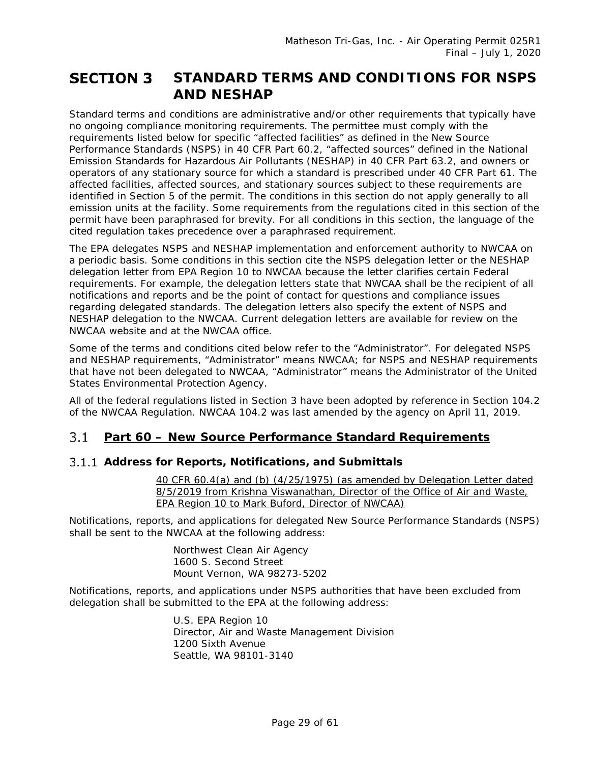### <span id="page-28-0"></span>**STANDARD TERMS AND CONDITIONS FOR NSPS SECTION 3 AND NESHAP**

Standard terms and conditions are administrative and/or other requirements that typically have no ongoing compliance monitoring requirements. The permittee must comply with the requirements listed below for specific "affected facilities" as defined in the New Source Performance Standards (NSPS) in 40 CFR Part 60.2, "affected sources" defined in the National Emission Standards for Hazardous Air Pollutants (NESHAP) in 40 CFR Part 63.2, and owners or operators of any stationary source for which a standard is prescribed under 40 CFR Part 61. The affected facilities, affected sources, and stationary sources subject to these requirements are identified in Section 5 of the permit. The conditions in this section do not apply generally to all emission units at the facility. Some requirements from the regulations cited in this section of the permit have been paraphrased for brevity. For all conditions in this section, the language of the cited regulation takes precedence over a paraphrased requirement.

The EPA delegates NSPS and NESHAP implementation and enforcement authority to NWCAA on a periodic basis. Some conditions in this section cite the NSPS delegation letter or the NESHAP delegation letter from EPA Region 10 to NWCAA because the letter clarifies certain Federal requirements. For example, the delegation letters state that NWCAA shall be the recipient of all notifications and reports and be the point of contact for questions and compliance issues regarding delegated standards. The delegation letters also specify the extent of NSPS and NESHAP delegation to the NWCAA. Current delegation letters are available for review on the NWCAA website and at the NWCAA office.

Some of the terms and conditions cited below refer to the "Administrator". For delegated NSPS and NESHAP requirements, "Administrator" means NWCAA; for NSPS and NESHAP requirements that have not been delegated to NWCAA, "Administrator" means the Administrator of the United States Environmental Protection Agency.

All of the federal regulations listed in Section 3 have been adopted by reference in Section 104.2 of the NWCAA Regulation. NWCAA 104.2 was last amended by the agency on April 11, 2019.

#### <span id="page-28-1"></span> $3.1$ **Part 60 – New Source Performance Standard Requirements**

### **Address for Reports, Notifications, and Submittals**

*40 CFR 60.4(a) and (b) (4/25/1975) (as amended by Delegation Letter dated 8/5/2019 from Krishna Viswanathan, Director of the Office of Air and Waste, EPA Region 10 to Mark Buford, Director of NWCAA)*

Notifications, reports, and applications for delegated New Source Performance Standards (NSPS) shall be sent to the NWCAA at the following address:

> Northwest Clean Air Agency 1600 S. Second Street Mount Vernon, WA 98273-5202

Notifications, reports, and applications under NSPS authorities that have been excluded from delegation shall be submitted to the EPA at the following address*:*

> U.S. EPA Region 10 Director, Air and Waste Management Division 1200 Sixth Avenue Seattle, WA 98101-3140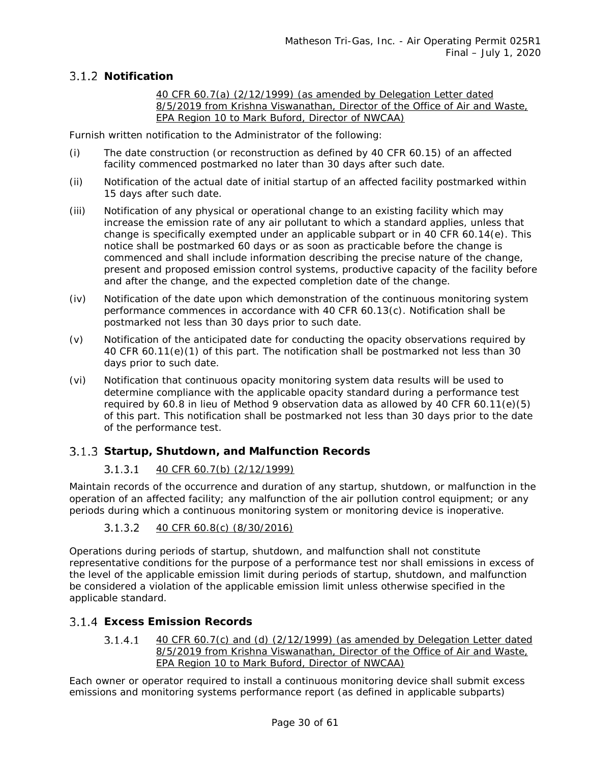### **Notification**

*40 CFR 60.7(a) (2/12/1999) (as amended by Delegation Letter dated 8/5/2019 from Krishna Viswanathan, Director of the Office of Air and Waste, EPA Region 10 to Mark Buford, Director of NWCAA)*

Furnish written notification to the Administrator of the following:

- (i) The date construction (or reconstruction as defined by 40 CFR 60.15) of an affected facility commenced postmarked no later than 30 days after such date.
- (ii) Notification of the actual date of initial startup of an affected facility postmarked within 15 days after such date.
- (iii) Notification of any physical or operational change to an existing facility which may increase the emission rate of any air pollutant to which a standard applies, unless that change is specifically exempted under an applicable subpart or in 40 CFR 60.14(e). This notice shall be postmarked 60 days or as soon as practicable before the change is commenced and shall include information describing the precise nature of the change, present and proposed emission control systems, productive capacity of the facility before and after the change, and the expected completion date of the change.
- (iv) Notification of the date upon which demonstration of the continuous monitoring system performance commences in accordance with 40 CFR 60.13(c). Notification shall be postmarked not less than 30 days prior to such date.
- (v) Notification of the anticipated date for conducting the opacity observations required by 40 CFR 60.11(e)(1) of this part. The notification shall be postmarked not less than 30 days prior to such date.
- (vi) Notification that continuous opacity monitoring system data results will be used to determine compliance with the applicable opacity standard during a performance test required by 60.8 in lieu of Method 9 observation data as allowed by 40 CFR 60.11(e)(5) of this part. This notification shall be postmarked not less than 30 days prior to the date of the performance test.

### **Startup, Shutdown, and Malfunction Records**

#### *40 CFR 60.7(b) (2/12/1999)*  $3.1.3.1$

Maintain records of the occurrence and duration of any startup, shutdown, or malfunction in the operation of an affected facility; any malfunction of the air pollution control equipment; or any periods during which a continuous monitoring system or monitoring device is inoperative.

#### $3.1.3.2$ *40 CFR 60.8(c) (8/30/2016)*

Operations during periods of startup, shutdown, and malfunction shall not constitute representative conditions for the purpose of a performance test nor shall emissions in excess of the level of the applicable emission limit during periods of startup, shutdown, and malfunction be considered a violation of the applicable emission limit unless otherwise specified in the applicable standard.

### <span id="page-29-0"></span>**Excess Emission Records**

 $3.1.4.1$ *40 CFR 60.7(c) and (d) (2/12/1999) (as amended by Delegation Letter dated 8/5/2019 from Krishna Viswanathan, Director of the Office of Air and Waste, EPA Region 10 to Mark Buford, Director of NWCAA)*

Each owner or operator required to install a continuous monitoring device shall submit excess emissions and monitoring systems performance report (as defined in applicable subparts)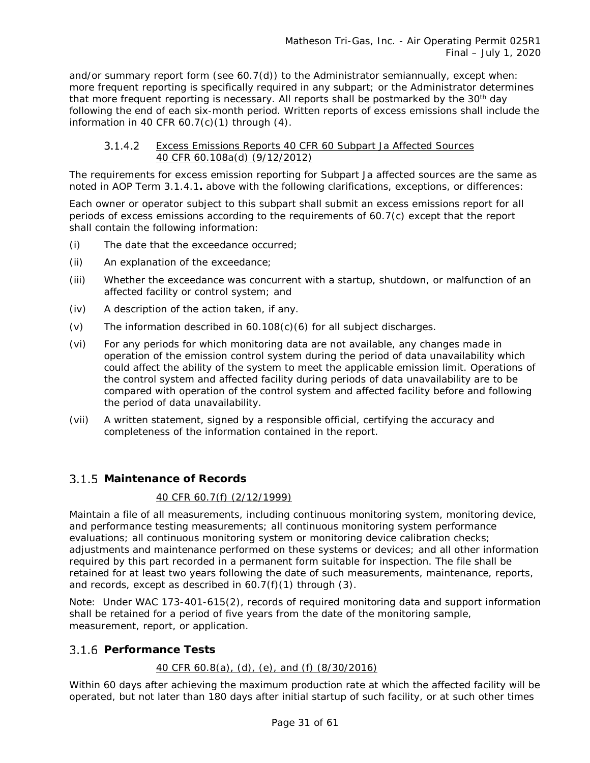and/or summary report form (see  $60.7(d)$ ) to the Administrator semiannually, except when: more frequent reporting is specifically required in any subpart; or the Administrator determines that more frequent reporting is necessary. All reports shall be postmarked by the 30<sup>th</sup> day following the end of each six-month period. Written reports of excess emissions shall include the information in 40 CFR  $60.7(c)(1)$  through  $(4)$ .

#### *Excess Emissions Reports 40 CFR 60 Subpart Ja Affected Sources*  $3.1.4.2$ *40 CFR 60.108a(d) (9/12/2012)*

The requirements for excess emission reporting for Subpart Ja affected sources are the same as noted in AOP Term [3.1.4.1](#page-29-0)**.** above with the following clarifications, exceptions, or differences:

Each owner or operator subject to this subpart shall submit an excess emissions report for all periods of excess emissions according to the requirements of 60.7(c) except that the report shall contain the following information:

- (i) The date that the exceedance occurred;
- (ii) An explanation of the exceedance;
- (iii) Whether the exceedance was concurrent with a startup, shutdown, or malfunction of an affected facility or control system; and
- (iv) A description of the action taken, if any.
- (v) The information described in  $60.108(c)(6)$  for all subject discharges.
- (vi) For any periods for which monitoring data are not available, any changes made in operation of the emission control system during the period of data unavailability which could affect the ability of the system to meet the applicable emission limit. Operations of the control system and affected facility during periods of data unavailability are to be compared with operation of the control system and affected facility before and following the period of data unavailability.
- (vii) A written statement, signed by a responsible official, certifying the accuracy and completeness of the information contained in the report.

### **Maintenance of Records**

### *40 CFR 60.7(f) (2/12/1999)*

Maintain a file of all measurements, including continuous monitoring system, monitoring device, and performance testing measurements; all continuous monitoring system performance evaluations; all continuous monitoring system or monitoring device calibration checks; adjustments and maintenance performed on these systems or devices; and all other information required by this part recorded in a permanent form suitable for inspection. The file shall be retained for at least two years following the date of such measurements, maintenance, reports, and records, except as described in 60.7(f)(1) through (3).

Note: Under WAC 173-401-615(2), records of required monitoring data and support information shall be retained for a period of five years from the date of the monitoring sample, measurement, report, or application.

### **Performance Tests**

### *40 CFR 60.8(a), (d), (e), and (f) (8/30/2016)*

Within 60 days after achieving the maximum production rate at which the affected facility will be operated, but not later than 180 days after initial startup of such facility, or at such other times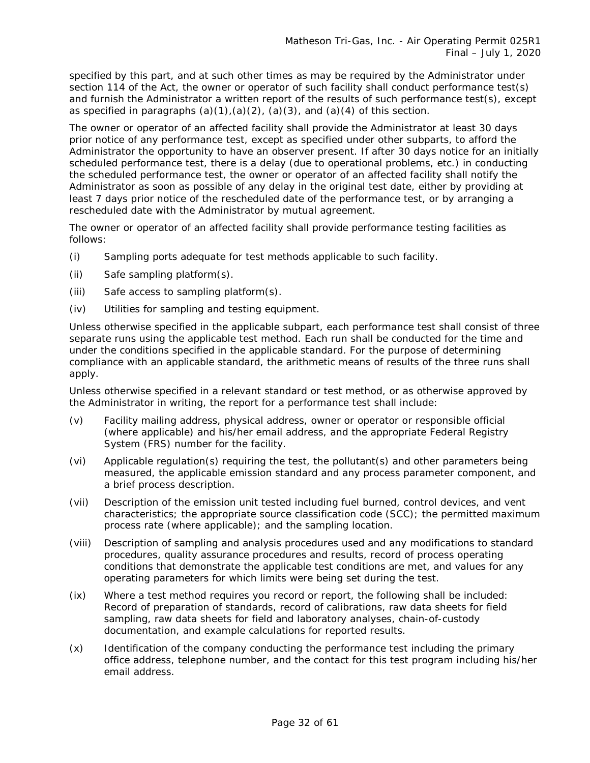specified by this part, and at such other times as may be required by the Administrator under section 114 of the Act, the owner or operator of such facility shall conduct performance test(s) and furnish the Administrator a written report of the results of such performance test(s), except as specified in paragraphs  $(a)(1), (a)(2), (a)(3),$  and  $(a)(4)$  of this section.

The owner or operator of an affected facility shall provide the Administrator at least 30 days prior notice of any performance test, except as specified under other subparts, to afford the Administrator the opportunity to have an observer present. If after 30 days notice for an initially scheduled performance test, there is a delay (due to operational problems, etc.) in conducting the scheduled performance test, the owner or operator of an affected facility shall notify the Administrator as soon as possible of any delay in the original test date, either by providing at least 7 days prior notice of the rescheduled date of the performance test, or by arranging a rescheduled date with the Administrator by mutual agreement.

The owner or operator of an affected facility shall provide performance testing facilities as follows:

- (i) Sampling ports adequate for test methods applicable to such facility.
- (ii) Safe sampling platform(s).
- (iii) Safe access to sampling platform(s).
- (iv) Utilities for sampling and testing equipment.

Unless otherwise specified in the applicable subpart, each performance test shall consist of three separate runs using the applicable test method. Each run shall be conducted for the time and under the conditions specified in the applicable standard. For the purpose of determining compliance with an applicable standard, the arithmetic means of results of the three runs shall apply.

Unless otherwise specified in a relevant standard or test method, or as otherwise approved by the Administrator in writing, the report for a performance test shall include:

- (v) Facility mailing address, physical address, owner or operator or responsible official (where applicable) and his/her email address, and the appropriate Federal Registry System (FRS) number for the facility.
- (vi) Applicable regulation(s) requiring the test, the pollutant(s) and other parameters being measured, the applicable emission standard and any process parameter component, and a brief process description.
- (vii) Description of the emission unit tested including fuel burned, control devices, and vent characteristics; the appropriate source classification code (SCC); the permitted maximum process rate (where applicable); and the sampling location.
- (viii) Description of sampling and analysis procedures used and any modifications to standard procedures, quality assurance procedures and results, record of process operating conditions that demonstrate the applicable test conditions are met, and values for any operating parameters for which limits were being set during the test.
- (ix) Where a test method requires you record or report, the following shall be included: Record of preparation of standards, record of calibrations, raw data sheets for field sampling, raw data sheets for field and laboratory analyses, chain-of-custody documentation, and example calculations for reported results.
- (x) Identification of the company conducting the performance test including the primary office address, telephone number, and the contact for this test program including his/her email address.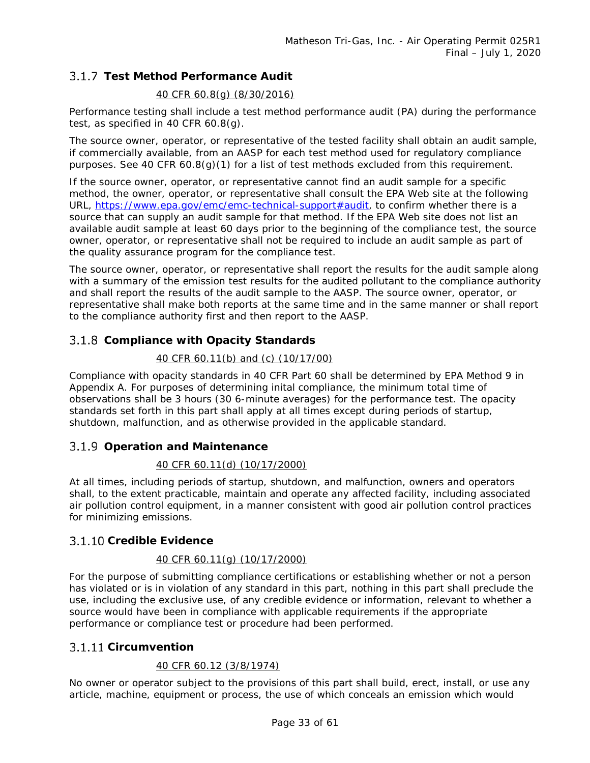### **Test Method Performance Audit**

### *40 CFR 60.8(g) (8/30/2016)*

Performance testing shall include a test method performance audit (PA) during the performance test, as specified in 40 CFR 60.8(g).

The source owner, operator, or representative of the tested facility shall obtain an audit sample, if commercially available, from an AASP for each test method used for regulatory compliance purposes. See 40 CFR 60.8(g)(1) for a list of test methods excluded from this requirement.

If the source owner, operator, or representative cannot find an audit sample for a specific method, the owner, operator, or representative shall consult the EPA Web site at the following URL, [https://www.epa.gov/emc/emc-technical-support#audit,](https://www.epa.gov/emc/emc-technical-support#audit) to confirm whether there is a source that can supply an audit sample for that method. If the EPA Web site does not list an available audit sample at least 60 days prior to the beginning of the compliance test, the source owner, operator, or representative shall not be required to include an audit sample as part of the quality assurance program for the compliance test.

The source owner, operator, or representative shall report the results for the audit sample along with a summary of the emission test results for the audited pollutant to the compliance authority and shall report the results of the audit sample to the AASP. The source owner, operator, or representative shall make both reports at the same time and in the same manner or shall report to the compliance authority first and then report to the AASP.

### **Compliance with Opacity Standards**

### *40 CFR 60.11(b) and (c) (10/17/00)*

Compliance with opacity standards in 40 CFR Part 60 shall be determined by EPA Method 9 in Appendix A. For purposes of determining inital compliance, the minimum total time of observations shall be 3 hours (30 6-minute averages) for the performance test. The opacity standards set forth in this part shall apply at all times except during periods of startup, shutdown, malfunction, and as otherwise provided in the applicable standard.

### **Operation and Maintenance**

### *40 CFR 60.11(d) (10/17/2000)*

At all times, including periods of startup, shutdown, and malfunction, owners and operators shall, to the extent practicable, maintain and operate any affected facility, including associated air pollution control equipment, in a manner consistent with good air pollution control practices for minimizing emissions.

### **Credible Evidence**

### *40 CFR 60.11(g) (10/17/2000)*

For the purpose of submitting compliance certifications or establishing whether or not a person has violated or is in violation of any standard in this part, nothing in this part shall preclude the use, including the exclusive use, of any credible evidence or information, relevant to whether a source would have been in compliance with applicable requirements if the appropriate performance or compliance test or procedure had been performed.

### **Circumvention**

### *40 CFR 60.12 (3/8/1974)*

No owner or operator subject to the provisions of this part shall build, erect, install, or use any article, machine, equipment or process, the use of which conceals an emission which would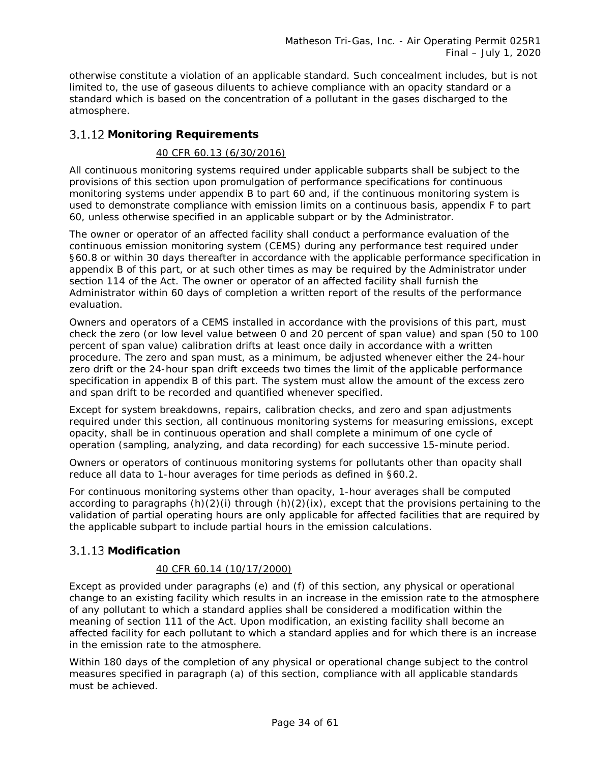otherwise constitute a violation of an applicable standard. Such concealment includes, but is not limited to, the use of gaseous diluents to achieve compliance with an opacity standard or a standard which is based on the concentration of a pollutant in the gases discharged to the atmosphere.

### **Monitoring Requirements**

### *40 CFR 60.13 (6/30/2016)*

All continuous monitoring systems required under applicable subparts shall be subject to the provisions of this section upon promulgation of performance specifications for continuous monitoring systems under appendix B to part 60 and, if the continuous monitoring system is used to demonstrate compliance with emission limits on a continuous basis, appendix F to part 60, unless otherwise specified in an applicable subpart or by the Administrator.

The owner or operator of an affected facility shall conduct a performance evaluation of the continuous emission monitoring system (CEMS) during any performance test required under §60.8 or within 30 days thereafter in accordance with the applicable performance specification in appendix B of this part, or at such other times as may be required by the Administrator under section 114 of the Act. The owner or operator of an affected facility shall furnish the Administrator within 60 days of completion a written report of the results of the performance evaluation.

Owners and operators of a CEMS installed in accordance with the provisions of this part, must check the zero (or low level value between 0 and 20 percent of span value) and span (50 to 100 percent of span value) calibration drifts at least once daily in accordance with a written procedure. The zero and span must, as a minimum, be adjusted whenever either the 24-hour zero drift or the 24-hour span drift exceeds two times the limit of the applicable performance specification in appendix B of this part. The system must allow the amount of the excess zero and span drift to be recorded and quantified whenever specified.

Except for system breakdowns, repairs, calibration checks, and zero and span adjustments required under this section, all continuous monitoring systems for measuring emissions, except opacity, shall be in continuous operation and shall complete a minimum of one cycle of operation (sampling, analyzing, and data recording) for each successive 15-minute period.

Owners or operators of continuous monitoring systems for pollutants other than opacity shall reduce all data to 1-hour averages for time periods as defined in §60.2.

For continuous monitoring systems other than opacity, 1-hour averages shall be computed according to paragraphs (h)(2)(i) through (h)(2)(ix), except that the provisions pertaining to the validation of partial operating hours are only applicable for affected facilities that are required by the applicable subpart to include partial hours in the emission calculations.

### **Modification**

### *40 CFR 60.14 (10/17/2000)*

Except as provided under paragraphs (e) and (f) of this section, any physical or operational change to an existing facility which results in an increase in the emission rate to the atmosphere of any pollutant to which a standard applies shall be considered a modification within the meaning of section 111 of the Act. Upon modification, an existing facility shall become an affected facility for each pollutant to which a standard applies and for which there is an increase in the emission rate to the atmosphere.

Within 180 days of the completion of any physical or operational change subject to the control measures specified in paragraph (a) of this section, compliance with all applicable standards must be achieved.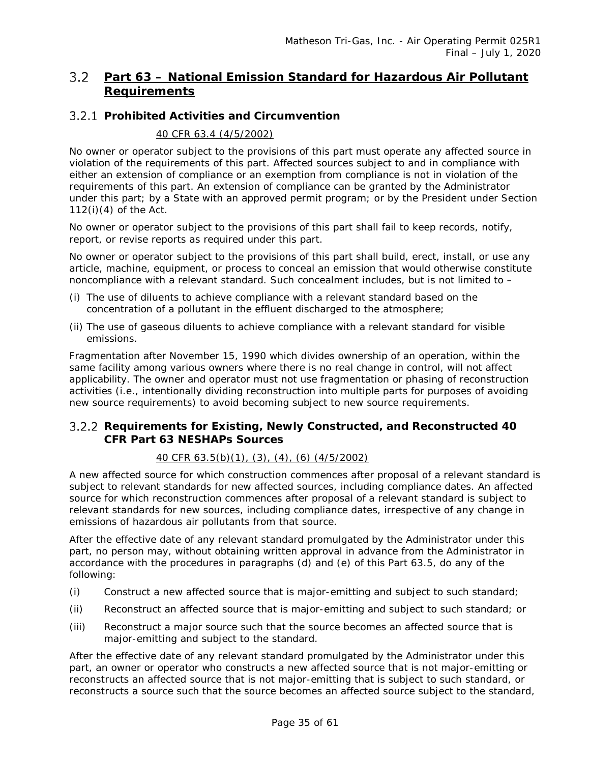### <span id="page-34-0"></span>**Part 63 – National Emission Standard for Hazardous Air Pollutant Requirements**

### **Prohibited Activities and Circumvention**

### *40 CFR 63.4 (4/5/2002)*

No owner or operator subject to the provisions of this part must operate any affected source in violation of the requirements of this part. Affected sources subject to and in compliance with either an extension of compliance or an exemption from compliance is not in violation of the requirements of this part. An extension of compliance can be granted by the Administrator under this part; by a State with an approved permit program; or by the President under Section 112(i)(4) of the Act.

No owner or operator subject to the provisions of this part shall fail to keep records, notify, report, or revise reports as required under this part.

No owner or operator subject to the provisions of this part shall build, erect, install, or use any article, machine, equipment, or process to conceal an emission that would otherwise constitute noncompliance with a relevant standard. Such concealment includes, but is not limited to –

- (i) The use of diluents to achieve compliance with a relevant standard based on the concentration of a pollutant in the effluent discharged to the atmosphere;
- (ii) The use of gaseous diluents to achieve compliance with a relevant standard for visible emissions.

Fragmentation after November 15, 1990 which divides ownership of an operation, within the same facility among various owners where there is no real change in control, will not affect applicability. The owner and operator must not use fragmentation or phasing of reconstruction activities (i.e., intentionally dividing reconstruction into multiple parts for purposes of avoiding new source requirements) to avoid becoming subject to new source requirements.

### **Requirements for Existing, Newly Constructed, and Reconstructed 40 CFR Part 63 NESHAPs Sources**

### *40 CFR 63.5(b)(1), (3), (4), (6) (4/5/2002)*

A new affected source for which construction commences after proposal of a relevant standard is subject to relevant standards for new affected sources, including compliance dates. An affected source for which reconstruction commences after proposal of a relevant standard is subject to relevant standards for new sources, including compliance dates, irrespective of any change in emissions of hazardous air pollutants from that source.

After the effective date of any relevant standard promulgated by the Administrator under this part, no person may, without obtaining written approval in advance from the Administrator in accordance with the procedures in paragraphs (d) and (e) of this Part 63.5, do any of the following:

- (i) Construct a new affected source that is major-emitting and subject to such standard;
- (ii) Reconstruct an affected source that is major-emitting and subject to such standard; or
- (iii) Reconstruct a major source such that the source becomes an affected source that is major-emitting and subject to the standard.

After the effective date of any relevant standard promulgated by the Administrator under this part, an owner or operator who constructs a new affected source that is not major-emitting or reconstructs an affected source that is not major-emitting that is subject to such standard, or reconstructs a source such that the source becomes an affected source subject to the standard,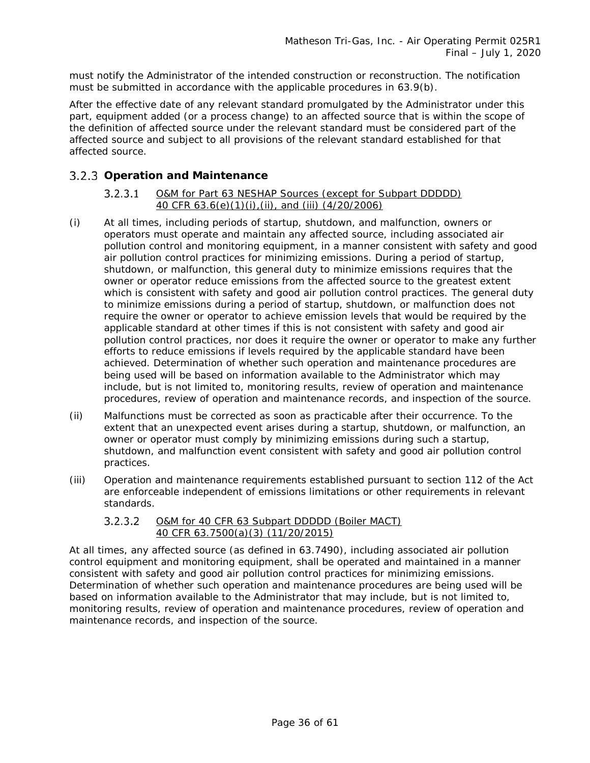must notify the Administrator of the intended construction or reconstruction. The notification must be submitted in accordance with the applicable procedures in 63.9(b).

After the effective date of any relevant standard promulgated by the Administrator under this part, equipment added (or a process change) to an affected source that is within the scope of the definition of affected source under the relevant standard must be considered part of the affected source and subject to all provisions of the relevant standard established for that affected source.

### **Operation and Maintenance**

#### $3.2.3.1$ *O&M for Part 63 NESHAP Sources (except for Subpart DDDDD) 40 CFR 63.6(e)(1)(i),(ii), and (iii) (4/20/2006)*

- (i) At all times, including periods of startup, shutdown, and malfunction, owners or operators must operate and maintain any affected source, including associated air pollution control and monitoring equipment, in a manner consistent with safety and good air pollution control practices for minimizing emissions. During a period of startup, shutdown, or malfunction, this general duty to minimize emissions requires that the owner or operator reduce emissions from the affected source to the greatest extent which is consistent with safety and good air pollution control practices. The general duty to minimize emissions during a period of startup, shutdown, or malfunction does not require the owner or operator to achieve emission levels that would be required by the applicable standard at other times if this is not consistent with safety and good air pollution control practices, nor does it require the owner or operator to make any further efforts to reduce emissions if levels required by the applicable standard have been achieved. Determination of whether such operation and maintenance procedures are being used will be based on information available to the Administrator which may include, but is not limited to, monitoring results, review of operation and maintenance procedures, review of operation and maintenance records, and inspection of the source.
- (ii) Malfunctions must be corrected as soon as practicable after their occurrence. To the extent that an unexpected event arises during a startup, shutdown, or malfunction, an owner or operator must comply by minimizing emissions during such a startup, shutdown, and malfunction event consistent with safety and good air pollution control practices.
- (iii) Operation and maintenance requirements established pursuant to section 112 of the Act are enforceable independent of emissions limitations or other requirements in relevant standards.

#### $3.2.3.2$ *O&M for 40 CFR 63 Subpart DDDDD (Boiler MACT) 40 CFR 63.7500(a)(3) (11/20/2015)*

At all times, any affected source (as defined in 63.7490), including associated air pollution control equipment and monitoring equipment, shall be operated and maintained in a manner consistent with safety and good air pollution control practices for minimizing emissions. Determination of whether such operation and maintenance procedures are being used will be based on information available to the Administrator that may include, but is not limited to, monitoring results, review of operation and maintenance procedures, review of operation and maintenance records, and inspection of the source.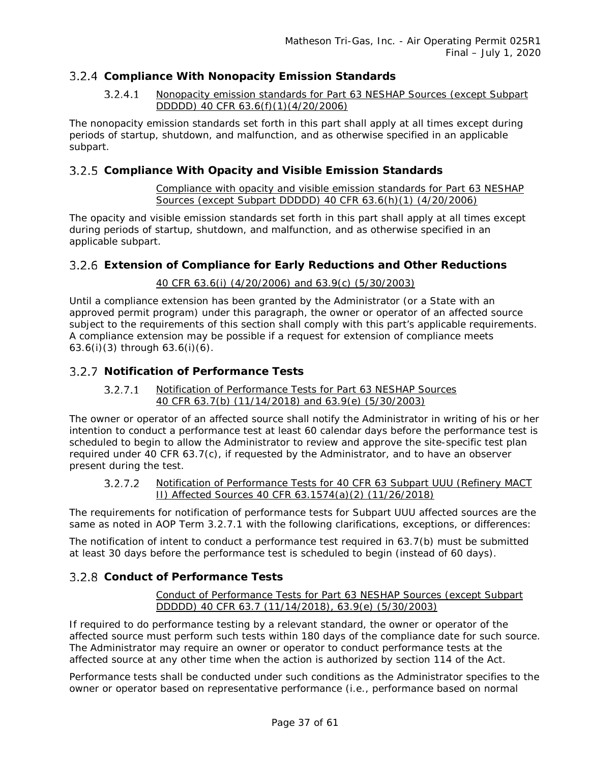### **Compliance With Nonopacity Emission Standards**

#### $3.2.4.1$ *Nonopacity emission standards for Part 63 NESHAP Sources (except Subpart DDDDD) 40 CFR 63.6(f)(1)(4/20/2006)*

The nonopacity emission standards set forth in this part shall apply at all times except during periods of startup, shutdown, and malfunction, and as otherwise specified in an applicable subpart.

### **Compliance With Opacity and Visible Emission Standards**

*Compliance with opacity and visible emission standards for Part 63 NESHAP Sources (except Subpart DDDDD) 40 CFR 63.6(h)(1) (4/20/2006)*

The opacity and visible emission standards set forth in this part shall apply at all times except during periods of startup, shutdown, and malfunction, and as otherwise specified in an applicable subpart.

### **Extension of Compliance for Early Reductions and Other Reductions**

### *40 CFR 63.6(i) (4/20/2006) and 63.9(c) (5/30/2003)*

Until a compliance extension has been granted by the Administrator (or a State with an approved permit program) under this paragraph, the owner or operator of an affected source subject to the requirements of this section shall comply with this part's applicable requirements. A compliance extension may be possible if a request for extension of compliance meets 63.6(i)(3) through 63.6(i)(6).

### <span id="page-36-0"></span>**Notification of Performance Tests**

#### $3.2.7.1$ *Notification of Performance Tests for Part 63 NESHAP Sources 40 CFR 63.7(b) (11/14/2018) and 63.9(e) (5/30/2003)*

The owner or operator of an affected source shall notify the Administrator in writing of his or her intention to conduct a performance test at least 60 calendar days before the performance test is scheduled to begin to allow the Administrator to review and approve the site-specific test plan required under 40 CFR 63.7(c), if requested by the Administrator, and to have an observer present during the test.

#### $3.2.7.2$ *Notification of Performance Tests for 40 CFR 63 Subpart UUU (Refinery MACT II) Affected Sources 40 CFR 63.1574(a)(2) (11/26/2018)*

The requirements for notification of performance tests for Subpart UUU affected sources are the same as noted in AOP Term [3.2.7.1](#page-36-0) with the following clarifications, exceptions, or differences:

The notification of intent to conduct a performance test required in 63.7(b) must be submitted at least 30 days before the performance test is scheduled to begin (instead of 60 days).

### **Conduct of Performance Tests**

*Conduct of Performance Tests for Part 63 NESHAP Sources (except Subpart DDDDD) 40 CFR 63.7 (11/14/2018), 63.9(e) (5/30/2003)*

If required to do performance testing by a relevant standard, the owner or operator of the affected source must perform such tests within 180 days of the compliance date for such source. The Administrator may require an owner or operator to conduct performance tests at the affected source at any other time when the action is authorized by section 114 of the Act.

Performance tests shall be conducted under such conditions as the Administrator specifies to the owner or operator based on representative performance (i.e., performance based on normal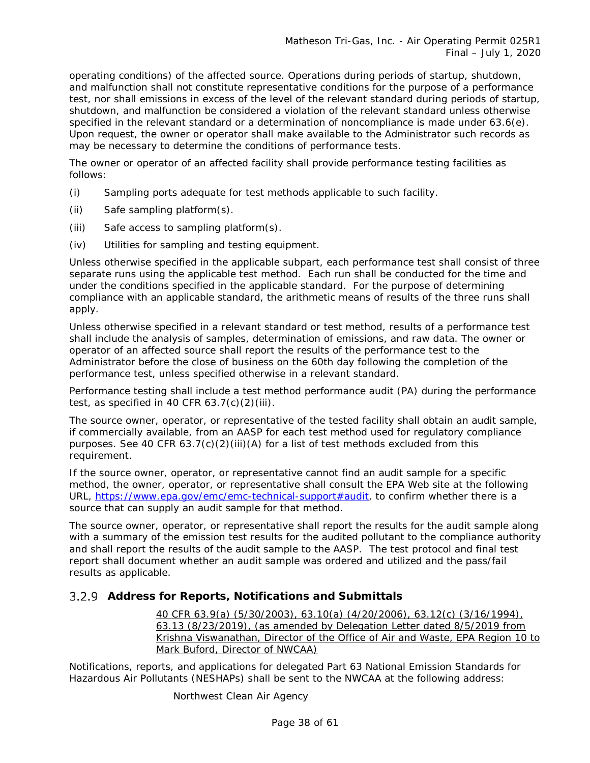operating conditions) of the affected source. Operations during periods of startup, shutdown, and malfunction shall not constitute representative conditions for the purpose of a performance test, nor shall emissions in excess of the level of the relevant standard during periods of startup, shutdown, and malfunction be considered a violation of the relevant standard unless otherwise specified in the relevant standard or a determination of noncompliance is made under 63.6(e). Upon request, the owner or operator shall make available to the Administrator such records as may be necessary to determine the conditions of performance tests.

The owner or operator of an affected facility shall provide performance testing facilities as follows:

- (i) Sampling ports adequate for test methods applicable to such facility.
- (ii) Safe sampling platform(s).
- (iii) Safe access to sampling platform(s).
- (iv) Utilities for sampling and testing equipment.

Unless otherwise specified in the applicable subpart, each performance test shall consist of three separate runs using the applicable test method. Each run shall be conducted for the time and under the conditions specified in the applicable standard. For the purpose of determining compliance with an applicable standard, the arithmetic means of results of the three runs shall apply.

Unless otherwise specified in a relevant standard or test method, results of a performance test shall include the analysis of samples, determination of emissions, and raw data. The owner or operator of an affected source shall report the results of the performance test to the Administrator before the close of business on the 60th day following the completion of the performance test, unless specified otherwise in a relevant standard.

Performance testing shall include a test method performance audit (PA) during the performance test, as specified in 40 CFR  $63.7(c)(2)(iii)$ .

The source owner, operator, or representative of the tested facility shall obtain an audit sample, if commercially available, from an AASP for each test method used for regulatory compliance purposes. See 40 CFR  $63.7(c)(2)(iii)(A)$  for a list of test methods excluded from this requirement.

If the source owner, operator, or representative cannot find an audit sample for a specific method, the owner, operator, or representative shall consult the EPA Web site at the following URL, [https://www.epa.gov/emc/emc-technical-support#audit,](https://www.epa.gov/emc/emc-technical-support#audit) to confirm whether there is a source that can supply an audit sample for that method.

The source owner, operator, or representative shall report the results for the audit sample along with a summary of the emission test results for the audited pollutant to the compliance authority and shall report the results of the audit sample to the AASP. The test protocol and final test report shall document whether an audit sample was ordered and utilized and the pass/fail results as applicable.

### **Address for Reports, Notifications and Submittals**

*40 CFR 63.9(a) (5/30/2003), 63.10(a) (4/20/2006), 63.12(c) (3/16/1994), 63.13 (8/23/2019), (as amended by Delegation Letter dated 8/5/2019 from Krishna Viswanathan, Director of the Office of Air and Waste, EPA Region 10 to Mark Buford, Director of NWCAA)*

Notifications, reports, and applications for delegated Part 63 National Emission Standards for Hazardous Air Pollutants (NESHAPs) shall be sent to the NWCAA at the following address:

Northwest Clean Air Agency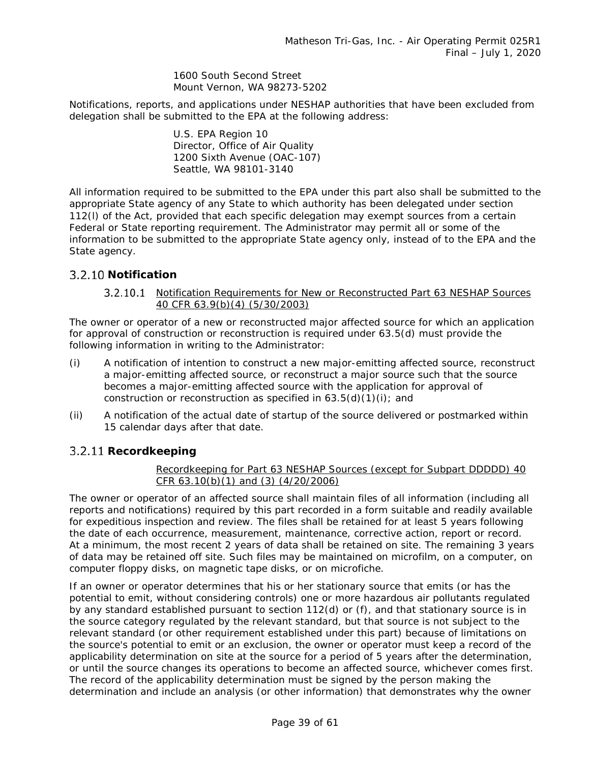1600 South Second Street Mount Vernon, WA 98273-5202

Notifications, reports, and applications under NESHAP authorities that have been excluded from delegation shall be submitted to the EPA at the following address:

> U.S. EPA Region 10 Director, Office of Air Quality 1200 Sixth Avenue (OAC-107) Seattle, WA 98101-3140

All information required to be submitted to the EPA under this part also shall be submitted to the appropriate State agency of any State to which authority has been delegated under section 112(l) of the Act, provided that each specific delegation may exempt sources from a certain Federal or State reporting requirement. The Administrator may permit all or some of the information to be submitted to the appropriate State agency only, instead of to the EPA and the State agency.

### **Notification**

### *Notification Requirements for New or Reconstructed Part 63 NESHAP Sources 40 CFR 63.9(b)(4) (5/30/2003)*

The owner or operator of a new or reconstructed major affected source for which an application for approval of construction or reconstruction is required under 63.5(d) must provide the following information in writing to the Administrator:

- (i) A notification of intention to construct a new major-emitting affected source, reconstruct a major-emitting affected source, or reconstruct a major source such that the source becomes a major-emitting affected source with the application for approval of construction or reconstruction as specified in  $63.5(d)(1)(i)$ ; and
- (ii) A notification of the actual date of startup of the source delivered or postmarked within 15 calendar days after that date.

### **Recordkeeping**

### *Recordkeeping for Part 63 NESHAP Sources (except for Subpart DDDDD) 40 CFR 63.10(b)(1) and (3) (4/20/2006)*

The owner or operator of an affected source shall maintain files of all information (including all reports and notifications) required by this part recorded in a form suitable and readily available for expeditious inspection and review. The files shall be retained for at least 5 years following the date of each occurrence, measurement, maintenance, corrective action, report or record. At a minimum, the most recent 2 years of data shall be retained on site. The remaining 3 years of data may be retained off site. Such files may be maintained on microfilm, on a computer, on computer floppy disks, on magnetic tape disks, or on microfiche.

If an owner or operator determines that his or her stationary source that emits (or has the potential to emit, without considering controls) one or more hazardous air pollutants regulated by any standard established pursuant to section 112(d) or (f), and that stationary source is in the source category regulated by the relevant standard, but that source is not subject to the relevant standard (or other requirement established under this part) because of limitations on the source's potential to emit or an exclusion, the owner or operator must keep a record of the applicability determination on site at the source for a period of 5 years after the determination, or until the source changes its operations to become an affected source, whichever comes first. The record of the applicability determination must be signed by the person making the determination and include an analysis (or other information) that demonstrates why the owner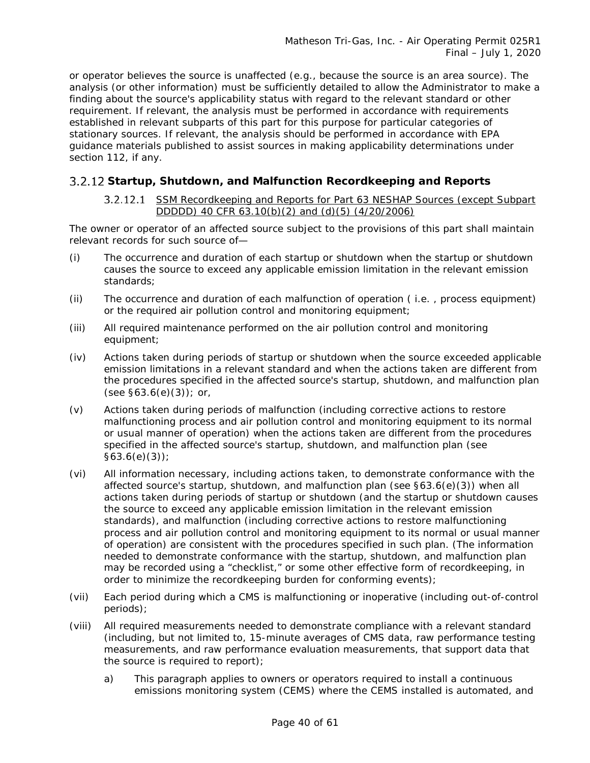or operator believes the source is unaffected (e.g., because the source is an area source). The analysis (or other information) must be sufficiently detailed to allow the Administrator to make a finding about the source's applicability status with regard to the relevant standard or other requirement. If relevant, the analysis must be performed in accordance with requirements established in relevant subparts of this part for this purpose for particular categories of stationary sources. If relevant, the analysis should be performed in accordance with EPA guidance materials published to assist sources in making applicability determinations under section 112, if any.

### **Startup, Shutdown, and Malfunction Recordkeeping and Reports**

### *SSM Recordkeeping and Reports for Part 63 NESHAP Sources (except Subpart DDDDD) 40 CFR 63.10(b)(2) and (d)(5) (4/20/2006)*

The owner or operator of an affected source subject to the provisions of this part shall maintain relevant records for such source of—

- (i) The occurrence and duration of each startup or shutdown when the startup or shutdown causes the source to exceed any applicable emission limitation in the relevant emission standards;
- (ii) The occurrence and duration of each malfunction of operation ( i.e. , process equipment) or the required air pollution control and monitoring equipment;
- (iii) All required maintenance performed on the air pollution control and monitoring equipment;
- (iv) Actions taken during periods of startup or shutdown when the source exceeded applicable emission limitations in a relevant standard and when the actions taken are different from the procedures specified in the affected source's startup, shutdown, and malfunction plan  $(see §63.6(e)(3))$ ; or,
- (v) Actions taken during periods of malfunction (including corrective actions to restore malfunctioning process and air pollution control and monitoring equipment to its normal or usual manner of operation) when the actions taken are different from the procedures specified in the affected source's startup, shutdown, and malfunction plan (see §63.6(e)(3));
- (vi) All information necessary, including actions taken, to demonstrate conformance with the affected source's startup, shutdown, and malfunction plan (see §63.6(e)(3)) when all actions taken during periods of startup or shutdown (and the startup or shutdown causes the source to exceed any applicable emission limitation in the relevant emission standards), and malfunction (including corrective actions to restore malfunctioning process and air pollution control and monitoring equipment to its normal or usual manner of operation) are consistent with the procedures specified in such plan. (The information needed to demonstrate conformance with the startup, shutdown, and malfunction plan may be recorded using a "checklist," or some other effective form of recordkeeping, in order to minimize the recordkeeping burden for conforming events);
- (vii) Each period during which a CMS is malfunctioning or inoperative (including out-of-control periods);
- (viii) All required measurements needed to demonstrate compliance with a relevant standard (including, but not limited to, 15-minute averages of CMS data, raw performance testing measurements, and raw performance evaluation measurements, that support data that the source is required to report);
	- a) This paragraph applies to owners or operators required to install a continuous emissions monitoring system (CEMS) where the CEMS installed is automated, and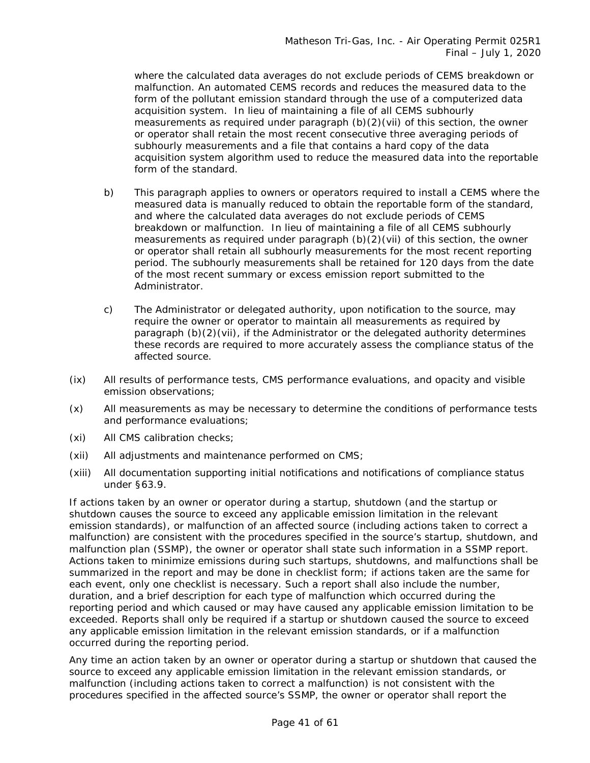where the calculated data averages do not exclude periods of CEMS breakdown or malfunction. An automated CEMS records and reduces the measured data to the form of the pollutant emission standard through the use of a computerized data acquisition system. In lieu of maintaining a file of all CEMS subhourly measurements as required under paragraph (b)(2)(vii) of this section, the owner or operator shall retain the most recent consecutive three averaging periods of subhourly measurements and a file that contains a hard copy of the data acquisition system algorithm used to reduce the measured data into the reportable form of the standard.

- b) This paragraph applies to owners or operators required to install a CEMS where the measured data is manually reduced to obtain the reportable form of the standard, and where the calculated data averages do not exclude periods of CEMS breakdown or malfunction. In lieu of maintaining a file of all CEMS subhourly measurements as required under paragraph  $(b)(2)(vi)$  of this section, the owner or operator shall retain all subhourly measurements for the most recent reporting period. The subhourly measurements shall be retained for 120 days from the date of the most recent summary or excess emission report submitted to the Administrator.
- c) The Administrator or delegated authority, upon notification to the source, may require the owner or operator to maintain all measurements as required by paragraph (b)(2)(vii), if the Administrator or the delegated authority determines these records are required to more accurately assess the compliance status of the affected source.
- (ix) All results of performance tests, CMS performance evaluations, and opacity and visible emission observations;
- (x) All measurements as may be necessary to determine the conditions of performance tests and performance evaluations;
- (xi) All CMS calibration checks;
- (xii) All adjustments and maintenance performed on CMS;
- (xiii) All documentation supporting initial notifications and notifications of compliance status under §63.9.

If actions taken by an owner or operator during a startup, shutdown (and the startup or shutdown causes the source to exceed any applicable emission limitation in the relevant emission standards), or malfunction of an affected source (including actions taken to correct a malfunction) are consistent with the procedures specified in the source's startup, shutdown, and malfunction plan (SSMP), the owner or operator shall state such information in a SSMP report. Actions taken to minimize emissions during such startups, shutdowns, and malfunctions shall be summarized in the report and may be done in checklist form; if actions taken are the same for each event, only one checklist is necessary. Such a report shall also include the number, duration, and a brief description for each type of malfunction which occurred during the reporting period and which caused or may have caused any applicable emission limitation to be exceeded. Reports shall only be required if a startup or shutdown caused the source to exceed any applicable emission limitation in the relevant emission standards, or if a malfunction occurred during the reporting period.

Any time an action taken by an owner or operator during a startup or shutdown that caused the source to exceed any applicable emission limitation in the relevant emission standards, or malfunction (including actions taken to correct a malfunction) is not consistent with the procedures specified in the affected source's SSMP, the owner or operator shall report the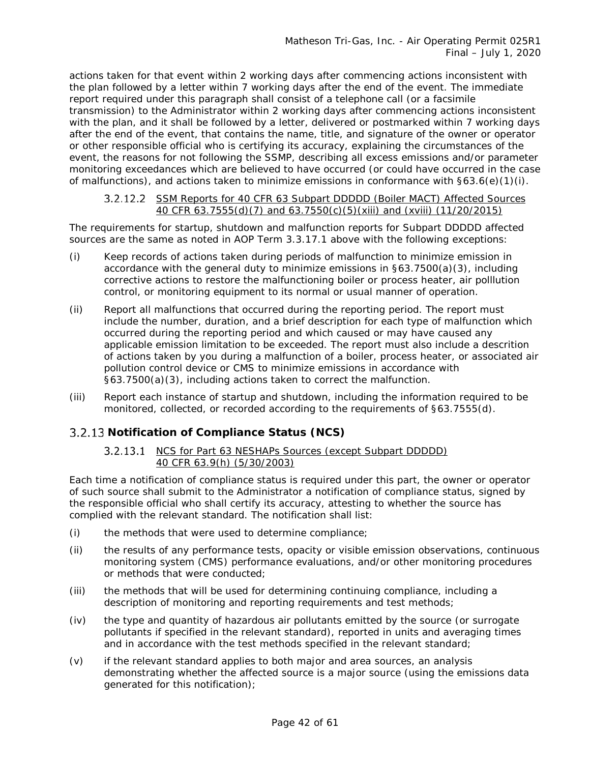actions taken for that event within 2 working days after commencing actions inconsistent with the plan followed by a letter within 7 working days after the end of the event. The immediate report required under this paragraph shall consist of a telephone call (or a facsimile transmission) to the Administrator within 2 working days after commencing actions inconsistent with the plan, and it shall be followed by a letter, delivered or postmarked within 7 working days after the end of the event, that contains the name, title, and signature of the owner or operator or other responsible official who is certifying its accuracy, explaining the circumstances of the event, the reasons for not following the SSMP, describing all excess emissions and/or parameter monitoring exceedances which are believed to have occurred (or could have occurred in the case of malfunctions), and actions taken to minimize emissions in conformance with  $\S63.6(e)(1)(i)$ .

### *SSM Reports for 40 CFR 63 Subpart DDDDD (Boiler MACT) Affected Sources 40 CFR 63.7555(d)(7) and 63.7550(c)(5)(xiii) and (xviii) (11/20/2015)*

The requirements for startup, shutdown and malfunction reports for Subpart DDDDD affected sources are the same as noted in AOP Term 3.3.17.1 above with the following exceptions:

- (i) Keep records of actions taken during periods of malfunction to minimize emission in accordance with the general duty to minimize emissions in §63.7500(a)(3), including corrective actions to restore the malfunctioning boiler or process heater, air polllution control, or monitoring equipment to its normal or usual manner of operation.
- (ii) Report all malfunctions that occurred during the reporting period. The report must include the number, duration, and a brief description for each type of malfunction which occurred during the reporting period and which caused or may have caused any applicable emission limitation to be exceeded. The report must also include a descrition of actions taken by you during a malfunction of a boiler, process heater, or associated air pollution control device or CMS to minimize emissions in accordance with §63.7500(a)(3), including actions taken to correct the malfunction.
- (iii) Report each instance of startup and shutdown, including the information required to be monitored, collected, or recorded according to the requirements of §63.7555(d).

### <span id="page-41-0"></span>**Notification of Compliance Status (NCS)**

### *NCS for Part 63 NESHAPs Sources (except Subpart DDDDD) 40 CFR 63.9(h) (5/30/2003)*

Each time a notification of compliance status is required under this part, the owner or operator of such source shall submit to the Administrator a notification of compliance status, signed by the responsible official who shall certify its accuracy, attesting to whether the source has complied with the relevant standard. The notification shall list:

- (i) the methods that were used to determine compliance;
- (ii) the results of any performance tests, opacity or visible emission observations, continuous monitoring system (CMS) performance evaluations, and/or other monitoring procedures or methods that were conducted;
- (iii) the methods that will be used for determining continuing compliance, including a description of monitoring and reporting requirements and test methods;
- (iv) the type and quantity of hazardous air pollutants emitted by the source (or surrogate pollutants if specified in the relevant standard), reported in units and averaging times and in accordance with the test methods specified in the relevant standard;
- (v) if the relevant standard applies to both major and area sources, an analysis demonstrating whether the affected source is a major source (using the emissions data generated for this notification);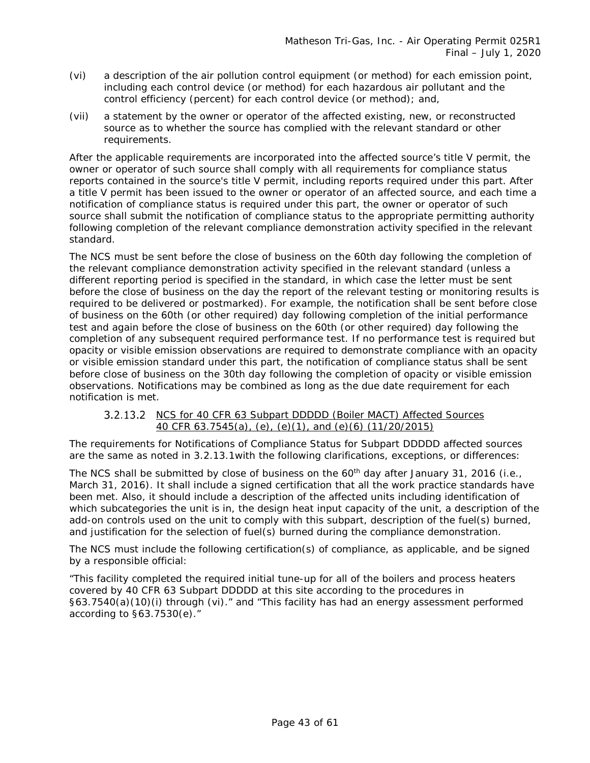- (vi) a description of the air pollution control equipment (or method) for each emission point, including each control device (or method) for each hazardous air pollutant and the control efficiency (percent) for each control device (or method); and,
- (vii) a statement by the owner or operator of the affected existing, new, or reconstructed source as to whether the source has complied with the relevant standard or other requirements.

After the applicable requirements are incorporated into the affected source's title V permit, the owner or operator of such source shall comply with all requirements for compliance status reports contained in the source's title V permit, including reports required under this part. After a title V permit has been issued to the owner or operator of an affected source, and each time a notification of compliance status is required under this part, the owner or operator of such source shall submit the notification of compliance status to the appropriate permitting authority following completion of the relevant compliance demonstration activity specified in the relevant standard.

The NCS must be sent before the close of business on the 60th day following the completion of the relevant compliance demonstration activity specified in the relevant standard (unless a different reporting period is specified in the standard, in which case the letter must be sent before the close of business on the day the report of the relevant testing or monitoring results is required to be delivered or postmarked). For example, the notification shall be sent before close of business on the 60th (or other required) day following completion of the initial performance test and again before the close of business on the 60th (or other required) day following the completion of any subsequent required performance test. If no performance test is required but opacity or visible emission observations are required to demonstrate compliance with an opacity or visible emission standard under this part, the notification of compliance status shall be sent before close of business on the 30th day following the completion of opacity or visible emission observations. Notifications may be combined as long as the due date requirement for each notification is met.

### *NCS for 40 CFR 63 Subpart DDDDD (Boiler MACT) Affected Sources 40 CFR 63.7545(a), (e), (e)(1), and (e)(6) (11/20/2015)*

The requirements for Notifications of Compliance Status for Subpart DDDDD affected sources are the same as noted in [3.2.13.1w](#page-41-0)ith the following clarifications, exceptions, or differences:

The NCS shall be submitted by close of business on the  $60<sup>th</sup>$  day after January 31, 2016 (i.e., March 31, 2016). It shall include a signed certification that all the work practice standards have been met. Also, it should include a description of the affected units including identification of which subcategories the unit is in, the design heat input capacity of the unit, a description of the add-on controls used on the unit to comply with this subpart, description of the fuel(s) burned, and justification for the selection of fuel(s) burned during the compliance demonstration.

The NCS must include the following certification(s) of compliance, as applicable, and be signed by a responsible official:

"This facility completed the required initial tune-up for all of the boilers and process heaters covered by 40 CFR 63 Subpart DDDDD at this site according to the procedures in §63.7540(a)(10)(i) through (vi)." and "This facility has had an energy assessment performed according to §63.7530(e)."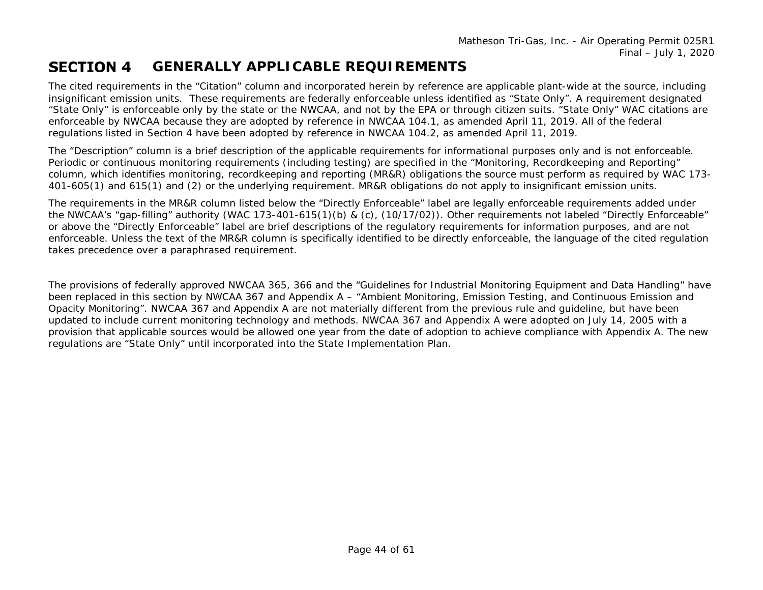Matheson Tri-Gas, Inc. - Air Operating Permit 025R1 Final – July 1, 2020

#### **SECTION 4 GENERALLY APPLICABLE REQUIREMENTS**

The cited requirements in the "Citation" column and incorporated herein by reference are applicable plant-wide at the source, including insignificant emission units. These requirements are federally enforceable unless identified as "State Only". A requirement designated "State Only" is enforceable only by the state or the NWCAA, and not by the EPA or through citizen suits. "State Only" WAC citations are enforceable by NWCAA because they are adopted by reference in NWCAA 104.1, as amended April 11, 2019. All of the federal regulations listed in Section 4 have been adopted by reference in NWCAA 104.2, as amended April 11, 2019.

The "Description" column is a brief description of the applicable requirements for informational purposes only and is not enforceable. Periodic or continuous monitoring requirements (including testing) are specified in the "Monitoring, Recordkeeping and Reporting" column, which identifies monitoring, recordkeeping and reporting (MR&R) obligations the source must perform as required by WAC 173- 401-605(1) and 615(1) and (2) or the underlying requirement. MR&R obligations do not apply to insignificant emission units.

<span id="page-43-0"></span>The requirements in the MR&R column listed below the *"Directly Enforceable"* label are legally enforceable requirements added under the NWCAA's "gap-filling" authority (WAC 173-401-615(1)(b) & (c), (10/17/02)). Other requirements not labeled *"Directly Enforceable"* or above the *"Directly Enforceable"* label are brief descriptions of the regulatory requirements for information purposes, and are not enforceable. Unless the text of the MR&R column is specifically identified to be directly enforceable, the language of the cited regulation takes precedence over a paraphrased requirement.

The provisions of federally approved NWCAA 365, 366 and the "Guidelines for Industrial Monitoring Equipment and Data Handling" have been replaced in this section by NWCAA 367 and Appendix A – "Ambient Monitoring, Emission Testing, and Continuous Emission and Opacity Monitoring". NWCAA 367 and Appendix A are not materially different from the previous rule and guideline, but have been updated to include current monitoring technology and methods. NWCAA 367 and Appendix A were adopted on July 14, 2005 with a provision that applicable sources would be allowed one year from the date of adoption to achieve compliance with Appendix A. The new regulations are "State Only" until incorporated into the State Implementation Plan.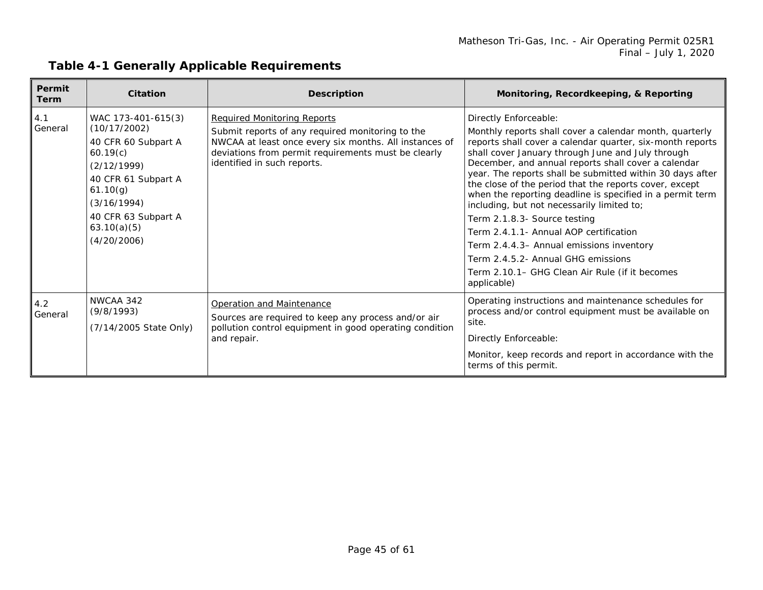| Permit<br><b>Term</b> | <b>Citation</b>                                                                                                                                                                             | <b>Description</b>                                                                                                                                                                                                                     | Monitoring, Recordkeeping, & Reporting                                                                                                                                                                                                                                                                                                                                                                                                                                                                                                                                                                                                                                                                                   |
|-----------------------|---------------------------------------------------------------------------------------------------------------------------------------------------------------------------------------------|----------------------------------------------------------------------------------------------------------------------------------------------------------------------------------------------------------------------------------------|--------------------------------------------------------------------------------------------------------------------------------------------------------------------------------------------------------------------------------------------------------------------------------------------------------------------------------------------------------------------------------------------------------------------------------------------------------------------------------------------------------------------------------------------------------------------------------------------------------------------------------------------------------------------------------------------------------------------------|
| 4.1<br>General        | WAC 173-401-615(3)<br>(10/17/2002)<br>40 CFR 60 Subpart A<br>60.19(c)<br>(2/12/1999)<br>40 CFR 61 Subpart A<br>61.10(g)<br>(3/16/1994)<br>40 CFR 63 Subpart A<br>63.10(a)(5)<br>(4/20/2006) | <b>Required Monitoring Reports</b><br>Submit reports of any required monitoring to the<br>NWCAA at least once every six months. All instances of<br>deviations from permit requirements must be clearly<br>identified in such reports. | Directly Enforceable:<br>Monthly reports shall cover a calendar month, quarterly<br>reports shall cover a calendar quarter, six-month reports<br>shall cover January through June and July through<br>December, and annual reports shall cover a calendar<br>year. The reports shall be submitted within 30 days after<br>the close of the period that the reports cover, except<br>when the reporting deadline is specified in a permit term<br>including, but not necessarily limited to;<br>Term 2.1.8.3- Source testing<br>Term 2.4.1.1- Annual AOP certification<br>Term 2.4.4.3- Annual emissions inventory<br>Term 2.4.5.2- Annual GHG emissions<br>Term 2.10.1– GHG Clean Air Rule (if it becomes<br>applicable) |
| 4.2<br>General        | NWCAA 342<br>(9/8/1993)<br>(7/14/2005 State Only)                                                                                                                                           | Operation and Maintenance<br>Sources are required to keep any process and/or air<br>pollution control equipment in good operating condition<br>and repair.                                                                             | Operating instructions and maintenance schedules for<br>process and/or control equipment must be available on<br>site.<br>Directly Enforceable:<br>Monitor, keep records and report in accordance with the<br>terms of this permit.                                                                                                                                                                                                                                                                                                                                                                                                                                                                                      |

### **Table 4-1 Generally Applicable Requirements**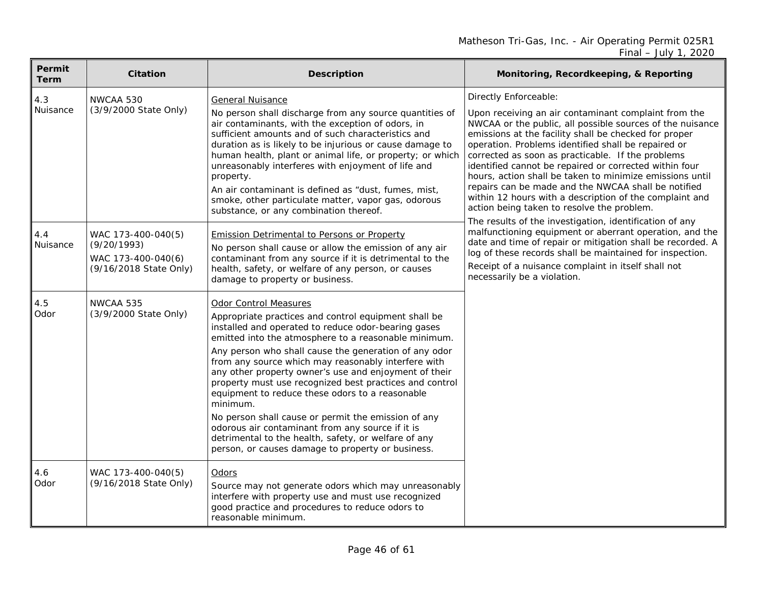<span id="page-45-0"></span>

| Permit<br><b>Term</b> | <b>Citation</b>                                                                   | <b>Description</b>                                                                                                                                                                                                                                                                                                                                                                                                                                                                                                                                                                                                                                                                                                             | Monitoring, Recordkeeping, & Reporting                                                                                                                                                                                                                                                                                                                                                                                                                                                                                                                                                                |
|-----------------------|-----------------------------------------------------------------------------------|--------------------------------------------------------------------------------------------------------------------------------------------------------------------------------------------------------------------------------------------------------------------------------------------------------------------------------------------------------------------------------------------------------------------------------------------------------------------------------------------------------------------------------------------------------------------------------------------------------------------------------------------------------------------------------------------------------------------------------|-------------------------------------------------------------------------------------------------------------------------------------------------------------------------------------------------------------------------------------------------------------------------------------------------------------------------------------------------------------------------------------------------------------------------------------------------------------------------------------------------------------------------------------------------------------------------------------------------------|
| 4.3<br>Nuisance       | NWCAA 530<br>(3/9/2000 State Only)                                                | <b>General Nuisance</b><br>No person shall discharge from any source quantities of<br>air contaminants, with the exception of odors, in<br>sufficient amounts and of such characteristics and<br>duration as is likely to be injurious or cause damage to<br>human health, plant or animal life, or property; or which<br>unreasonably interferes with enjoyment of life and<br>property.<br>An air contaminant is defined as "dust, fumes, mist,<br>smoke, other particulate matter, vapor gas, odorous<br>substance, or any combination thereof.                                                                                                                                                                             | Directly Enforceable:<br>Upon receiving an air contaminant complaint from the<br>NWCAA or the public, all possible sources of the nuisance<br>emissions at the facility shall be checked for proper<br>operation. Problems identified shall be repaired or<br>corrected as soon as practicable. If the problems<br>identified cannot be repaired or corrected within four<br>hours, action shall be taken to minimize emissions until<br>repairs can be made and the NWCAA shall be notified<br>within 12 hours with a description of the complaint and<br>action being taken to resolve the problem. |
| 4.4<br>Nuisance       | WAC 173-400-040(5)<br>(9/20/1993)<br>WAC 173-400-040(6)<br>(9/16/2018 State Only) | <b>Emission Detrimental to Persons or Property</b><br>No person shall cause or allow the emission of any air<br>contaminant from any source if it is detrimental to the<br>health, safety, or welfare of any person, or causes<br>damage to property or business.                                                                                                                                                                                                                                                                                                                                                                                                                                                              | The results of the investigation, identification of any<br>malfunctioning equipment or aberrant operation, and the<br>date and time of repair or mitigation shall be recorded. A<br>log of these records shall be maintained for inspection.<br>Receipt of a nuisance complaint in itself shall not<br>necessarily be a violation.                                                                                                                                                                                                                                                                    |
| 4.5<br>Odor           | NWCAA 535<br>(3/9/2000 State Only)                                                | <b>Odor Control Measures</b><br>Appropriate practices and control equipment shall be<br>installed and operated to reduce odor-bearing gases<br>emitted into the atmosphere to a reasonable minimum.<br>Any person who shall cause the generation of any odor<br>from any source which may reasonably interfere with<br>any other property owner's use and enjoyment of their<br>property must use recognized best practices and control<br>equipment to reduce these odors to a reasonable<br>minimum.<br>No person shall cause or permit the emission of any<br>odorous air contaminant from any source if it is<br>detrimental to the health, safety, or welfare of any<br>person, or causes damage to property or business. |                                                                                                                                                                                                                                                                                                                                                                                                                                                                                                                                                                                                       |
| 4.6<br>Odor           | WAC 173-400-040(5)<br>(9/16/2018 State Only)                                      | Odors<br>Source may not generate odors which may unreasonably<br>interfere with property use and must use recognized<br>good practice and procedures to reduce odors to<br>reasonable minimum.                                                                                                                                                                                                                                                                                                                                                                                                                                                                                                                                 |                                                                                                                                                                                                                                                                                                                                                                                                                                                                                                                                                                                                       |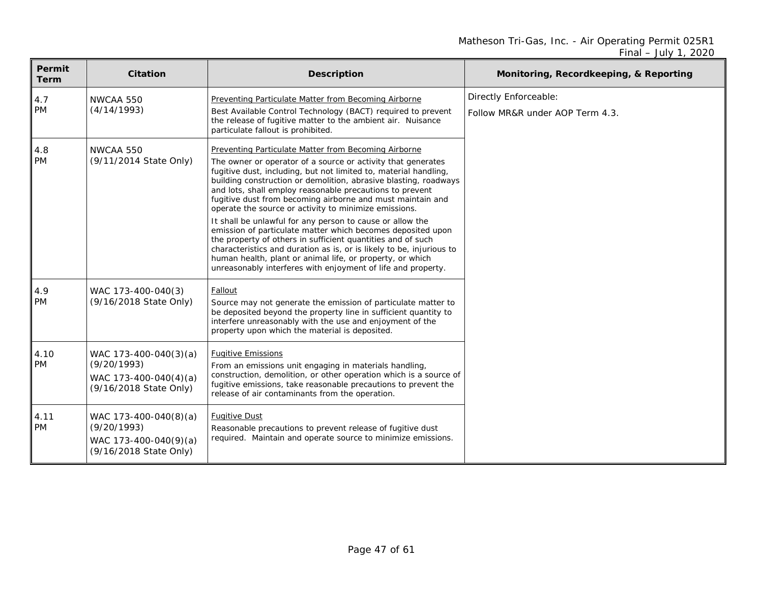| Permit<br>Term    | <b>Citation</b>                                                                         | <b>Description</b>                                                                                                                                                                                                                                                                                                                                                                                                                                                                                                                                                                                                                                                                                                                                                                                                                              | Monitoring, Recordkeeping, & Reporting                   |
|-------------------|-----------------------------------------------------------------------------------------|-------------------------------------------------------------------------------------------------------------------------------------------------------------------------------------------------------------------------------------------------------------------------------------------------------------------------------------------------------------------------------------------------------------------------------------------------------------------------------------------------------------------------------------------------------------------------------------------------------------------------------------------------------------------------------------------------------------------------------------------------------------------------------------------------------------------------------------------------|----------------------------------------------------------|
| 4.7<br><b>PM</b>  | NWCAA 550<br>(4/14/1993)                                                                | Preventing Particulate Matter from Becoming Airborne<br>Best Available Control Technology (BACT) required to prevent<br>the release of fugitive matter to the ambient air. Nuisance<br>particulate fallout is prohibited.                                                                                                                                                                                                                                                                                                                                                                                                                                                                                                                                                                                                                       | Directly Enforceable:<br>Follow MR&R under AOP Term 4.3. |
| 4.8<br>PM         | NWCAA 550<br>(9/11/2014 State Only)                                                     | Preventing Particulate Matter from Becoming Airborne<br>The owner or operator of a source or activity that generates<br>fugitive dust, including, but not limited to, material handling,<br>building construction or demolition, abrasive blasting, roadways<br>and lots, shall employ reasonable precautions to prevent<br>fugitive dust from becoming airborne and must maintain and<br>operate the source or activity to minimize emissions.<br>It shall be unlawful for any person to cause or allow the<br>emission of particulate matter which becomes deposited upon<br>the property of others in sufficient quantities and of such<br>characteristics and duration as is, or is likely to be, injurious to<br>human health, plant or animal life, or property, or which<br>unreasonably interferes with enjoyment of life and property. |                                                          |
| 4.9<br><b>PM</b>  | WAC 173-400-040(3)<br>(9/16/2018 State Only)                                            | Fallout<br>Source may not generate the emission of particulate matter to<br>be deposited beyond the property line in sufficient quantity to<br>interfere unreasonably with the use and enjoyment of the<br>property upon which the material is deposited.                                                                                                                                                                                                                                                                                                                                                                                                                                                                                                                                                                                       |                                                          |
| 4.10<br><b>PM</b> | WAC 173-400-040(3)(a)<br>(9/20/1993)<br>WAC 173-400-040(4)(a)<br>(9/16/2018 State Only) | <b>Fugitive Emissions</b><br>From an emissions unit engaging in materials handling,<br>construction, demolition, or other operation which is a source of<br>fugitive emissions, take reasonable precautions to prevent the<br>release of air contaminants from the operation.                                                                                                                                                                                                                                                                                                                                                                                                                                                                                                                                                                   |                                                          |
| 4.11<br><b>PM</b> | WAC 173-400-040(8)(a)<br>(9/20/1993)<br>WAC 173-400-040(9)(a)<br>(9/16/2018 State Only) | <b>Fugitive Dust</b><br>Reasonable precautions to prevent release of fugitive dust<br>required. Maintain and operate source to minimize emissions.                                                                                                                                                                                                                                                                                                                                                                                                                                                                                                                                                                                                                                                                                              |                                                          |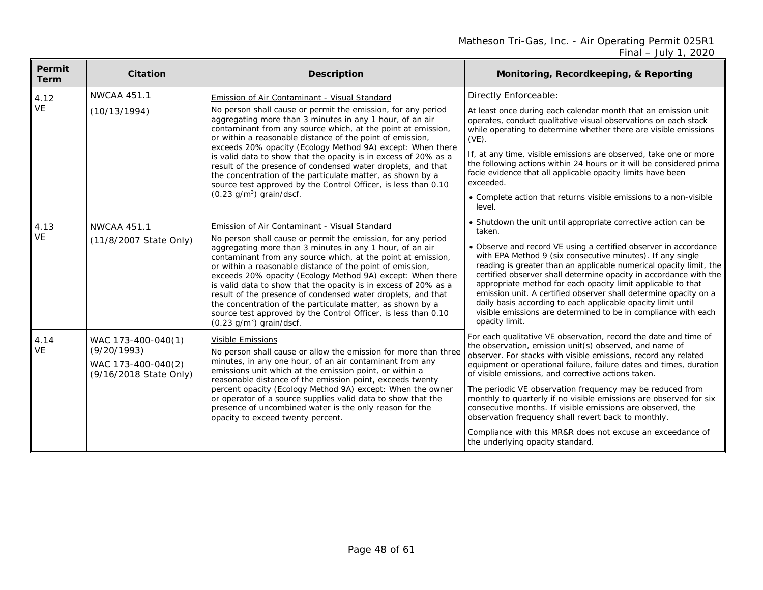| Permit<br><b>Term</b> | <b>Citation</b>                                                                   | <b>Description</b>                                                                                                                                                                                                                                                                                                                                                                                                                                                                                                                                                                                                                                                            | Monitoring, Recordkeeping, & Reporting                                                                                                                                                                                                                                                                                                                                                                                                                                                                                                                                                                                                                                                |
|-----------------------|-----------------------------------------------------------------------------------|-------------------------------------------------------------------------------------------------------------------------------------------------------------------------------------------------------------------------------------------------------------------------------------------------------------------------------------------------------------------------------------------------------------------------------------------------------------------------------------------------------------------------------------------------------------------------------------------------------------------------------------------------------------------------------|---------------------------------------------------------------------------------------------------------------------------------------------------------------------------------------------------------------------------------------------------------------------------------------------------------------------------------------------------------------------------------------------------------------------------------------------------------------------------------------------------------------------------------------------------------------------------------------------------------------------------------------------------------------------------------------|
| 4.12                  | <b>NWCAA 451.1</b>                                                                | Emission of Air Contaminant - Visual Standard                                                                                                                                                                                                                                                                                                                                                                                                                                                                                                                                                                                                                                 | Directly Enforceable:                                                                                                                                                                                                                                                                                                                                                                                                                                                                                                                                                                                                                                                                 |
| <b>VE</b>             | (10/13/1994)                                                                      | No person shall cause or permit the emission, for any period<br>aggregating more than 3 minutes in any 1 hour, of an air<br>contaminant from any source which, at the point at emission,<br>or within a reasonable distance of the point of emission,<br>exceeds 20% opacity (Ecology Method 9A) except: When there<br>is valid data to show that the opacity is in excess of 20% as a<br>result of the presence of condensed water droplets, and that<br>the concentration of the particulate matter, as shown by a<br>source test approved by the Control Officer, is less than 0.10<br>$(0.23 \text{ g/m}^3)$ grain/dscf.                                                  | At least once during each calendar month that an emission unit<br>operates, conduct qualitative visual observations on each stack<br>while operating to determine whether there are visible emissions<br>$(VE)$ .<br>If, at any time, visible emissions are observed, take one or more<br>the following actions within 24 hours or it will be considered prima<br>facie evidence that all applicable opacity limits have been<br>exceeded.<br>• Complete action that returns visible emissions to a non-visible<br>level.                                                                                                                                                             |
| 4.13<br><b>VE</b>     | <b>NWCAA 451.1</b><br>(11/8/2007 State Only)                                      | Emission of Air Contaminant - Visual Standard<br>No person shall cause or permit the emission, for any period<br>aggregating more than 3 minutes in any 1 hour, of an air<br>contaminant from any source which, at the point at emission,<br>or within a reasonable distance of the point of emission,<br>exceeds 20% opacity (Ecology Method 9A) except: When there<br>is valid data to show that the opacity is in excess of 20% as a<br>result of the presence of condensed water droplets, and that<br>the concentration of the particulate matter, as shown by a<br>source test approved by the Control Officer, is less than 0.10<br>$(0.23 \text{ g/m}^3)$ grain/dscf. | • Shutdown the unit until appropriate corrective action can be<br>taken.<br>• Observe and record VE using a certified observer in accordance<br>with EPA Method 9 (six consecutive minutes). If any single<br>reading is greater than an applicable numerical opacity limit, the<br>certified observer shall determine opacity in accordance with the<br>appropriate method for each opacity limit applicable to that<br>emission unit. A certified observer shall determine opacity on a<br>daily basis according to each applicable opacity limit until<br>visible emissions are determined to be in compliance with each<br>opacity limit.                                         |
| 4.14<br><b>VE</b>     | WAC 173-400-040(1)<br>(9/20/1993)<br>WAC 173-400-040(2)<br>(9/16/2018 State Only) | <b>Visible Emissions</b><br>No person shall cause or allow the emission for more than three<br>minutes, in any one hour, of an air contaminant from any<br>emissions unit which at the emission point, or within a<br>reasonable distance of the emission point, exceeds twenty<br>percent opacity (Ecology Method 9A) except: When the owner<br>or operator of a source supplies valid data to show that the<br>presence of uncombined water is the only reason for the<br>opacity to exceed twenty percent.                                                                                                                                                                 | For each qualitative VE observation, record the date and time of<br>the observation, emission unit(s) observed, and name of<br>observer. For stacks with visible emissions, record any related<br>equipment or operational failure, failure dates and times, duration<br>of visible emissions, and corrective actions taken.<br>The periodic VE observation frequency may be reduced from<br>monthly to quarterly if no visible emissions are observed for six<br>consecutive months. If visible emissions are observed, the<br>observation frequency shall revert back to monthly.<br>Compliance with this MR&R does not excuse an exceedance of<br>the underlying opacity standard. |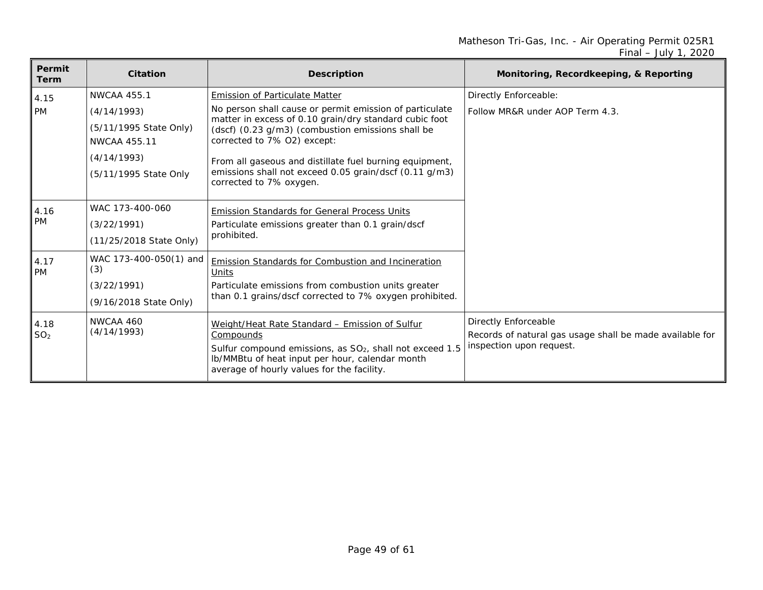| Permit<br>Term          | <b>Citation</b>                                                                                                            | <b>Description</b>                                                                                                                                                                                                                                                                                                                                                                             | Monitoring, Recordkeeping, & Reporting                                                                       |
|-------------------------|----------------------------------------------------------------------------------------------------------------------------|------------------------------------------------------------------------------------------------------------------------------------------------------------------------------------------------------------------------------------------------------------------------------------------------------------------------------------------------------------------------------------------------|--------------------------------------------------------------------------------------------------------------|
| 4.15<br><b>PM</b>       | <b>NWCAA 455.1</b><br>(4/14/1993)<br>(5/11/1995 State Only)<br><b>NWCAA 455.11</b><br>(4/14/1993)<br>(5/11/1995 State Only | <b>Emission of Particulate Matter</b><br>No person shall cause or permit emission of particulate<br>matter in excess of 0.10 grain/dry standard cubic foot<br>(dscf) (0.23 g/m3) (combustion emissions shall be<br>corrected to 7% 02) except:<br>From all gaseous and distillate fuel burning equipment,<br>emissions shall not exceed 0.05 grain/dscf (0.11 g/m3)<br>corrected to 7% oxygen. | Directly Enforceable:<br>Follow MR&R under AOP Term 4.3.                                                     |
| 4.16<br><b>PM</b>       | WAC 173-400-060<br>(3/22/1991)<br>(11/25/2018 State Only)                                                                  | <b>Emission Standards for General Process Units</b><br>Particulate emissions greater than 0.1 grain/dscf<br>prohibited.                                                                                                                                                                                                                                                                        |                                                                                                              |
| 4.17<br><b>PM</b>       | WAC 173-400-050(1) and<br>(3)<br>(3/22/1991)<br>(9/16/2018 State Only)                                                     | <b>Emission Standards for Combustion and Incineration</b><br>Units<br>Particulate emissions from combustion units greater<br>than 0.1 grains/dscf corrected to 7% oxygen prohibited.                                                                                                                                                                                                           |                                                                                                              |
| 4.18<br>SO <sub>2</sub> | NWCAA 460<br>(4/14/1993)                                                                                                   | Weight/Heat Rate Standard - Emission of Sulfur<br>Compounds<br>Sulfur compound emissions, as SO <sub>2</sub> , shall not exceed 1.5<br>Ib/MMBtu of heat input per hour, calendar month<br>average of hourly values for the facility.                                                                                                                                                           | Directly Enforceable<br>Records of natural gas usage shall be made available for<br>inspection upon request. |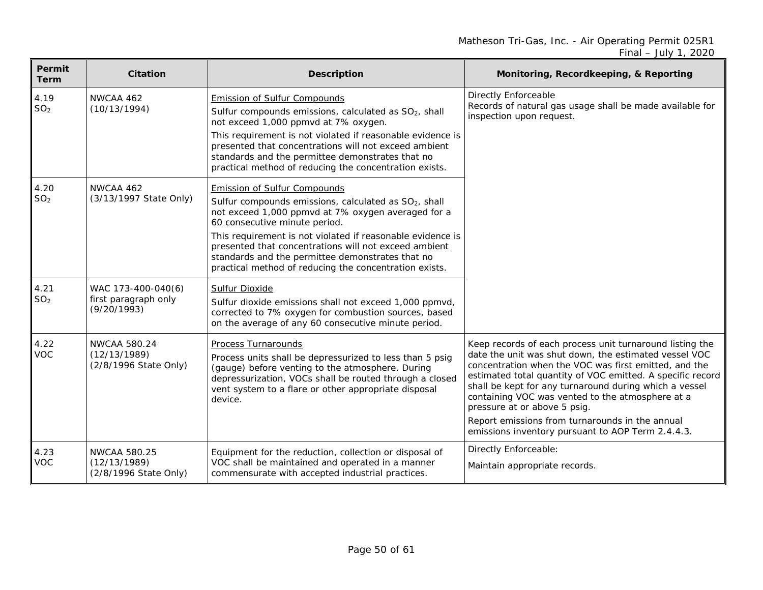| Permit<br><b>Term</b>   | <b>Citation</b>                                              | <b>Description</b>                                                                                                                                                                                                                                                                                                                                                                                                                   | Monitoring, Recordkeeping, & Reporting                                                                                                                                                                                                                                                                                                                                                                                                                                                         |
|-------------------------|--------------------------------------------------------------|--------------------------------------------------------------------------------------------------------------------------------------------------------------------------------------------------------------------------------------------------------------------------------------------------------------------------------------------------------------------------------------------------------------------------------------|------------------------------------------------------------------------------------------------------------------------------------------------------------------------------------------------------------------------------------------------------------------------------------------------------------------------------------------------------------------------------------------------------------------------------------------------------------------------------------------------|
| 4.19<br>SO <sub>2</sub> | NWCAA 462<br>(10/13/1994)                                    | <b>Emission of Sulfur Compounds</b><br>Sulfur compounds emissions, calculated as SO <sub>2</sub> , shall<br>not exceed 1,000 ppmvd at 7% oxygen.<br>This requirement is not violated if reasonable evidence is<br>presented that concentrations will not exceed ambient<br>standards and the permittee demonstrates that no<br>practical method of reducing the concentration exists.                                                | <b>Directly Enforceable</b><br>Records of natural gas usage shall be made available for<br>inspection upon request.                                                                                                                                                                                                                                                                                                                                                                            |
| 4.20<br>SO <sub>2</sub> | NWCAA 462<br>(3/13/1997 State Only)                          | <b>Emission of Sulfur Compounds</b><br>Sulfur compounds emissions, calculated as SO <sub>2</sub> , shall<br>not exceed 1,000 ppmvd at 7% oxygen averaged for a<br>60 consecutive minute period.<br>This requirement is not violated if reasonable evidence is<br>presented that concentrations will not exceed ambient<br>standards and the permittee demonstrates that no<br>practical method of reducing the concentration exists. |                                                                                                                                                                                                                                                                                                                                                                                                                                                                                                |
| 4.21<br>SO <sub>2</sub> | WAC 173-400-040(6)<br>first paragraph only<br>(9/20/1993)    | <b>Sulfur Dioxide</b><br>Sulfur dioxide emissions shall not exceed 1,000 ppmvd,<br>corrected to 7% oxygen for combustion sources, based<br>on the average of any 60 consecutive minute period.                                                                                                                                                                                                                                       |                                                                                                                                                                                                                                                                                                                                                                                                                                                                                                |
| 4.22<br><b>VOC</b>      | <b>NWCAA 580.24</b><br>(12/13/1989)<br>(2/8/1996 State Only) | <b>Process Turnarounds</b><br>Process units shall be depressurized to less than 5 psig<br>(gauge) before venting to the atmosphere. During<br>depressurization, VOCs shall be routed through a closed<br>vent system to a flare or other appropriate disposal<br>device.                                                                                                                                                             | Keep records of each process unit turnaround listing the<br>date the unit was shut down, the estimated vessel VOC<br>concentration when the VOC was first emitted, and the<br>estimated total quantity of VOC emitted. A specific record<br>shall be kept for any turnaround during which a vessel<br>containing VOC was vented to the atmosphere at a<br>pressure at or above 5 psig.<br>Report emissions from turnarounds in the annual<br>emissions inventory pursuant to AOP Term 2.4.4.3. |
| 4.23<br><b>VOC</b>      | <b>NWCAA 580.25</b><br>(12/13/1989)<br>(2/8/1996 State Only) | Equipment for the reduction, collection or disposal of<br>VOC shall be maintained and operated in a manner<br>commensurate with accepted industrial practices.                                                                                                                                                                                                                                                                       | Directly Enforceable:<br>Maintain appropriate records.                                                                                                                                                                                                                                                                                                                                                                                                                                         |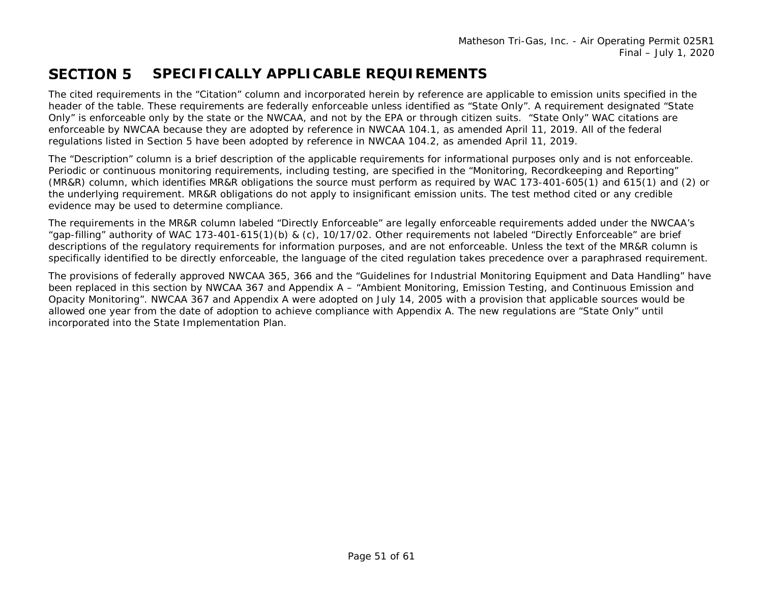#### **SECTION 5 SPECIFICALLY APPLICABLE REQUIREMENTS**

The cited requirements in the "Citation" column and incorporated herein by reference are applicable to emission units specified in the header of the table. These requirements are federally enforceable unless identified as "State Only". A requirement designated "State Only" is enforceable only by the state or the NWCAA, and not by the EPA or through citizen suits. "State Only" WAC citations are enforceable by NWCAA because they are adopted by reference in NWCAA 104.1, as amended April 11, 2019. All of the federal regulations listed in Section 5 have been adopted by reference in NWCAA 104.2, as amended April 11, 2019.

The "Description" column is a brief description of the applicable requirements for informational purposes only and is not enforceable. Periodic or continuous monitoring requirements, including testing, are specified in the "Monitoring, Recordkeeping and Reporting" (MR&R) column, which identifies MR&R obligations the source must perform as required by WAC 173-401-605(1) and 615(1) and (2) or the underlying requirement. MR&R obligations do not apply to insignificant emission units. The test method cited or any credible evidence may be used to determine compliance.

<span id="page-50-0"></span>The requirements in the MR&R column labeled "Directly Enforceable" are legally enforceable requirements added under the NWCAA's "gap-filling" authority of WAC 173-401-615(1)(b) & (c), 10/17/02. Other requirements not labeled "Directly Enforceable" are brief descriptions of the regulatory requirements for information purposes, and are not enforceable. Unless the text of the MR&R column is specifically identified to be directly enforceable, the language of the cited regulation takes precedence over a paraphrased requirement.

The provisions of federally approved NWCAA 365, 366 and the "Guidelines for Industrial Monitoring Equipment and Data Handling" have been replaced in this section by NWCAA 367 and Appendix A – "Ambient Monitoring, Emission Testing, and Continuous Emission and Opacity Monitoring". NWCAA 367 and Appendix A were adopted on July 14, 2005 with a provision that applicable sources would be allowed one year from the date of adoption to achieve compliance with Appendix A. The new regulations are "State Only" until incorporated into the State Implementation Plan.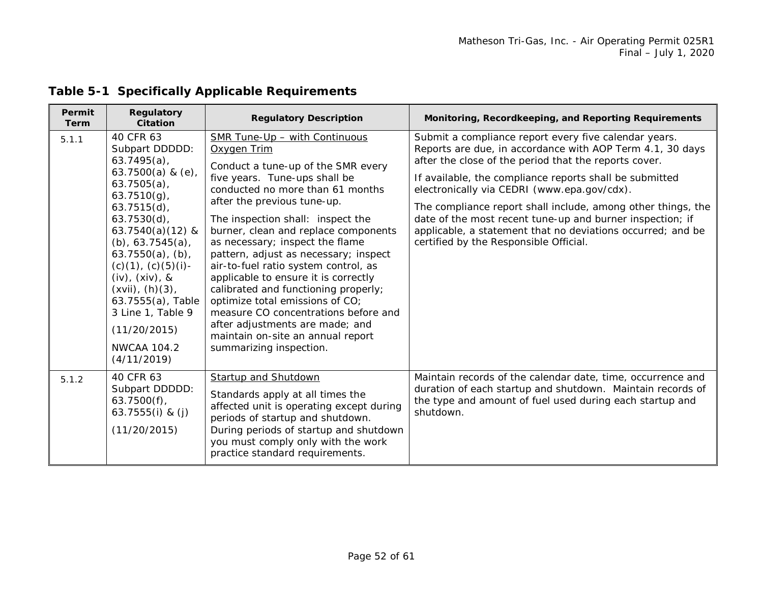| Permit<br><b>Term</b> | <b>Regulatory</b><br><b>Citation</b>                                                                                                                                                                                                                                                                                                                                                               | <b>Regulatory Description</b>                                                                                                                                                                                                                                                                                                                                                                                                                                                                                                                                                                                                                         | Monitoring, Recordkeeping, and Reporting Requirements                                                                                                                                                                                                                                                                                                                                                                                                                                                                       |
|-----------------------|----------------------------------------------------------------------------------------------------------------------------------------------------------------------------------------------------------------------------------------------------------------------------------------------------------------------------------------------------------------------------------------------------|-------------------------------------------------------------------------------------------------------------------------------------------------------------------------------------------------------------------------------------------------------------------------------------------------------------------------------------------------------------------------------------------------------------------------------------------------------------------------------------------------------------------------------------------------------------------------------------------------------------------------------------------------------|-----------------------------------------------------------------------------------------------------------------------------------------------------------------------------------------------------------------------------------------------------------------------------------------------------------------------------------------------------------------------------------------------------------------------------------------------------------------------------------------------------------------------------|
| 5.1.1                 | 40 CFR 63<br>Subpart DDDDD:<br>$63.7495(a)$ ,<br>63.7500(a) & $(e)$ ,<br>$63.7505(a)$ ,<br>$63.7510(g)$ ,<br>$63.7515(d)$ ,<br>$63.7530(d)$ ,<br>63.7540(a) $(12)$ &<br>$(b)$ , 63.7545 $(a)$ ,<br>$63.7550(a)$ , (b),<br>$(c)(1)$ , $(c)(5)(i)$ -<br>$(iv)$ , $(xiv)$ , &<br>$(xvii)$ , $(h)(3)$ ,<br>63.7555(a), Table<br>3 Line 1, Table 9<br>(11/20/2015)<br><b>NWCAA 104.2</b><br>(4/11/2019) | SMR Tune-Up - with Continuous<br>Oxygen Trim<br>Conduct a tune-up of the SMR every<br>five years. Tune-ups shall be<br>conducted no more than 61 months<br>after the previous tune-up.<br>The inspection shall: inspect the<br>burner, clean and replace components<br>as necessary; inspect the flame<br>pattern, adjust as necessary; inspect<br>air-to-fuel ratio system control, as<br>applicable to ensure it is correctly<br>calibrated and functioning properly;<br>optimize total emissions of CO;<br>measure CO concentrations before and<br>after adjustments are made; and<br>maintain on-site an annual report<br>summarizing inspection. | Submit a compliance report every five calendar years.<br>Reports are due, in accordance with AOP Term 4.1, 30 days<br>after the close of the period that the reports cover.<br>If available, the compliance reports shall be submitted<br>electronically via CEDRI (www.epa.gov/cdx).<br>The compliance report shall include, among other things, the<br>date of the most recent tune-up and burner inspection; if<br>applicable, a statement that no deviations occurred; and be<br>certified by the Responsible Official. |
| 5.1.2                 | 40 CFR 63<br>Subpart DDDDD:<br>$63.7500(f)$ ,<br>63.7555 $(i)$ & $(j)$<br>(11/20/2015)                                                                                                                                                                                                                                                                                                             | <b>Startup and Shutdown</b><br>Standards apply at all times the<br>affected unit is operating except during<br>periods of startup and shutdown.<br>During periods of startup and shutdown<br>you must comply only with the work<br>practice standard requirements.                                                                                                                                                                                                                                                                                                                                                                                    | Maintain records of the calendar date, time, occurrence and<br>duration of each startup and shutdown. Maintain records of<br>the type and amount of fuel used during each startup and<br>shutdown.                                                                                                                                                                                                                                                                                                                          |

## **Table 5-1 Specifically Applicable Requirements**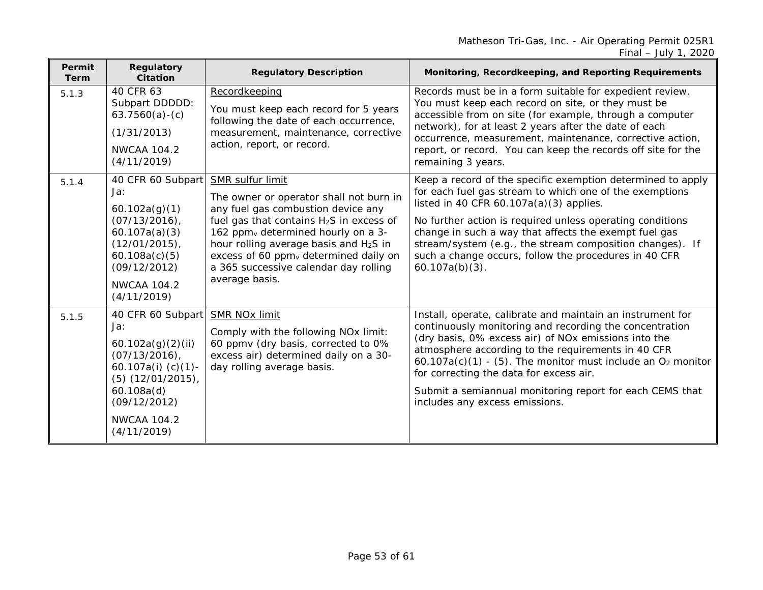| Permit<br><b>Term</b> | Regulatory<br><b>Citation</b>                                                                                                                                                           | <b>Regulatory Description</b>                                                                                                                                                                                                                                                                                                                                                            | Monitoring, Recordkeeping, and Reporting Requirements                                                                                                                                                                                                                                                                                                                                                                                           |
|-----------------------|-----------------------------------------------------------------------------------------------------------------------------------------------------------------------------------------|------------------------------------------------------------------------------------------------------------------------------------------------------------------------------------------------------------------------------------------------------------------------------------------------------------------------------------------------------------------------------------------|-------------------------------------------------------------------------------------------------------------------------------------------------------------------------------------------------------------------------------------------------------------------------------------------------------------------------------------------------------------------------------------------------------------------------------------------------|
| 5.1.3                 | 40 CFR 63<br>Subpart DDDDD:<br>$63.7560(a)-(c)$<br>(1/31/2013)<br><b>NWCAA 104.2</b><br>(4/11/2019)                                                                                     | Recordkeeping<br>You must keep each record for 5 years<br>following the date of each occurrence,<br>measurement, maintenance, corrective<br>action, report, or record.                                                                                                                                                                                                                   | Records must be in a form suitable for expedient review.<br>You must keep each record on site, or they must be<br>accessible from on site (for example, through a computer<br>network), for at least 2 years after the date of each<br>occurrence, measurement, maintenance, corrective action,<br>report, or record. You can keep the records off site for the<br>remaining 3 years.                                                           |
| 5.1.4                 | 40 CFR 60 Subpart<br>Ja:<br>60.102a(g)(1)<br>$(07/13/2016)$ ,<br>60.107a(a)(3)<br>(12/01/2015)<br>60.108a(c)(5)<br>(09/12/2012)<br><b>NWCAA 104.2</b><br>(4/11/2019)                    | <b>SMR sulfur limit</b><br>The owner or operator shall not burn in<br>any fuel gas combustion device any<br>fuel gas that contains H <sub>2</sub> S in excess of<br>162 ppm <sub>v</sub> determined hourly on a 3-<br>hour rolling average basis and H <sub>2</sub> S in<br>excess of 60 ppm <sub>v</sub> determined daily on<br>a 365 successive calendar day rolling<br>average basis. | Keep a record of the specific exemption determined to apply<br>for each fuel gas stream to which one of the exemptions<br>listed in 40 CFR $60.107a(a)(3)$ applies.<br>No further action is required unless operating conditions<br>change in such a way that affects the exempt fuel gas<br>stream/system (e.g., the stream composition changes). If<br>such a change occurs, follow the procedures in 40 CFR<br>$60.107a(b)(3)$ .             |
| 5.1.5                 | 40 CFR 60 Subpart<br>Ja:<br>60.102a(g)(2)(ii)<br>$(07/13/2016)$ ,<br>60.107a(i) $(c)(1)$ -<br>$(5)$ $(12/01/2015)$ ,<br>60.108a(d)<br>(09/12/2012)<br><b>NWCAA 104.2</b><br>(4/11/2019) | <b>SMR NOx limit</b><br>Comply with the following NO <sub>x</sub> limit:<br>60 ppmv (dry basis, corrected to 0%<br>excess air) determined daily on a 30-<br>day rolling average basis.                                                                                                                                                                                                   | Install, operate, calibrate and maintain an instrument for<br>continuously monitoring and recording the concentration<br>(dry basis, 0% excess air) of NOx emissions into the<br>atmosphere according to the requirements in 40 CFR<br>$60.107a(c)(1)$ - (5). The monitor must include an $O2$ monitor<br>for correcting the data for excess air.<br>Submit a semiannual monitoring report for each CEMS that<br>includes any excess emissions. |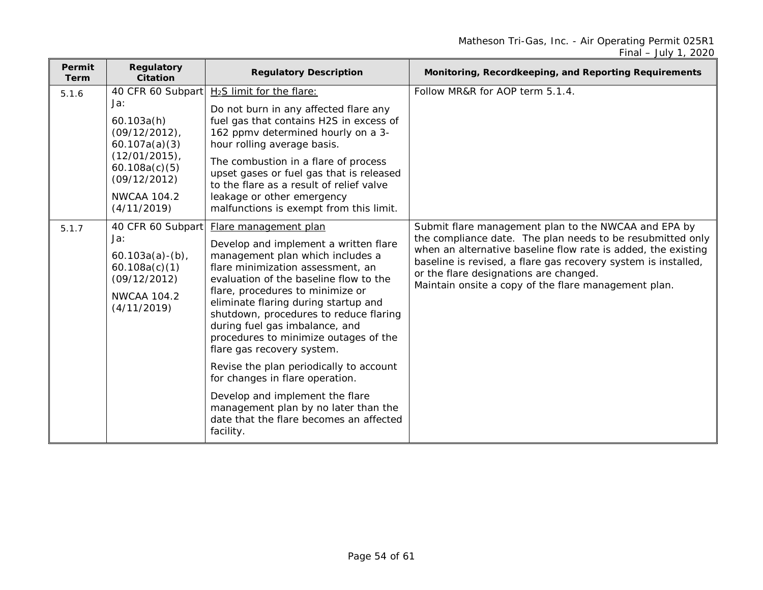| Permit<br><b>Term</b> | <b>Regulatory</b><br><b>Citation</b>                                                                                                                                  | <b>Regulatory Description</b>                                                                                                                                                                                                                                                                                                                                                                                                                                                                                                                                                                                                     | Monitoring, Recordkeeping, and Reporting Requirements                                                                                                                                                                                                                                                                                                   |
|-----------------------|-----------------------------------------------------------------------------------------------------------------------------------------------------------------------|-----------------------------------------------------------------------------------------------------------------------------------------------------------------------------------------------------------------------------------------------------------------------------------------------------------------------------------------------------------------------------------------------------------------------------------------------------------------------------------------------------------------------------------------------------------------------------------------------------------------------------------|---------------------------------------------------------------------------------------------------------------------------------------------------------------------------------------------------------------------------------------------------------------------------------------------------------------------------------------------------------|
| 5.1.6                 | 40 CFR 60 Subpart<br>Ja:<br>60.103a(h)<br>$(09/12/2012)$ ,<br>60.107a(a)(3)<br>$(12/01/2015)$ ,<br>60.108a(c)(5)<br>(09/12/2012)<br><b>NWCAA 104.2</b><br>(4/11/2019) | H <sub>2</sub> S limit for the flare:<br>Do not burn in any affected flare any<br>fuel gas that contains H2S in excess of<br>162 ppmv determined hourly on a 3-<br>hour rolling average basis.<br>The combustion in a flare of process<br>upset gases or fuel gas that is released<br>to the flare as a result of relief valve<br>leakage or other emergency<br>malfunctions is exempt from this limit.                                                                                                                                                                                                                           | Follow MR&R for AOP term 5.1.4.                                                                                                                                                                                                                                                                                                                         |
| 5.1.7                 | 40 CFR 60 Subpart<br>Ja:<br>$60.103a(a) - (b)$<br>60.108a(c)(1)<br>(09/12/2012)<br><b>NWCAA 104.2</b><br>(4/11/2019)                                                  | Flare management plan<br>Develop and implement a written flare<br>management plan which includes a<br>flare minimization assessment, an<br>evaluation of the baseline flow to the<br>flare, procedures to minimize or<br>eliminate flaring during startup and<br>shutdown, procedures to reduce flaring<br>during fuel gas imbalance, and<br>procedures to minimize outages of the<br>flare gas recovery system.<br>Revise the plan periodically to account<br>for changes in flare operation.<br>Develop and implement the flare<br>management plan by no later than the<br>date that the flare becomes an affected<br>facility. | Submit flare management plan to the NWCAA and EPA by<br>the compliance date. The plan needs to be resubmitted only<br>when an alternative baseline flow rate is added, the existing<br>baseline is revised, a flare gas recovery system is installed,<br>or the flare designations are changed.<br>Maintain onsite a copy of the flare management plan. |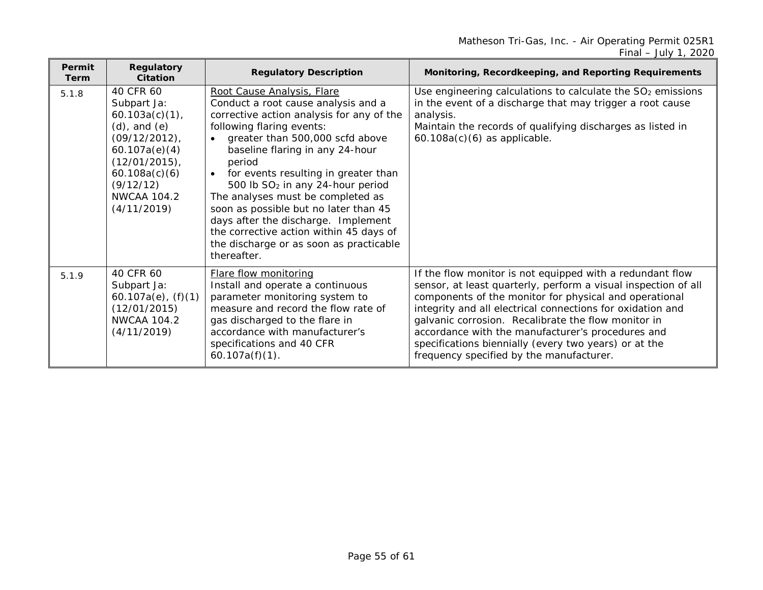| Permit<br><b>Term</b> | <b>Regulatory</b><br>Citation                                                                                                                                                                  | <b>Regulatory Description</b>                                                                                                                                                                                                                                                                                                                                                                                                                                                                                                                 | Monitoring, Recordkeeping, and Reporting Requirements                                                                                                                                                                                                                                                                                                                                                                                                                |
|-----------------------|------------------------------------------------------------------------------------------------------------------------------------------------------------------------------------------------|-----------------------------------------------------------------------------------------------------------------------------------------------------------------------------------------------------------------------------------------------------------------------------------------------------------------------------------------------------------------------------------------------------------------------------------------------------------------------------------------------------------------------------------------------|----------------------------------------------------------------------------------------------------------------------------------------------------------------------------------------------------------------------------------------------------------------------------------------------------------------------------------------------------------------------------------------------------------------------------------------------------------------------|
| 5.1.8                 | 40 CFR 60<br>Subpart Ja:<br>$60.103a(c)(1)$ ,<br>$(d)$ , and $(e)$<br>$(09/12/2012)$ ,<br>60.107a(e)(4)<br>$(12/01/2015)$ ,<br>60.108a(c)(6)<br>(9/12/12)<br><b>NWCAA 104.2</b><br>(4/11/2019) | Root Cause Analysis, Flare<br>Conduct a root cause analysis and a<br>corrective action analysis for any of the<br>following flaring events:<br>greater than 500,000 scfd above<br>baseline flaring in any 24-hour<br>period<br>for events resulting in greater than<br>500 lb SO <sub>2</sub> in any 24-hour period<br>The analyses must be completed as<br>soon as possible but no later than 45<br>days after the discharge. Implement<br>the corrective action within 45 days of<br>the discharge or as soon as practicable<br>thereafter. | Use engineering calculations to calculate the SO <sub>2</sub> emissions<br>in the event of a discharge that may trigger a root cause<br>analysis.<br>Maintain the records of qualifying discharges as listed in<br>$60.108a(c)(6)$ as applicable.                                                                                                                                                                                                                    |
| 5.1.9                 | 40 CFR 60<br>Subpart Ja:<br>$60.107a(e)$ , $(f)(1)$<br>(12/01/2015)<br><b>NWCAA 104.2</b><br>(4/11/2019)                                                                                       | <b>Flare flow monitoring</b><br>Install and operate a continuous<br>parameter monitoring system to<br>measure and record the flow rate of<br>gas discharged to the flare in<br>accordance with manufacturer's<br>specifications and 40 CFR<br>$60.107a(f)(1)$ .                                                                                                                                                                                                                                                                               | If the flow monitor is not equipped with a redundant flow<br>sensor, at least quarterly, perform a visual inspection of all<br>components of the monitor for physical and operational<br>integrity and all electrical connections for oxidation and<br>galvanic corrosion. Recalibrate the flow monitor in<br>accordance with the manufacturer's procedures and<br>specifications biennially (every two years) or at the<br>frequency specified by the manufacturer. |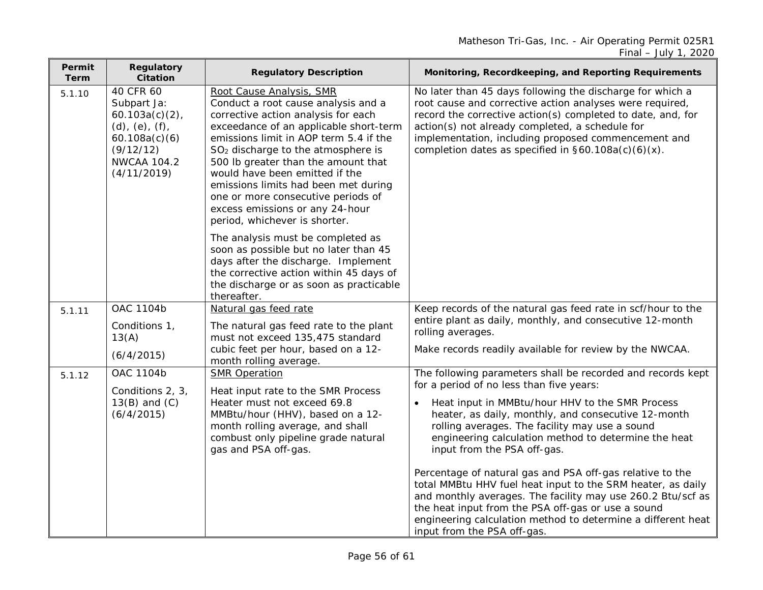| Permit<br>Term | <b>Regulatory</b><br><b>Citation</b>                                                                                                    | <b>Regulatory Description</b>                                                                                                                                                                                                                                                                                                                                                                                                                                           | Monitoring, Recordkeeping, and Reporting Requirements                                                                                                                                                                                                                                                                                                 |
|----------------|-----------------------------------------------------------------------------------------------------------------------------------------|-------------------------------------------------------------------------------------------------------------------------------------------------------------------------------------------------------------------------------------------------------------------------------------------------------------------------------------------------------------------------------------------------------------------------------------------------------------------------|-------------------------------------------------------------------------------------------------------------------------------------------------------------------------------------------------------------------------------------------------------------------------------------------------------------------------------------------------------|
| 5.1.10         | 40 CFR 60<br>Subpart Ja:<br>60.103a(c)(2)<br>$(d)$ , $(e)$ , $(f)$ ,<br>60.108a(c)(6)<br>(9/12/12)<br><b>NWCAA 104.2</b><br>(4/11/2019) | Root Cause Analysis, SMR<br>Conduct a root cause analysis and a<br>corrective action analysis for each<br>exceedance of an applicable short-term<br>emissions limit in AOP term 5.4 if the<br>SO <sub>2</sub> discharge to the atmosphere is<br>500 lb greater than the amount that<br>would have been emitted if the<br>emissions limits had been met during<br>one or more consecutive periods of<br>excess emissions or any 24-hour<br>period, whichever is shorter. | No later than 45 days following the discharge for which a<br>root cause and corrective action analyses were required,<br>record the corrective action(s) completed to date, and, for<br>action(s) not already completed, a schedule for<br>implementation, including proposed commencement and<br>completion dates as specified in §60.108a(c)(6)(x). |
|                |                                                                                                                                         | The analysis must be completed as<br>soon as possible but no later than 45<br>days after the discharge. Implement<br>the corrective action within 45 days of<br>the discharge or as soon as practicable<br>thereafter.                                                                                                                                                                                                                                                  |                                                                                                                                                                                                                                                                                                                                                       |
| 5.1.11         | OAC 1104b                                                                                                                               | Natural gas feed rate                                                                                                                                                                                                                                                                                                                                                                                                                                                   | Keep records of the natural gas feed rate in scf/hour to the                                                                                                                                                                                                                                                                                          |
|                | Conditions 1,<br>13(A)                                                                                                                  | The natural gas feed rate to the plant<br>must not exceed 135,475 standard                                                                                                                                                                                                                                                                                                                                                                                              | entire plant as daily, monthly, and consecutive 12-month<br>rolling averages.                                                                                                                                                                                                                                                                         |
|                | (6/4/2015)                                                                                                                              | cubic feet per hour, based on a 12-<br>month rolling average.                                                                                                                                                                                                                                                                                                                                                                                                           | Make records readily available for review by the NWCAA.                                                                                                                                                                                                                                                                                               |
| 5.1.12         | OAC 1104b                                                                                                                               | <b>SMR Operation</b>                                                                                                                                                                                                                                                                                                                                                                                                                                                    | The following parameters shall be recorded and records kept                                                                                                                                                                                                                                                                                           |
|                | Conditions 2, 3,<br>$13(B)$ and $(C)$<br>(6/4/2015)                                                                                     | Heat input rate to the SMR Process<br>Heater must not exceed 69.8<br>MMBtu/hour (HHV), based on a 12-<br>month rolling average, and shall<br>combust only pipeline grade natural<br>gas and PSA off-gas.                                                                                                                                                                                                                                                                | for a period of no less than five years:<br>Heat input in MMBtu/hour HHV to the SMR Process<br>heater, as daily, monthly, and consecutive 12-month<br>rolling averages. The facility may use a sound<br>engineering calculation method to determine the heat<br>input from the PSA off-gas.                                                           |
|                |                                                                                                                                         |                                                                                                                                                                                                                                                                                                                                                                                                                                                                         | Percentage of natural gas and PSA off-gas relative to the<br>total MMBtu HHV fuel heat input to the SRM heater, as daily<br>and monthly averages. The facility may use 260.2 Btu/scf as<br>the heat input from the PSA off-gas or use a sound<br>engineering calculation method to determine a different heat<br>input from the PSA off-gas.          |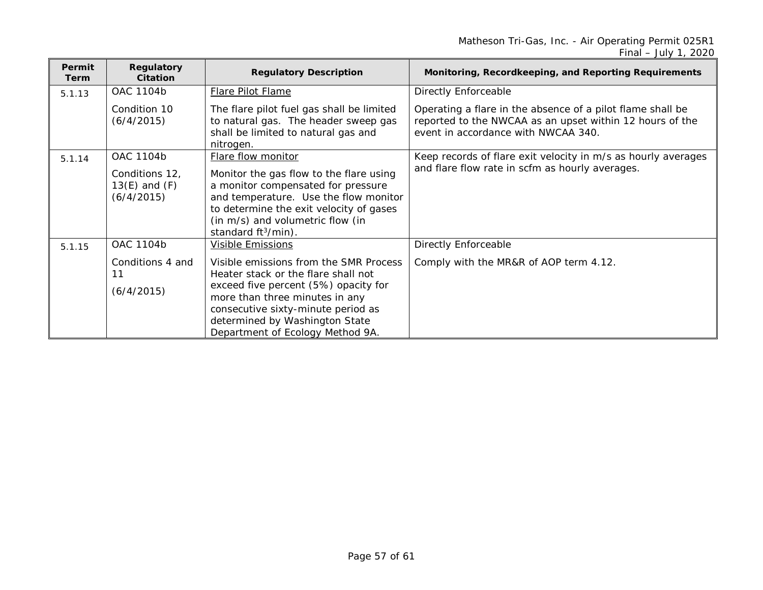| <b>Permit</b><br><b>Term</b> | Regulatory<br>Citation                                         | <b>Regulatory Description</b>                                                                                                                                                                                                                                       | Monitoring, Recordkeeping, and Reporting Requirements                                                                                                         |
|------------------------------|----------------------------------------------------------------|---------------------------------------------------------------------------------------------------------------------------------------------------------------------------------------------------------------------------------------------------------------------|---------------------------------------------------------------------------------------------------------------------------------------------------------------|
| 5.1.13                       | OAC 1104b                                                      | <b>Flare Pilot Flame</b>                                                                                                                                                                                                                                            | <b>Directly Enforceable</b>                                                                                                                                   |
|                              | Condition 10<br>(6/4/2015)                                     | The flare pilot fuel gas shall be limited<br>to natural gas. The header sweep gas<br>shall be limited to natural gas and<br>nitrogen.                                                                                                                               | Operating a flare in the absence of a pilot flame shall be<br>reported to the NWCAA as an upset within 12 hours of the<br>event in accordance with NWCAA 340. |
| 5.1.14                       | OAC 1104b<br>Conditions 12,<br>$13(E)$ and $(F)$<br>(6/4/2015) | Flare flow monitor<br>Monitor the gas flow to the flare using<br>a monitor compensated for pressure<br>and temperature. Use the flow monitor<br>to determine the exit velocity of gases<br>(in m/s) and volumetric flow (in<br>standard $ft^3/min$ ).               | Keep records of flare exit velocity in m/s as hourly averages<br>and flare flow rate in scfm as hourly averages.                                              |
| 5.1.15                       | OAC 1104b                                                      | <b>Visible Emissions</b>                                                                                                                                                                                                                                            | <b>Directly Enforceable</b>                                                                                                                                   |
|                              | Conditions 4 and<br>11<br>(6/4/2015)                           | Visible emissions from the SMR Process<br>Heater stack or the flare shall not<br>exceed five percent (5%) opacity for<br>more than three minutes in any<br>consecutive sixty-minute period as<br>determined by Washington State<br>Department of Ecology Method 9A. | Comply with the MR&R of AOP term 4.12.                                                                                                                        |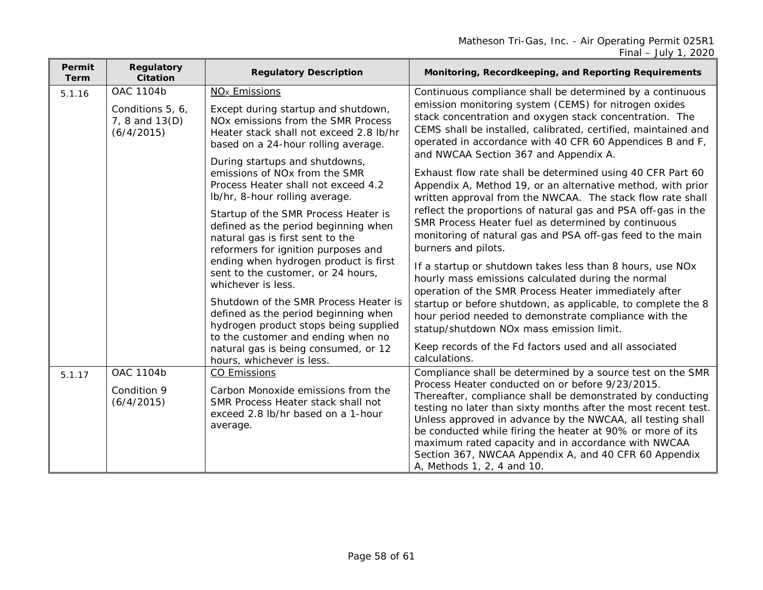| Permit<br>Term | <b>Regulatory</b><br><b>Citation</b>                          | <b>Regulatory Description</b>                                                                                                                                                                                                                                                                                                                                                                                                                                                                                                                                                                                                                                                                                                                                                                                | Monitoring, Recordkeeping, and Reporting Requirements                                                                                                                                                                                                                                                                                                                                                                                                                                                                                                                                                                                                                                                                                                                                                                                                                                                                                                                                                                                                                                                                                                                                     |
|----------------|---------------------------------------------------------------|--------------------------------------------------------------------------------------------------------------------------------------------------------------------------------------------------------------------------------------------------------------------------------------------------------------------------------------------------------------------------------------------------------------------------------------------------------------------------------------------------------------------------------------------------------------------------------------------------------------------------------------------------------------------------------------------------------------------------------------------------------------------------------------------------------------|-------------------------------------------------------------------------------------------------------------------------------------------------------------------------------------------------------------------------------------------------------------------------------------------------------------------------------------------------------------------------------------------------------------------------------------------------------------------------------------------------------------------------------------------------------------------------------------------------------------------------------------------------------------------------------------------------------------------------------------------------------------------------------------------------------------------------------------------------------------------------------------------------------------------------------------------------------------------------------------------------------------------------------------------------------------------------------------------------------------------------------------------------------------------------------------------|
| 5.1.16         | OAC 1104b<br>Conditions 5, 6,<br>7, 8 and 13(D)<br>(6/4/2015) | NO <sub>x</sub> Emissions<br>Except during startup and shutdown,<br>NOx emissions from the SMR Process<br>Heater stack shall not exceed 2.8 lb/hr<br>based on a 24-hour rolling average.<br>During startups and shutdowns,<br>emissions of NOx from the SMR<br>Process Heater shall not exceed 4.2<br>lb/hr, 8-hour rolling average.<br>Startup of the SMR Process Heater is<br>defined as the period beginning when<br>natural gas is first sent to the<br>reformers for ignition purposes and<br>ending when hydrogen product is first<br>sent to the customer, or 24 hours,<br>whichever is less.<br>Shutdown of the SMR Process Heater is<br>defined as the period beginning when<br>hydrogen product stops being supplied<br>to the customer and ending when no<br>natural gas is being consumed, or 12 | Continuous compliance shall be determined by a continuous<br>emission monitoring system (CEMS) for nitrogen oxides<br>stack concentration and oxygen stack concentration. The<br>CEMS shall be installed, calibrated, certified, maintained and<br>operated in accordance with 40 CFR 60 Appendices B and F,<br>and NWCAA Section 367 and Appendix A.<br>Exhaust flow rate shall be determined using 40 CFR Part 60<br>Appendix A, Method 19, or an alternative method, with prior<br>written approval from the NWCAA. The stack flow rate shall<br>reflect the proportions of natural gas and PSA off-gas in the<br>SMR Process Heater fuel as determined by continuous<br>monitoring of natural gas and PSA off-gas feed to the main<br>burners and pilots.<br>If a startup or shutdown takes less than 8 hours, use NOx<br>hourly mass emissions calculated during the normal<br>operation of the SMR Process Heater immediately after<br>startup or before shutdown, as applicable, to complete the 8<br>hour period needed to demonstrate compliance with the<br>statup/shutdown NOx mass emission limit.<br>Keep records of the Fd factors used and all associated<br>calculations. |
| 5.1.17         | <b>OAC 1104b</b><br>Condition 9<br>(6/4/2015)                 | hours, whichever is less.<br><b>CO Emissions</b><br>Carbon Monoxide emissions from the<br>SMR Process Heater stack shall not<br>exceed 2.8 lb/hr based on a 1-hour<br>average.                                                                                                                                                                                                                                                                                                                                                                                                                                                                                                                                                                                                                               | Compliance shall be determined by a source test on the SMR<br>Process Heater conducted on or before 9/23/2015.<br>Thereafter, compliance shall be demonstrated by conducting<br>testing no later than sixty months after the most recent test.<br>Unless approved in advance by the NWCAA, all testing shall<br>be conducted while firing the heater at 90% or more of its<br>maximum rated capacity and in accordance with NWCAA<br>Section 367, NWCAA Appendix A, and 40 CFR 60 Appendix<br>A, Methods 1, 2, 4 and 10.                                                                                                                                                                                                                                                                                                                                                                                                                                                                                                                                                                                                                                                                  |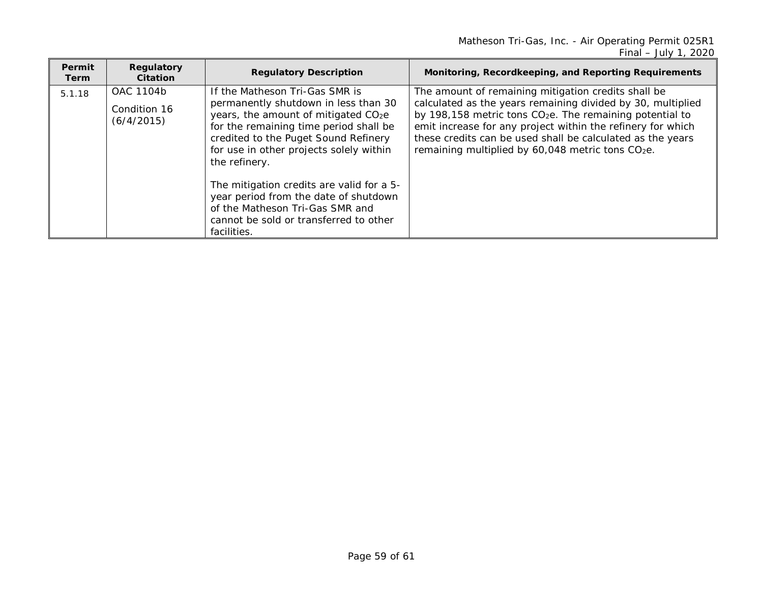| <b>Permit</b><br>Term | Regulatory<br>Citation                  | <b>Regulatory Description</b>                                                                                                                                                                                                                                                                                                                                                                                                                              | Monitoring, Recordkeeping, and Reporting Requirements                                                                                                                                                                                                                                                                                                                                    |
|-----------------------|-----------------------------------------|------------------------------------------------------------------------------------------------------------------------------------------------------------------------------------------------------------------------------------------------------------------------------------------------------------------------------------------------------------------------------------------------------------------------------------------------------------|------------------------------------------------------------------------------------------------------------------------------------------------------------------------------------------------------------------------------------------------------------------------------------------------------------------------------------------------------------------------------------------|
| 5.1.18                | OAC 1104b<br>Condition 16<br>(6/4/2015) | If the Matheson Tri-Gas SMR is<br>permanently shutdown in less than 30<br>years, the amount of mitigated CO <sub>2</sub> e<br>for the remaining time period shall be<br>credited to the Puget Sound Refinery<br>for use in other projects solely within<br>the refinery.<br>The mitigation credits are valid for a 5-<br>year period from the date of shutdown<br>of the Matheson Tri-Gas SMR and<br>cannot be sold or transferred to other<br>facilities. | The amount of remaining mitigation credits shall be<br>calculated as the years remaining divided by 30, multiplied<br>by 198,158 metric tons CO <sub>2</sub> e. The remaining potential to<br>emit increase for any project within the refinery for which<br>these credits can be used shall be calculated as the years<br>remaining multiplied by 60,048 metric tons CO <sub>2</sub> e. |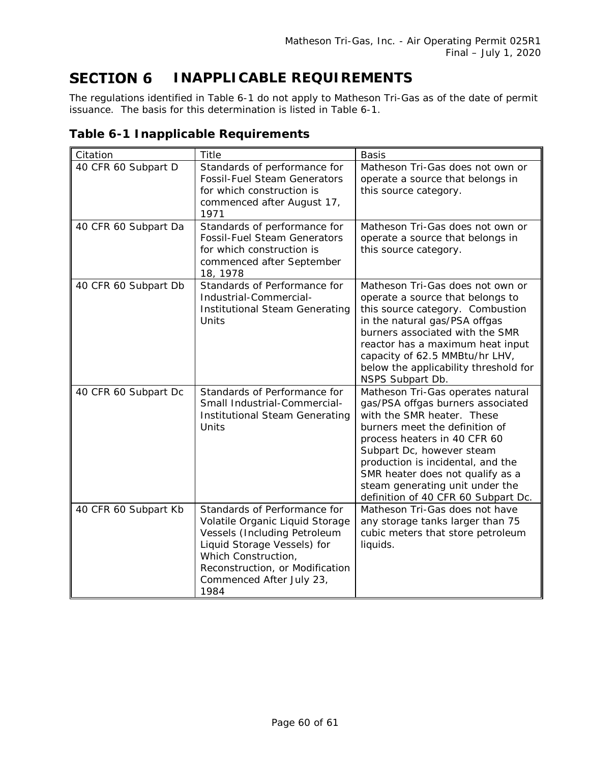#### <span id="page-59-0"></span>**SECTION 6 INAPPLICABLE REQUIREMENTS**

The regulations identified in [Table 6-1](#page-59-1) do not apply to Matheson Tri-Gas as of the date of permit issuance. The basis for this determination is listed in [Table 6-1.](#page-59-1)

| Citation             | <b>Title</b>                                                                                                                                                                                                                 | <b>Basis</b>                                                                                                                                                                                                                                                                                                                                           |
|----------------------|------------------------------------------------------------------------------------------------------------------------------------------------------------------------------------------------------------------------------|--------------------------------------------------------------------------------------------------------------------------------------------------------------------------------------------------------------------------------------------------------------------------------------------------------------------------------------------------------|
| 40 CFR 60 Subpart D  | Standards of performance for<br><b>Fossil-Fuel Steam Generators</b><br>for which construction is<br>commenced after August 17,<br>1971                                                                                       | Matheson Tri-Gas does not own or<br>operate a source that belongs in<br>this source category.                                                                                                                                                                                                                                                          |
| 40 CFR 60 Subpart Da | Standards of performance for<br><b>Fossil-Fuel Steam Generators</b><br>for which construction is<br>commenced after September<br>18, 1978                                                                                    | Matheson Tri-Gas does not own or<br>operate a source that belongs in<br>this source category.                                                                                                                                                                                                                                                          |
| 40 CFR 60 Subpart Db | Standards of Performance for<br>Industrial-Commercial-<br><b>Institutional Steam Generating</b><br>Units                                                                                                                     | Matheson Tri-Gas does not own or<br>operate a source that belongs to<br>this source category. Combustion<br>in the natural gas/PSA offgas<br>burners associated with the SMR<br>reactor has a maximum heat input<br>capacity of 62.5 MMBtu/hr LHV,<br>below the applicability threshold for<br>NSPS Subpart Db.                                        |
| 40 CFR 60 Subpart Dc | Standards of Performance for<br>Small Industrial-Commercial-<br>Institutional Steam Generating<br>Units                                                                                                                      | Matheson Tri-Gas operates natural<br>gas/PSA offgas burners associated<br>with the SMR heater. These<br>burners meet the definition of<br>process heaters in 40 CFR 60<br>Subpart Dc, however steam<br>production is incidental, and the<br>SMR heater does not qualify as a<br>steam generating unit under the<br>definition of 40 CFR 60 Subpart Dc. |
| 40 CFR 60 Subpart Kb | Standards of Performance for<br>Volatile Organic Liquid Storage<br>Vessels (Including Petroleum<br>Liquid Storage Vessels) for<br>Which Construction,<br>Reconstruction, or Modification<br>Commenced After July 23,<br>1984 | Matheson Tri-Gas does not have<br>any storage tanks larger than 75<br>cubic meters that store petroleum<br>liquids.                                                                                                                                                                                                                                    |

### <span id="page-59-1"></span>**Table 6-1 Inapplicable Requirements**